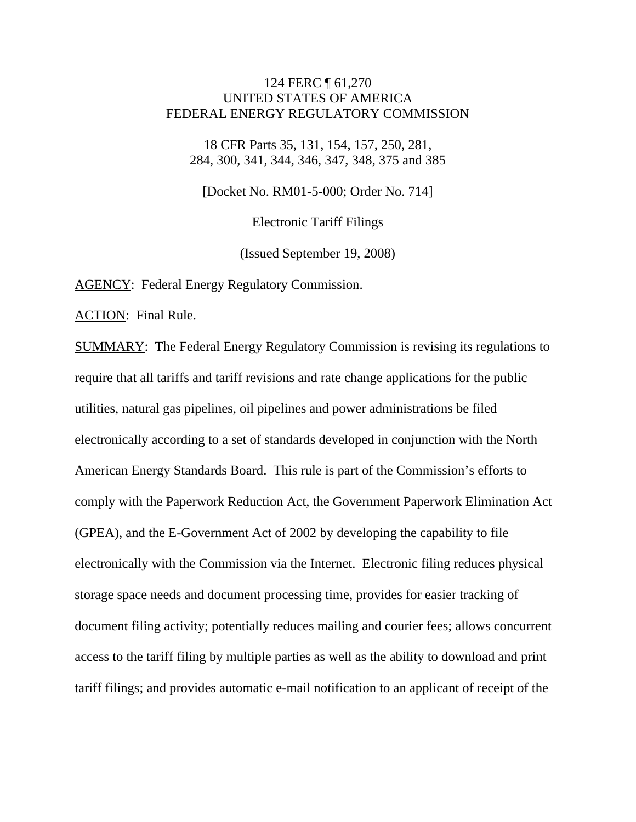### 124 FERC ¶ 61,270 UNITED STATES OF AMERICA FEDERAL ENERGY REGULATORY COMMISSION

18 CFR Parts 35, 131, 154, 157, 250, 281, 284, 300, 341, 344, 346, 347, 348, 375 and 385

[Docket No. RM01-5-000; Order No. 714]

Electronic Tariff Filings

(Issued September 19, 2008)

AGENCY: Federal Energy Regulatory Commission.

ACTION: Final Rule.

SUMMARY: The Federal Energy Regulatory Commission is revising its regulations to require that all tariffs and tariff revisions and rate change applications for the public utilities, natural gas pipelines, oil pipelines and power administrations be filed electronically according to a set of standards developed in conjunction with the North American Energy Standards Board. This rule is part of the Commission's efforts to comply with the Paperwork Reduction Act, the Government Paperwork Elimination Act (GPEA), and the E-Government Act of 2002 by developing the capability to file electronically with the Commission via the Internet. Electronic filing reduces physical storage space needs and document processing time, provides for easier tracking of document filing activity; potentially reduces mailing and courier fees; allows concurrent access to the tariff filing by multiple parties as well as the ability to download and print tariff filings; and provides automatic e-mail notification to an applicant of receipt of the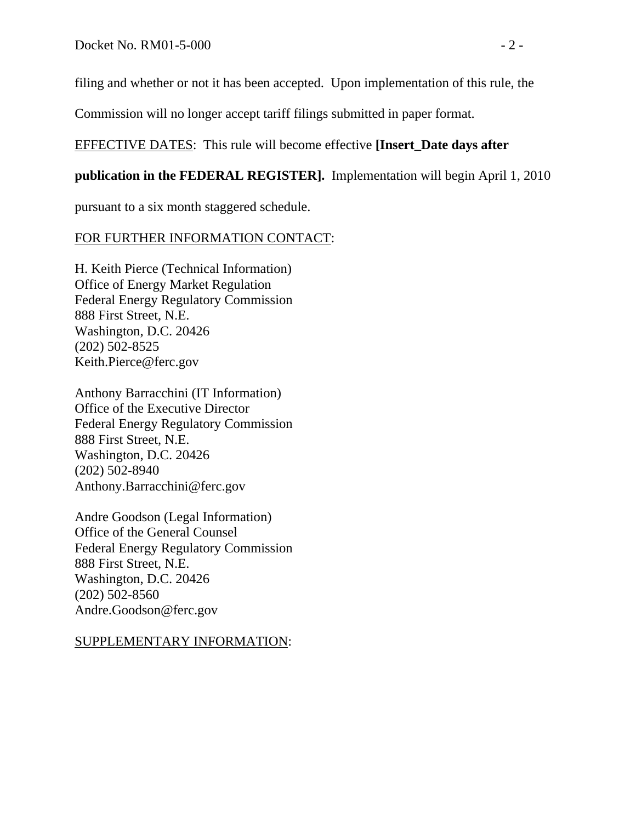filing and whether or not it has been accepted. Upon implementation of this rule, the

Commission will no longer accept tariff filings submitted in paper format.

## EFFECTIVE DATES: This rule will become effective **[Insert\_Date days after**

## **publication in the FEDERAL REGISTER].** Implementation will begin April 1, 2010

pursuant to a six month staggered schedule.

## FOR FURTHER INFORMATION CONTACT:

H. Keith Pierce (Technical Information) Office of Energy Market Regulation Federal Energy Regulatory Commission 888 First Street, N.E. Washington, D.C. 20426 (202) 502-8525 Keith.Pierce@ferc.gov

Anthony Barracchini (IT Information) Office of the Executive Director Federal Energy Regulatory Commission 888 First Street, N.E. Washington, D.C. 20426 (202) 502-8940 Anthony.Barracchini@ferc.gov

Andre Goodson (Legal Information) Office of the General Counsel Federal Energy Regulatory Commission 888 First Street, N.E. Washington, D.C. 20426 (202) 502-8560 Andre.Goodson@ferc.gov

## SUPPLEMENTARY INFORMATION: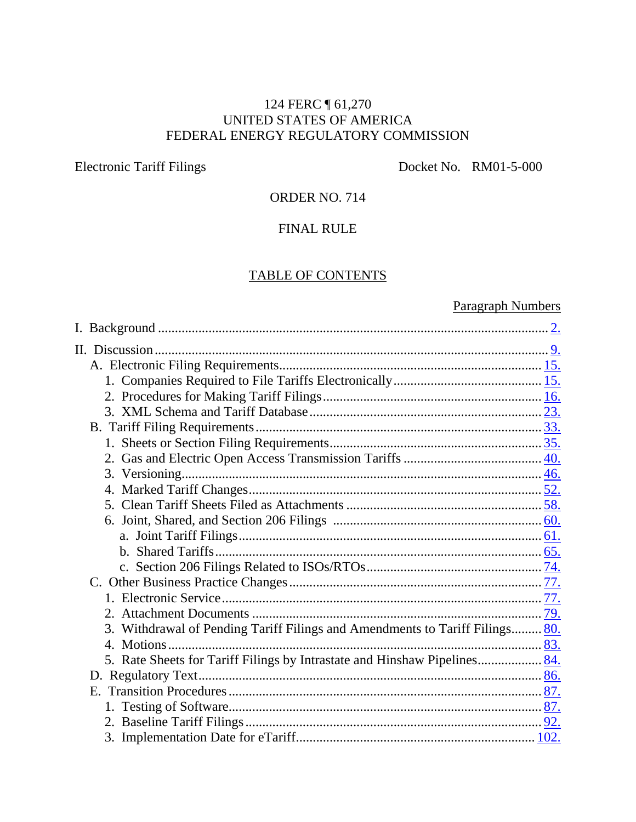## 124 FERC ¶ 61,270 UNITED STATES OF AMERICA FEDERAL ENERGY REGULATORY COMMISSION

Electronic Tariff Filings Docket No. RM01-5-000

## ORDER NO. 714

## FINAL RULE

## TABLE OF CONTENTS

# Paragraph Numbers

| 3. Withdrawal of Pending Tariff Filings and Amendments to Tariff Filings 80. |  |
|------------------------------------------------------------------------------|--|
|                                                                              |  |
| 5. Rate Sheets for Tariff Filings by Intrastate and Hinshaw Pipelines 84.    |  |
|                                                                              |  |
|                                                                              |  |
|                                                                              |  |
|                                                                              |  |
|                                                                              |  |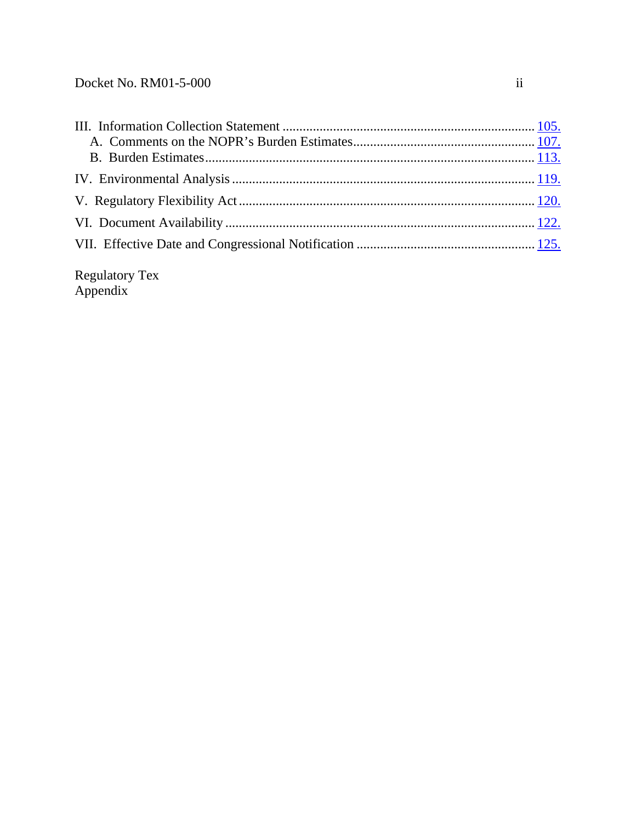Regulatory Tex Appendix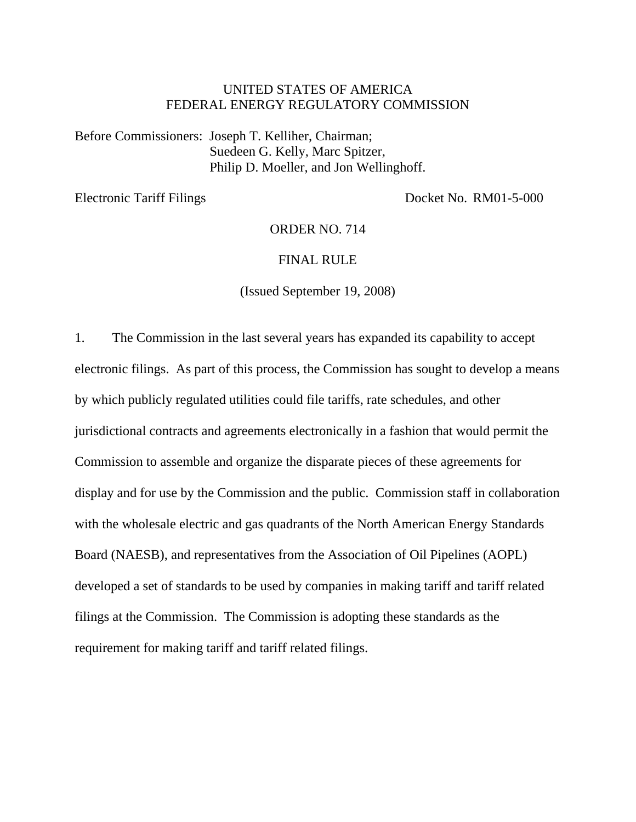### UNITED STATES OF AMERICA FEDERAL ENERGY REGULATORY COMMISSION

Before Commissioners: Joseph T. Kelliher, Chairman; Suedeen G. Kelly, Marc Spitzer, Philip D. Moeller, and Jon Wellinghoff.

Electronic Tariff Filings Docket No. RM01-5-000

ORDER NO. 714

#### FINAL RULE

(Issued September 19, 2008)

1. The Commission in the last several years has expanded its capability to accept electronic filings. As part of this process, the Commission has sought to develop a means by which publicly regulated utilities could file tariffs, rate schedules, and other jurisdictional contracts and agreements electronically in a fashion that would permit the Commission to assemble and organize the disparate pieces of these agreements for display and for use by the Commission and the public. Commission staff in collaboration with the wholesale electric and gas quadrants of the North American Energy Standards Board (NAESB), and representatives from the Association of Oil Pipelines (AOPL) developed a set of standards to be used by companies in making tariff and tariff related filings at the Commission. The Commission is adopting these standards as the requirement for making tariff and tariff related filings.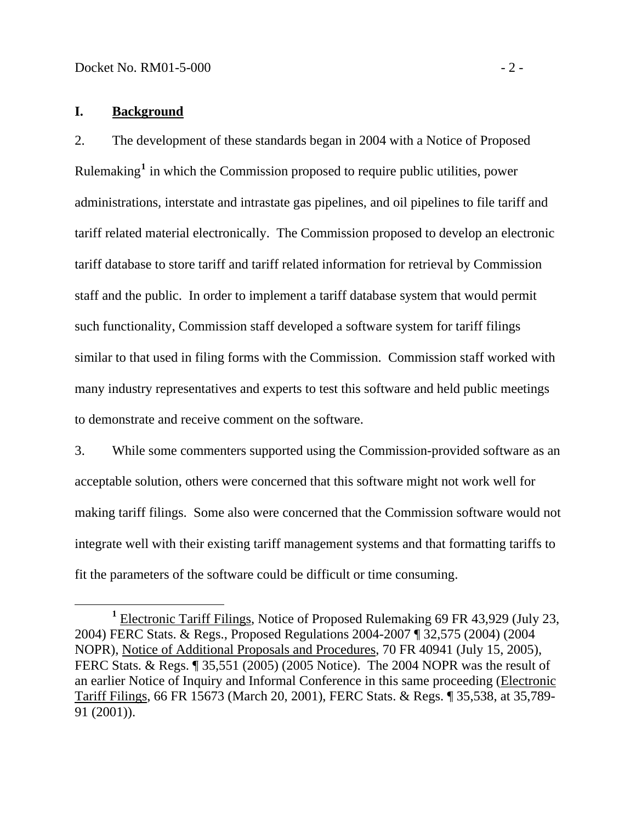### <span id="page-5-0"></span>**I. Background**

2. The development of these standards began in 2004 with a Notice of Proposed Rulemaking**[1](#page-5-1)** in which the Commission proposed to require public utilities, power administrations, interstate and intrastate gas pipelines, and oil pipelines to file tariff and tariff related material electronically. The Commission proposed to develop an electronic tariff database to store tariff and tariff related information for retrieval by Commission staff and the public. In order to implement a tariff database system that would permit such functionality, Commission staff developed a software system for tariff filings similar to that used in filing forms with the Commission. Commission staff worked with many industry representatives and experts to test this software and held public meetings to demonstrate and receive comment on the software.

3. While some commenters supported using the Commission-provided software as an acceptable solution, others were concerned that this software might not work well for making tariff filings. Some also were concerned that the Commission software would not integrate well with their existing tariff management systems and that formatting tariffs to fit the parameters of the software could be difficult or time consuming.

<span id="page-5-1"></span>**<sup>1</sup>** Electronic Tariff Filings, Notice of Proposed Rulemaking 69 FR 43,929 (July 23, 2004) FERC Stats. & Regs., Proposed Regulations 2004-2007 ¶ 32,575 (2004) (2004 NOPR), Notice of Additional Proposals and Procedures, 70 FR 40941 (July 15, 2005), FERC Stats. & Regs. ¶ 35,551 (2005) (2005 Notice). The 2004 NOPR was the result of an earlier Notice of Inquiry and Informal Conference in this same proceeding (Electronic Tariff Filings, 66 FR 15673 (March 20, 2001), FERC Stats. & Regs. ¶ 35,538, at 35,789- 91 (2001)).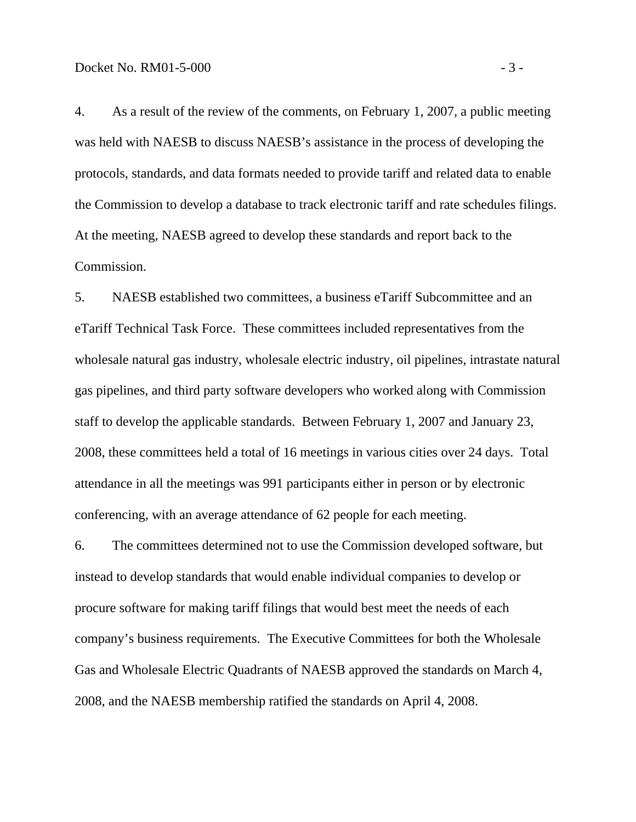4. As a result of the review of the comments, on February 1, 2007, a public meeting was held with NAESB to discuss NAESB's assistance in the process of developing the protocols, standards, and data formats needed to provide tariff and related data to enable the Commission to develop a database to track electronic tariff and rate schedules filings. At the meeting, NAESB agreed to develop these standards and report back to the Commission.

5. NAESB established two committees, a business eTariff Subcommittee and an eTariff Technical Task Force. These committees included representatives from the wholesale natural gas industry, wholesale electric industry, oil pipelines, intrastate natural gas pipelines, and third party software developers who worked along with Commission staff to develop the applicable standards. Between February 1, 2007 and January 23, 2008, these committees held a total of 16 meetings in various cities over 24 days. Total attendance in all the meetings was 991 participants either in person or by electronic conferencing, with an average attendance of 62 people for each meeting.

6. The committees determined not to use the Commission developed software, but instead to develop standards that would enable individual companies to develop or procure software for making tariff filings that would best meet the needs of each company's business requirements. The Executive Committees for both the Wholesale Gas and Wholesale Electric Quadrants of NAESB approved the standards on March 4, 2008, and the NAESB membership ratified the standards on April 4, 2008.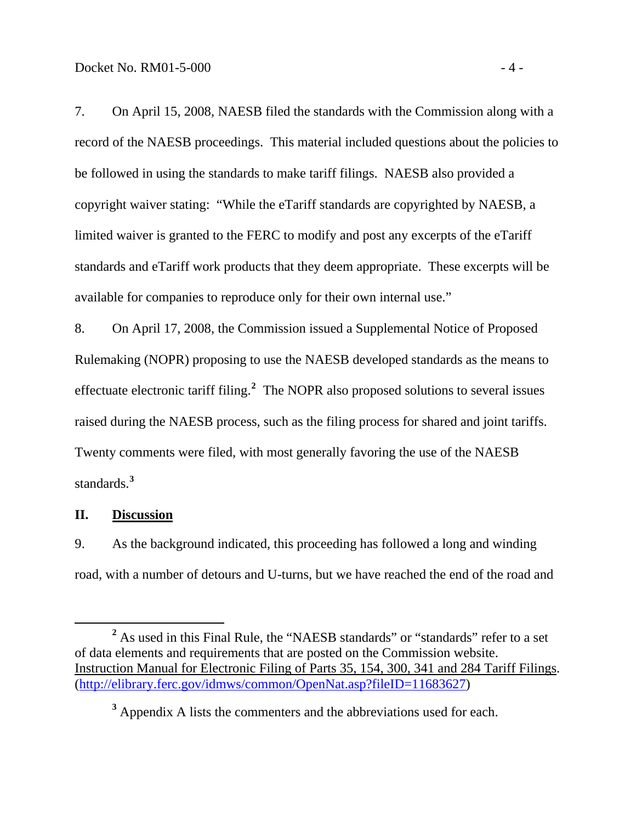<span id="page-7-0"></span>7. On April 15, 2008, NAESB filed the standards with the Commission along with a record of the NAESB proceedings. This material included questions about the policies to be followed in using the standards to make tariff filings. NAESB also provided a copyright waiver stating: "While the eTariff standards are copyrighted by NAESB, a limited waiver is granted to the FERC to modify and post any excerpts of the eTariff standards and eTariff work products that they deem appropriate. These excerpts will be available for companies to reproduce only for their own internal use."

8. On April 17, 2008, the Commission issued a Supplemental Notice of Proposed Rulemaking (NOPR) proposing to use the NAESB developed standards as the means to effectuate electronic tariff filing.**[2](#page-7-1)** The NOPR also proposed solutions to several issues raised during the NAESB process, such as the filing process for shared and joint tariffs. Twenty comments were filed, with most generally favoring the use of the NAESB standards.**[3](#page-7-2)**

### **II. Discussion**

9. As the background indicated, this proceeding has followed a long and winding road, with a number of detours and U-turns, but we have reached the end of the road and

<span id="page-7-1"></span>**<sup>2</sup>** <sup>2</sup> As used in this Final Rule, the "NAESB standards" or "standards" refer to a set of data elements and requirements that are posted on the Commission website. Instruction Manual for Electronic Filing of Parts 35, 154, 300, 341 and 284 Tariff Filings. [\(http://elibrary.ferc.gov/idmws/common/OpenNat.asp?fileID=11683627\)](http://elibrary.ferc.gov/idmws/common/OpenNat.asp?fileID=11683627)

<span id="page-7-2"></span><sup>&</sup>lt;sup>3</sup> Appendix A lists the commenters and the abbreviations used for each.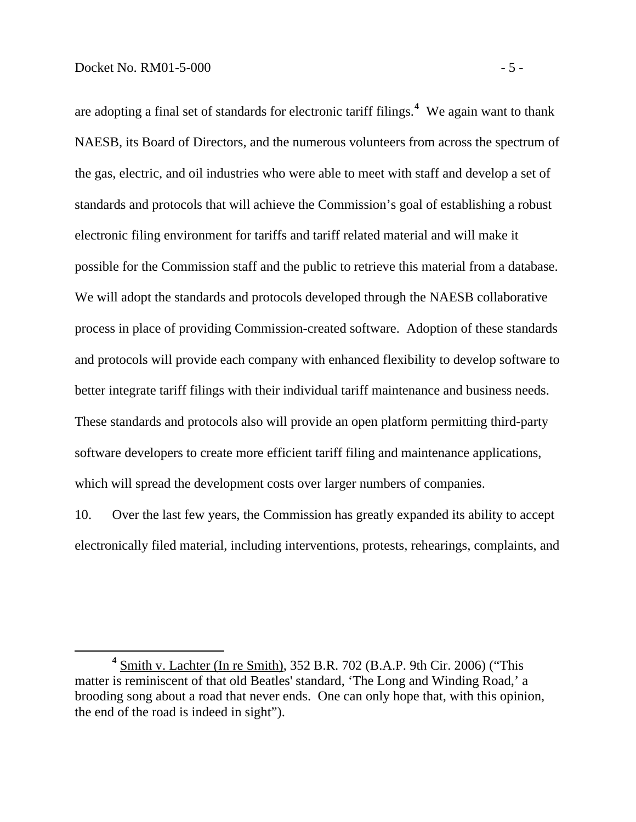are adopting a final set of standards for electronic tariff filings.**<sup>4</sup>** We again want to thank NAESB, its Board of Directors, and the numerous volunteers from across the spectrum of the gas, electric, and oil industries who were able to meet with staff and develop a set of standards and protocols that will achieve the Commission's goal of establishing a robust electronic filing environment for tariffs and tariff related material and will make it possible for the Commission staff and the public to retrieve this material from a database. We will adopt the standards and protocols developed through the NAESB collaborative process in place of providing Commission-created software. Adoption of these standards and protocols will provide each company with enhanced flexibility to develop software to better integrate tariff filings with their individual tariff maintenance and business needs. These standards and protocols also will provide an open platform permitting third-party software developers to create more efficient tariff filing and maintenance applications, which will spread the development costs over larger numbers of companies.

10. Over the last few years, the Commission has greatly expanded its ability to accept electronically filed material, including interventions, protests, rehearings, complaints, and

**<sup>4</sup>** Smith v. Lachter (In re Smith), 352 B.R. 702 (B.A.P. 9th Cir. 2006) ("This matter is reminiscent of that old Beatles' standard, 'The Long and Winding Road,' a brooding song about a road that never ends. One can only hope that, with this opinion, the end of the road is indeed in sight").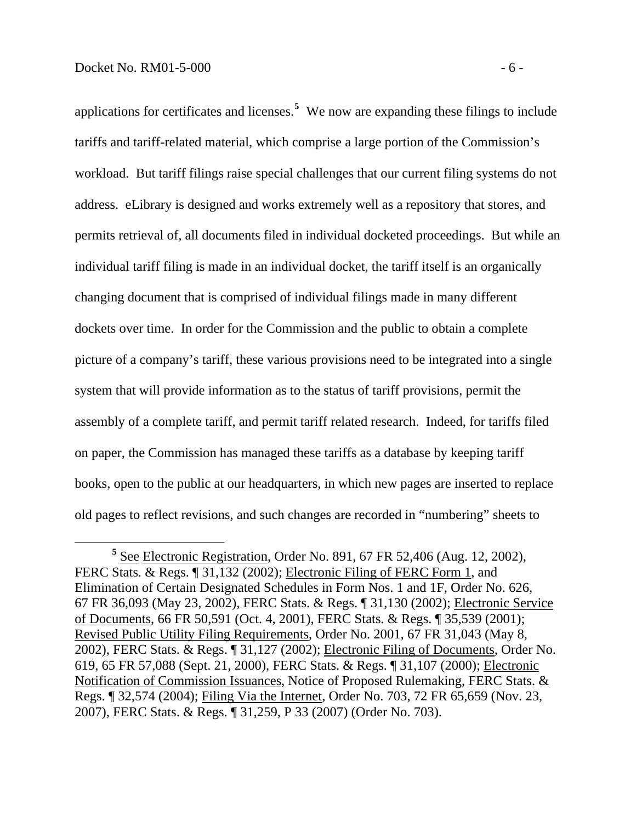applications for certificates and licenses.**[5](#page-9-0)** We now are expanding these filings to include tariffs and tariff-related material, which comprise a large portion of the Commission's workload. But tariff filings raise special challenges that our current filing systems do not address. eLibrary is designed and works extremely well as a repository that stores, and permits retrieval of, all documents filed in individual docketed proceedings. But while an individual tariff filing is made in an individual docket, the tariff itself is an organically changing document that is comprised of individual filings made in many different dockets over time. In order for the Commission and the public to obtain a complete picture of a company's tariff, these various provisions need to be integrated into a single system that will provide information as to the status of tariff provisions, permit the assembly of a complete tariff, and permit tariff related research. Indeed, for tariffs filed on paper, the Commission has managed these tariffs as a database by keeping tariff books, open to the public at our headquarters, in which new pages are inserted to replace old pages to reflect revisions, and such changes are recorded in "numbering" sheets to

<span id="page-9-0"></span>**<sup>5</sup>** See Electronic Registration, Order No. 891, 67 FR 52,406 (Aug. 12, 2002), FERC Stats. & Regs. ¶ 31,132 (2002); Electronic Filing of FERC Form 1, and Elimination of Certain Designated Schedules in Form Nos. 1 and 1F, Order No. 626, 67 FR 36,093 (May 23, 2002), FERC Stats. & Regs. ¶ 31,130 (2002); Electronic Service of Documents, 66 FR 50,591 (Oct. 4, 2001), FERC Stats. & Regs. ¶ 35,539 (2001); Revised Public Utility Filing Requirements, Order No. 2001, 67 FR 31,043 (May 8, 2002), FERC Stats. & Regs. ¶ 31,127 (2002); Electronic Filing of Documents, Order No. 619, 65 FR 57,088 (Sept. 21, 2000), FERC Stats. & Regs. ¶ 31,107 (2000); Electronic Notification of Commission Issuances, Notice of Proposed Rulemaking, FERC Stats. & Regs. ¶ 32,574 (2004); Filing Via the Internet, Order No. 703, 72 FR 65,659 (Nov. 23, 2007), FERC Stats. & Regs. ¶ 31,259, P 33 (2007) (Order No. 703).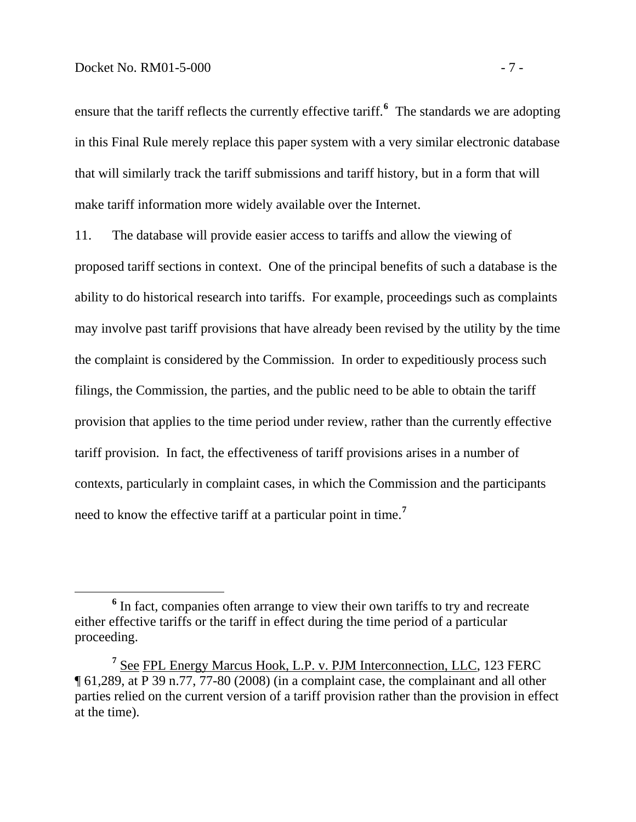#### Docket No. RM01-5-000 - 7 -

ensure that the tariff reflects the currently effective tariff.**[6](#page-10-0)** The standards we are adopting in this Final Rule merely replace this paper system with a very similar electronic database that will similarly track the tariff submissions and tariff history, but in a form that will make tariff information more widely available over the Internet.

11. The database will provide easier access to tariffs and allow the viewing of proposed tariff sections in context. One of the principal benefits of such a database is the ability to do historical research into tariffs. For example, proceedings such as complaints may involve past tariff provisions that have already been revised by the utility by the time the complaint is considered by the Commission. In order to expeditiously process such filings, the Commission, the parties, and the public need to be able to obtain the tariff provision that applies to the time period under review, rather than the currently effective tariff provision. In fact, the effectiveness of tariff provisions arises in a number of contexts, particularly in complaint cases, in which the Commission and the participants need to know the effective tariff at a particular point in time.**[7](#page-10-1)**

<span id="page-10-0"></span><sup>&</sup>lt;sup>6</sup> In fact, companies often arrange to view their own tariffs to try and recreate either effective tariffs or the tariff in effect during the time period of a particular proceeding.

<span id="page-10-1"></span>**<sup>7</sup>** See FPL Energy Marcus Hook, L.P. v. PJM Interconnection, LLC, 123 FERC ¶ 61,289, at P 39 n.77, 77-80 (2008) (in a complaint case, the complainant and all other parties relied on the current version of a tariff provision rather than the provision in effect at the time).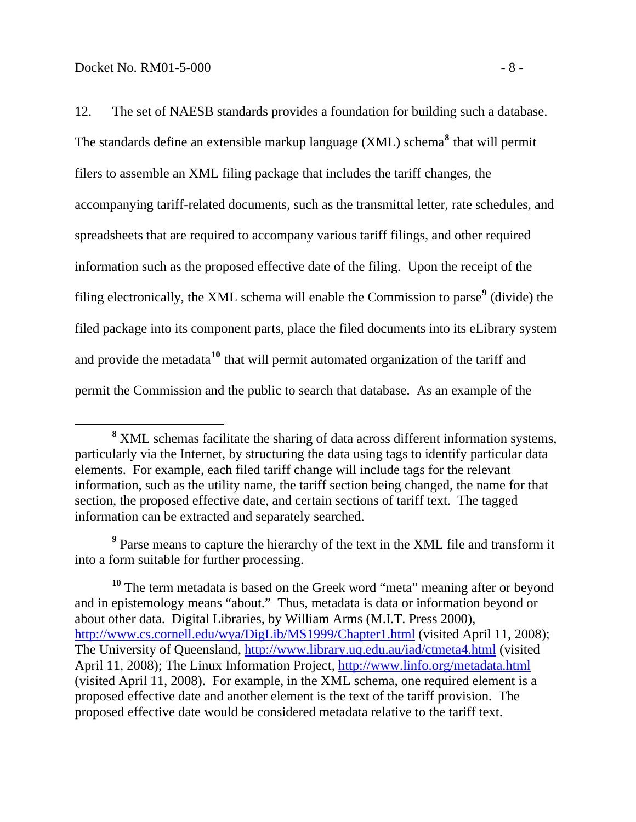12. The set of NAESB standards provides a foundation for building such a database. The standards define an extensible markup language (XML) schema**[8](#page-11-0)** that will permit filers to assemble an XML filing package that includes the tariff changes, the accompanying tariff-related documents, such as the transmittal letter, rate schedules, and spreadsheets that are required to accompany various tariff filings, and other required information such as the proposed effective date of the filing. Upon the receipt of the filing electronically, the XML schema will enable the Commission to parse<sup>[9](#page-11-1)</sup> (divide) the filed package into its component parts, place the filed documents into its eLibrary system and provide the metadata**[10](#page-11-2)** that will permit automated organization of the tariff and permit the Commission and the public to search that database. As an example of the

<span id="page-11-1"></span><sup>9</sup> Parse means to capture the hierarchy of the text in the XML file and transform it into a form suitable for further processing.

<span id="page-11-0"></span>**<sup>8</sup>** XML schemas facilitate the sharing of data across different information systems, particularly via the Internet, by structuring the data using tags to identify particular data elements. For example, each filed tariff change will include tags for the relevant information, such as the utility name, the tariff section being changed, the name for that section, the proposed effective date, and certain sections of tariff text. The tagged information can be extracted and separately searched.

<span id="page-11-2"></span><sup>&</sup>lt;sup>10</sup> The term metadata is based on the Greek word "meta" meaning after or beyond and in epistemology means "about." Thus, metadata is data or information beyond or about other data. Digital Libraries, by William Arms (M.I.T. Press 2000), <http://www.cs.cornell.edu/wya/DigLib/MS1999/Chapter1.html>(visited April 11, 2008); The University of Queensland, <http://www.library.uq.edu.au/iad/ctmeta4.html>(visited April 11, 2008); The Linux Information Project, <http://www.linfo.org/metadata.html> (visited April 11, 2008). For example, in the XML schema, one required element is a proposed effective date and another element is the text of the tariff provision. The proposed effective date would be considered metadata relative to the tariff text.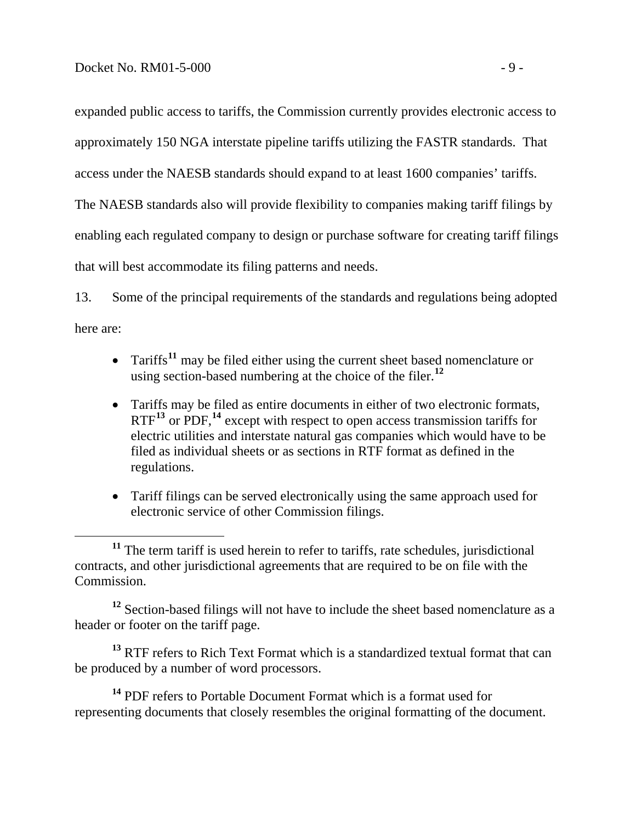expanded public access to tariffs, the Commission currently provides electronic access to approximately 150 NGA interstate pipeline tariffs utilizing the FASTR standards. That access under the NAESB standards should expand to at least 1600 companies' tariffs.

The NAESB standards also will provide flexibility to companies making tariff filings by enabling each regulated company to design or purchase software for creating tariff filings

that will best accommodate its filing patterns and needs.

13. Some of the principal requirements of the standards and regulations being adopted here are:

- Tariffs<sup>[11](#page-12-0)</sup> may be filed either using the current sheet based nomenclature or using section-based numbering at the choice of the filer.**[12](#page-12-1)**
- Tariffs may be filed as entire documents in either of two electronic formats, RTF<sup>[13](#page-12-2)</sup> or PDF,<sup>[14](#page-12-3)</sup> except with respect to open access transmission tariffs for electric utilities and interstate natural gas companies which would have to be filed as individual sheets or as sections in RTF format as defined in the regulations.
- Tariff filings can be served electronically using the same approach used for electronic service of other Commission filings.

<span id="page-12-1"></span>**<sup>12</sup>** Section-based filings will not have to include the sheet based nomenclature as a header or footer on the tariff page.

<span id="page-12-2"></span>**<sup>13</sup>** RTF refers to Rich Text Format which is a standardized textual format that can be produced by a number of word processors.

<span id="page-12-3"></span>**<sup>14</sup>** PDF refers to Portable Document Format which is a format used for representing documents that closely resembles the original formatting of the document.

<span id="page-12-0"></span><sup>&</sup>lt;sup>11</sup> The term tariff is used herein to refer to tariffs, rate schedules, jurisdictional contracts, and other jurisdictional agreements that are required to be on file with the Commission.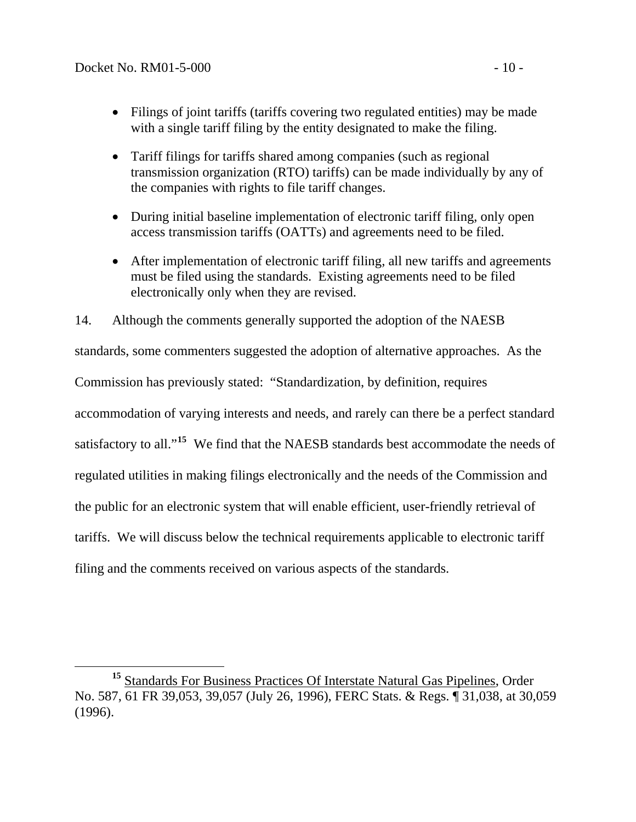- Filings of joint tariffs (tariffs covering two regulated entities) may be made with a single tariff filing by the entity designated to make the filing.
- Tariff filings for tariffs shared among companies (such as regional transmission organization (RTO) tariffs) can be made individually by any of the companies with rights to file tariff changes.
- During initial baseline implementation of electronic tariff filing, only open access transmission tariffs (OATTs) and agreements need to be filed.
- After implementation of electronic tariff filing, all new tariffs and agreements must be filed using the standards. Existing agreements need to be filed electronically only when they are revised.

14. Although the comments generally supported the adoption of the NAESB standards, some commenters suggested the adoption of alternative approaches. As the Commission has previously stated: "Standardization, by definition, requires accommodation of varying interests and needs, and rarely can there be a perfect standard satisfactory to all."<sup>[15](#page-13-0)</sup> We find that the NAESB standards best accommodate the needs of regulated utilities in making filings electronically and the needs of the Commission and the public for an electronic system that will enable efficient, user-friendly retrieval of tariffs. We will discuss below the technical requirements applicable to electronic tariff filing and the comments received on various aspects of the standards.

<span id="page-13-0"></span><sup>&</sup>lt;sup>15</sup> Standards For Business Practices Of Interstate Natural Gas Pipelines, Order No. 587, 61 FR 39,053, 39,057 (July 26, 1996), FERC Stats. & Regs. ¶ 31,038, at 30,059 (1996).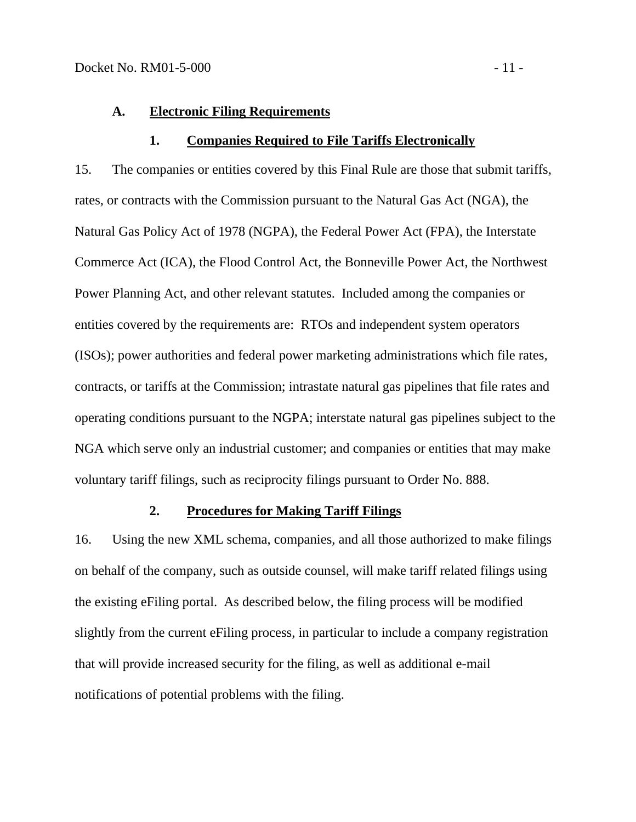### <span id="page-14-0"></span>**A. Electronic Filing Requirements**

#### **1. Companies Required to File Tariffs Electronically**

15. The companies or entities covered by this Final Rule are those that submit tariffs, rates, or contracts with the Commission pursuant to the Natural Gas Act (NGA), the Natural Gas Policy Act of 1978 (NGPA), the Federal Power Act (FPA), the Interstate Commerce Act (ICA), the Flood Control Act, the Bonneville Power Act, the Northwest Power Planning Act, and other relevant statutes. Included among the companies or entities covered by the requirements are: RTOs and independent system operators (ISOs); power authorities and federal power marketing administrations which file rates, contracts, or tariffs at the Commission; intrastate natural gas pipelines that file rates and operating conditions pursuant to the NGPA; interstate natural gas pipelines subject to the NGA which serve only an industrial customer; and companies or entities that may make voluntary tariff filings, such as reciprocity filings pursuant to Order No. 888.

### **2. Procedures for Making Tariff Filings**

16. Using the new XML schema, companies, and all those authorized to make filings on behalf of the company, such as outside counsel, will make tariff related filings using the existing eFiling portal. As described below, the filing process will be modified slightly from the current eFiling process, in particular to include a company registration that will provide increased security for the filing, as well as additional e-mail notifications of potential problems with the filing.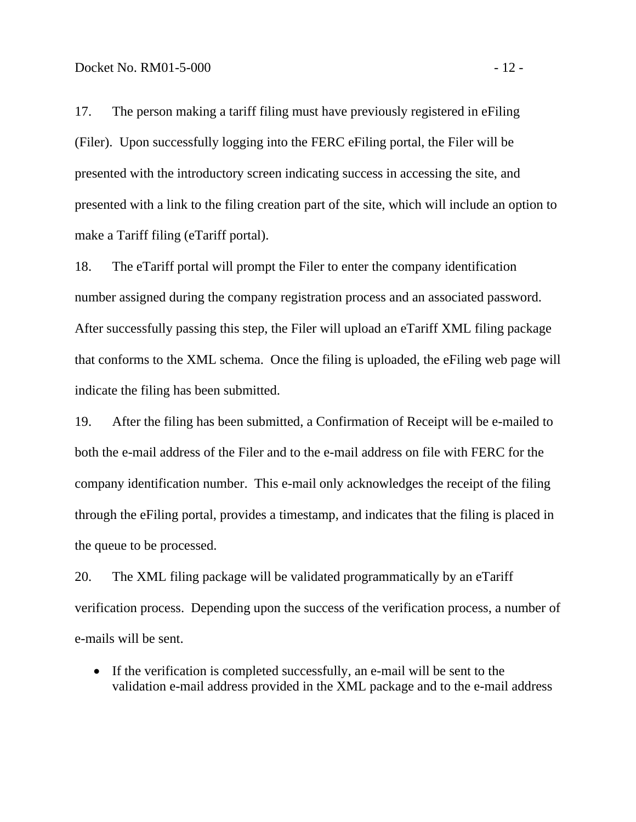17. The person making a tariff filing must have previously registered in eFiling (Filer). Upon successfully logging into the FERC eFiling portal, the Filer will be presented with the introductory screen indicating success in accessing the site, and presented with a link to the filing creation part of the site, which will include an option to make a Tariff filing (eTariff portal).

18. The eTariff portal will prompt the Filer to enter the company identification number assigned during the company registration process and an associated password. After successfully passing this step, the Filer will upload an eTariff XML filing package that conforms to the XML schema. Once the filing is uploaded, the eFiling web page will indicate the filing has been submitted.

19. After the filing has been submitted, a Confirmation of Receipt will be e-mailed to both the e-mail address of the Filer and to the e-mail address on file with FERC for the company identification number. This e-mail only acknowledges the receipt of the filing through the eFiling portal, provides a timestamp, and indicates that the filing is placed in the queue to be processed.

20. The XML filing package will be validated programmatically by an eTariff verification process. Depending upon the success of the verification process, a number of e-mails will be sent.

• If the verification is completed successfully, an e-mail will be sent to the validation e-mail address provided in the XML package and to the e-mail address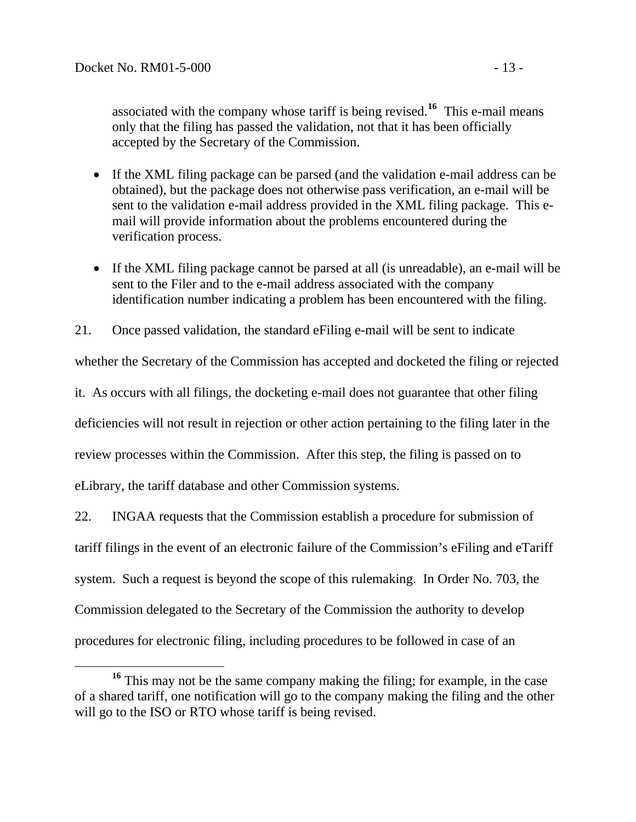associated with the company whose tariff is being revised.**<sup>16</sup>** This e-mail means only that the filing has passed the validation, not that it has been officially accepted by the Secretary of the Commission.

- If the XML filing package can be parsed (and the validation e-mail address can be obtained), but the package does not otherwise pass verification, an e-mail will be sent to the validation e-mail address provided in the XML filing package. This email will provide information about the problems encountered during the verification process.
- If the XML filing package cannot be parsed at all (is unreadable), an e-mail will be sent to the Filer and to the e-mail address associated with the company identification number indicating a problem has been encountered with the filing.

21. Once passed validation, the standard eFiling e-mail will be sent to indicate

whether the Secretary of the Commission has accepted and docketed the filing or rejected

it. As occurs with all filings, the docketing e-mail does not guarantee that other filing

deficiencies will not result in rejection or other action pertaining to the filing later in the

review processes within the Commission. After this step, the filing is passed on to

eLibrary, the tariff database and other Commission systems.

22. INGAA requests that the Commission establish a procedure for submission of tariff filings in the event of an electronic failure of the Commission's eFiling and eTariff system. Such a request is beyond the scope of this rulemaking. In Order No. 703, the Commission delegated to the Secretary of the Commission the authority to develop procedures for electronic filing, including procedures to be followed in case of an

**<sup>16</sup>** This may not be the same company making the filing; for example, in the case of a shared tariff, one notification will go to the company making the filing and the other will go to the ISO or RTO whose tariff is being revised.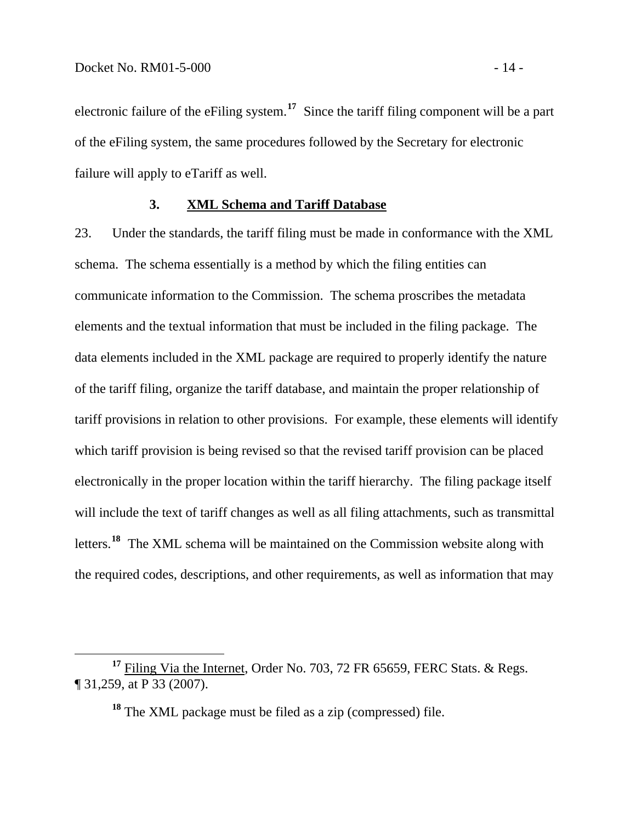<span id="page-17-0"></span>electronic failure of the eFiling system.**<sup>17</sup>** Since the tariff filing component will be a part of the eFiling system, the same procedures followed by the Secretary for electronic failure will apply to eTariff as well.

#### **3. XML Schema and Tariff Database**

23. Under the standards, the tariff filing must be made in conformance with the XML schema. The schema essentially is a method by which the filing entities can communicate information to the Commission. The schema proscribes the metadata elements and the textual information that must be included in the filing package. The data elements included in the XML package are required to properly identify the nature of the tariff filing, organize the tariff database, and maintain the proper relationship of tariff provisions in relation to other provisions. For example, these elements will identify which tariff provision is being revised so that the revised tariff provision can be placed electronically in the proper location within the tariff hierarchy. The filing package itself will include the text of tariff changes as well as all filing attachments, such as transmittal letters.**[18](#page-17-1)** The XML schema will be maintained on the Commission website along with the required codes, descriptions, and other requirements, as well as information that may

**<sup>18</sup>** The XML package must be filed as a zip (compressed) file.

<span id="page-17-1"></span>**<sup>17</sup>** Filing Via the Internet, Order No. 703, 72 FR 65659, FERC Stats. & Regs. ¶ 31,259, at P 33 (2007).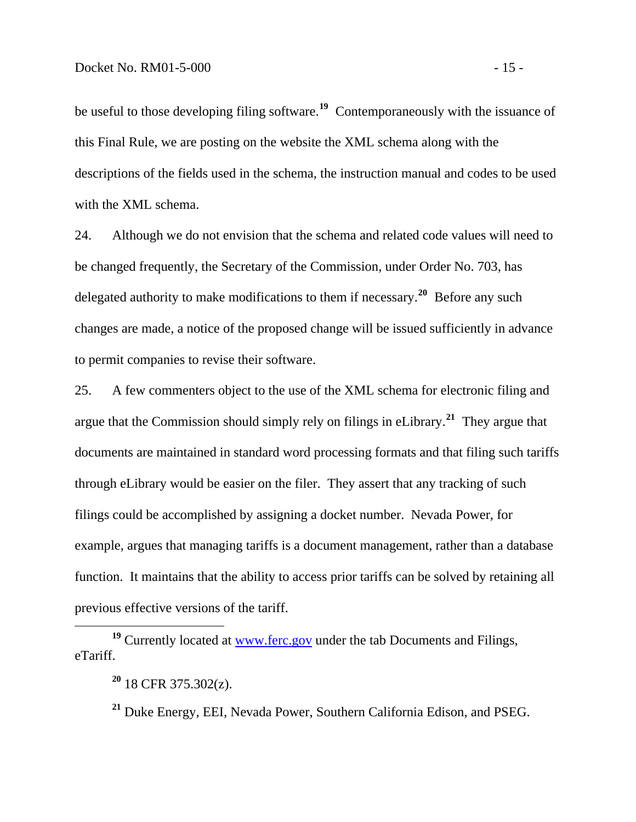be useful to those developing filing software.**[19](#page-18-0)** Contemporaneously with the issuance of this Final Rule, we are posting on the website the XML schema along with the descriptions of the fields used in the schema, the instruction manual and codes to be used with the XML schema.

24. Although we do not envision that the schema and related code values will need to be changed frequently, the Secretary of the Commission, under Order No. 703, has delegated authority to make modifications to them if necessary.**[20](#page-18-1)** Before any such changes are made, a notice of the proposed change will be issued sufficiently in advance to permit companies to revise their software.

25. A few commenters object to the use of the XML schema for electronic filing and argue that the Commission should simply rely on filings in eLibrary.**[21](#page-18-2)** They argue that documents are maintained in standard word processing formats and that filing such tariffs through eLibrary would be easier on the filer. They assert that any tracking of such filings could be accomplished by assigning a docket number. Nevada Power, for example, argues that managing tariffs is a document management, rather than a database function. It maintains that the ability to access prior tariffs can be solved by retaining all previous effective versions of the tariff.

<span id="page-18-2"></span><span id="page-18-1"></span><span id="page-18-0"></span>**<sup>19</sup>** Currently located at [www.ferc.gov](http://www.ferc.gov/) under the tab Documents and Filings, eTariff.

 $\overline{a}$ 

**<sup>21</sup>** Duke Energy, EEI, Nevada Power, Southern California Edison, and PSEG.

**<sup>20</sup>** 18 CFR 375.302(z).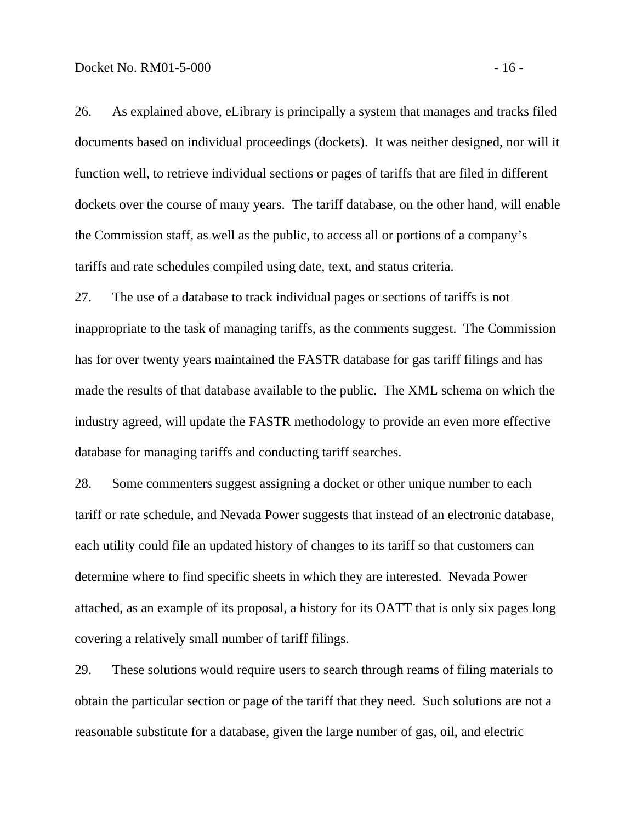26. As explained above, eLibrary is principally a system that manages and tracks filed documents based on individual proceedings (dockets). It was neither designed, nor will it function well, to retrieve individual sections or pages of tariffs that are filed in different dockets over the course of many years. The tariff database, on the other hand, will enable the Commission staff, as well as the public, to access all or portions of a company's tariffs and rate schedules compiled using date, text, and status criteria.

27. The use of a database to track individual pages or sections of tariffs is not inappropriate to the task of managing tariffs, as the comments suggest. The Commission has for over twenty years maintained the FASTR database for gas tariff filings and has made the results of that database available to the public. The XML schema on which the industry agreed, will update the FASTR methodology to provide an even more effective database for managing tariffs and conducting tariff searches.

28. Some commenters suggest assigning a docket or other unique number to each tariff or rate schedule, and Nevada Power suggests that instead of an electronic database, each utility could file an updated history of changes to its tariff so that customers can determine where to find specific sheets in which they are interested. Nevada Power attached, as an example of its proposal, a history for its OATT that is only six pages long covering a relatively small number of tariff filings.

29. These solutions would require users to search through reams of filing materials to obtain the particular section or page of the tariff that they need. Such solutions are not a reasonable substitute for a database, given the large number of gas, oil, and electric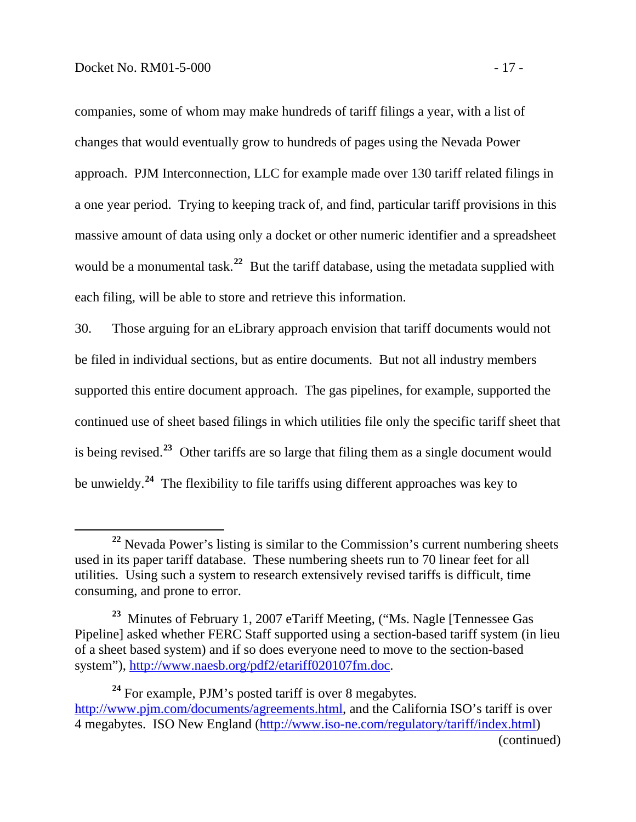companies, some of whom may make hundreds of tariff filings a year, with a list of changes that would eventually grow to hundreds of pages using the Nevada Power approach. PJM Interconnection, LLC for example made over 130 tariff related filings in a one year period. Trying to keeping track of, and find, particular tariff provisions in this massive amount of data using only a docket or other numeric identifier and a spreadsheet would be a monumental task.<sup>22</sup> But the tariff database, using the metadata supplied with each filing, will be able to store and retrieve this information.

30. Those arguing for an eLibrary approach envision that tariff documents would not be filed in individual sections, but as entire documents. But not all industry members supported this entire document approach. The gas pipelines, for example, supported the continued use of sheet based filings in which utilities file only the specific tariff sheet that is being revised.**[23](#page-20-0)** Other tariffs are so large that filing them as a single document would be unwieldy.**[24](#page-20-1)** The flexibility to file tariffs using different approaches was key to

<span id="page-20-1"></span>**<sup>24</sup>** For example, PJM's posted tariff is over 8 megabytes. <http://www.pjm.com/documents/agreements.html>, and the California ISO's tariff is over 4 megabytes. ISO New England [\(http://www.iso-ne.com/regulatory/tariff/index.html](http://www.iso-ne.com/regulatory/tariff/index.html)) (continued)

<sup>&</sup>lt;sup>22</sup> Nevada Power's listing is similar to the Commission's current numbering sheets used in its paper tariff database. These numbering sheets run to 70 linear feet for all utilities. Using such a system to research extensively revised tariffs is difficult, time consuming, and prone to error.

<span id="page-20-0"></span>**<sup>23</sup>** Minutes of February 1, 2007 eTariff Meeting, ("Ms. Nagle [Tennessee Gas Pipeline] asked whether FERC Staff supported using a section-based tariff system (in lieu of a sheet based system) and if so does everyone need to move to the section-based system"), [http://www.naesb.org/pdf2/etariff020107fm.doc.](http://www.naesb.org/pdf2/etariff020107fm.doc)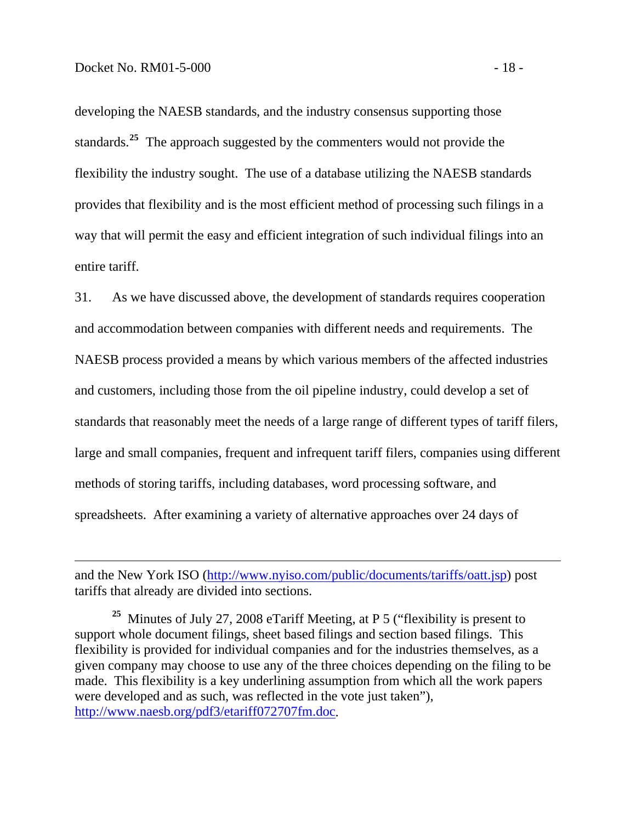developing the NAESB standards, and the industry consensus supporting those standards.**<sup>25</sup>** The approach suggested by the commenters would not provide the flexibility the industry sought. The use of a database utilizing the NAESB standards provides that flexibility and is the most efficient method of processing such filings in a way that will permit the easy and efficient integration of such individual filings into an entire tariff.

31. As we have discussed above, the development of standards requires cooperation NAESB process provided a means by which various members of the affected industries large and small companies, frequent and infrequent tariff filers, companies using different spreadsheets. After examining a variety of alternative approaches over 24 days of and accommodation between companies with different needs and requirements. The and customers, including those from the oil pipeline industry, could develop a set of standards that reasonably meet the needs of a large range of different types of tariff filers, methods of storing tariffs, including databases, word processing software, and

and the New York ISO [\(http://www.nyiso.com/public/documents/tariffs/oatt.jsp\)](http://www.nyiso.com/public/documents/tariffs/oatt.jsp) post tariffs that already are divided into sections.

**<sup>25</sup>** Minutes of July 27, 2008 eTariff Meeting, at P 5 ("flexibility is present to support whole document filings, sheet based filings and section based filings. This flexibility is provided for individual companies and for the industries themselves, as a given company may choose to use any of the three choices depending on the filing to be made. This flexibility is a key underlining assumption from which all the work papers were developed and as such, was reflected in the vote just taken"), [http://www.naesb.org/pdf3/etariff072707fm.doc.](http://www.naesb.org/pdf3/etariff072707fm.doc)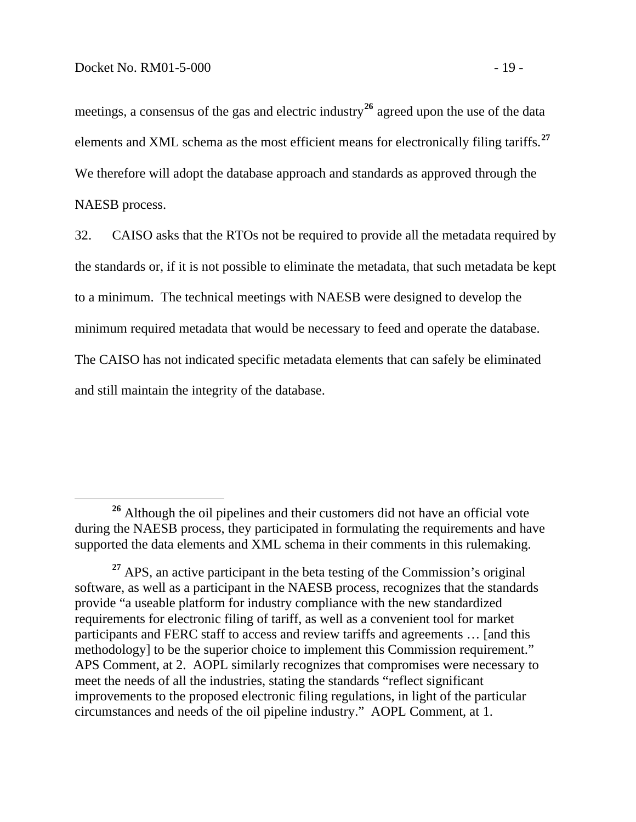meetings, a consensus of the gas and electric industry<sup>26</sup> agreed upon the use of the data elements and XML schema as the most efficient means for electronically filing tariffs.**<sup>27</sup>** We therefore will adopt the database approach and standards as approved through the NAESB process.

32. CAISO asks that the RTOs not be required to provide all the metadata required by the standards or, if it is not possible to eliminate the metadata, that such metadata be kept to a minimum. The technical meetings with NAESB were designed to develop the minimum required metadata that would be necessary to feed and operate the database. The CAISO has not indicated specific metadata elements that can safely be eliminated and still maintain the integrity of the database.

**<sup>26</sup>** Although the oil pipelines and their customers did not have an official vote during the NAESB process, they participated in formulating the requirements and have supported the data elements and XML schema in their comments in this rulemaking.

<sup>&</sup>lt;sup>27</sup> APS, an active participant in the beta testing of the Commission's original software, as well as a participant in the NAESB process, recognizes that the standards provide "a useable platform for industry compliance with the new standardized requirements for electronic filing of tariff, as well as a convenient tool for market participants and FERC staff to access and review tariffs and agreements … [and this methodology] to be the superior choice to implement this Commission requirement." APS Comment, at 2. AOPL similarly recognizes that compromises were necessary to meet the needs of all the industries, stating the standards "reflect significant improvements to the proposed electronic filing regulations, in light of the particular circumstances and needs of the oil pipeline industry." AOPL Comment, at 1.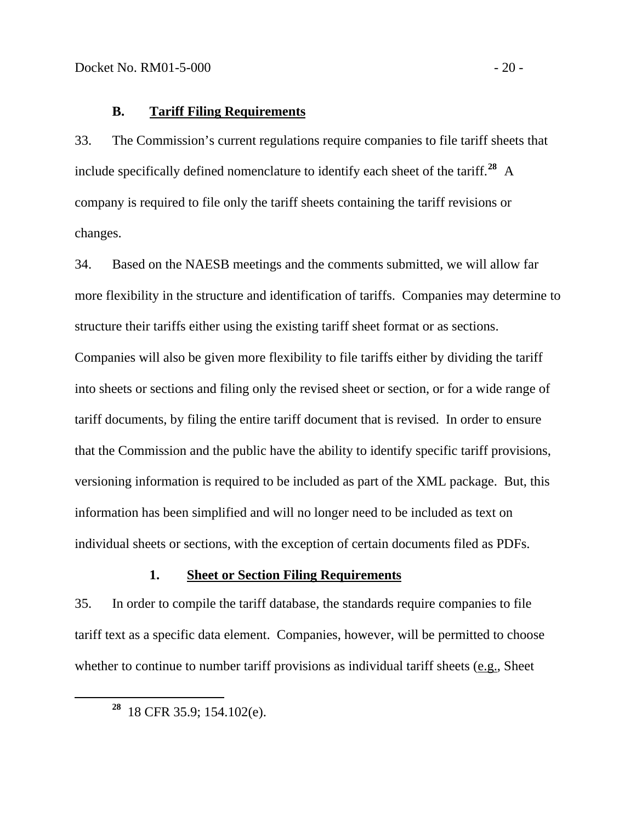### <span id="page-23-0"></span>**B. Tariff Filing Requirements**

33. The Commission's current regulations require companies to file tariff sheets that include specifically defined nomenclature to identify each sheet of the tariff.**[28](#page-23-1)** A company is required to file only the tariff sheets containing the tariff revisions or changes.

34. Based on the NAESB meetings and the comments submitted, we will allow far more flexibility in the structure and identification of tariffs. Companies may determine to structure their tariffs either using the existing tariff sheet format or as sections. Companies will also be given more flexibility to file tariffs either by dividing the tariff into sheets or sections and filing only the revised sheet or section, or for a wide range of tariff documents, by filing the entire tariff document that is revised. In order to ensure that the Commission and the public have the ability to identify specific tariff provisions, versioning information is required to be included as part of the XML package. But, this information has been simplified and will no longer need to be included as text on individual sheets or sections, with the exception of certain documents filed as PDFs.

#### **1. Sheet or Section Filing Requirements**

35. In order to compile the tariff database, the standards require companies to file tariff text as a specific data element. Companies, however, will be permitted to choose whether to continue to number tariff provisions as individual tariff sheets (e.g., Sheet

<span id="page-23-1"></span>**<sup>28</sup>** 18 CFR 35.9; 154.102(e).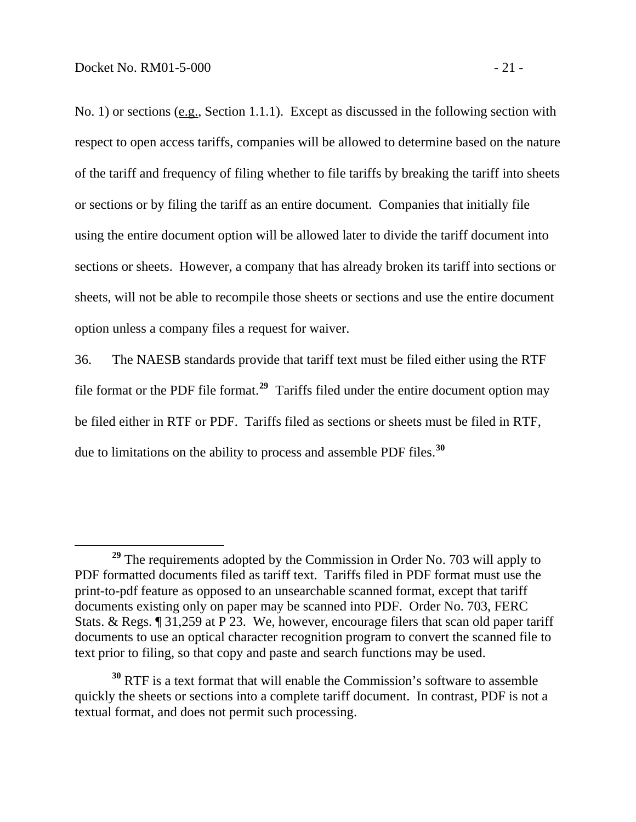No. 1) or sections (e.g., Section 1.1.1). Except as discussed in the following section with respect to open access tariffs, companies will be allowed to determine based on the nature of the tariff and frequency of filing whether to file tariffs by breaking the tariff into sheets or sections or by filing the tariff as an entire document. Companies that initially file using the entire document option will be allowed later to divide the tariff document into sections or sheets. However, a company that has already broken its tariff into sections or sheets, will not be able to recompile those sheets or sections and use the entire document option unless a company files a request for waiver.

36. The NAESB standards provide that tariff text must be filed either using the RTF file format or the PDF file format.**[29](#page-24-0)** Tariffs filed under the entire document option may be filed either in RTF or PDF. Tariffs filed as sections or sheets must be filed in RTF, due to limitations on the ability to process and assemble PDF files.**[30](#page-24-1)**

<span id="page-24-0"></span>**<sup>29</sup>** The requirements adopted by the Commission in Order No. 703 will apply to PDF formatted documents filed as tariff text. Tariffs filed in PDF format must use the print-to-pdf feature as opposed to an unsearchable scanned format, except that tariff documents existing only on paper may be scanned into PDF. Order No. 703, FERC Stats. & Regs. ¶ 31,259 at P 23. We, however, encourage filers that scan old paper tariff documents to use an optical character recognition program to convert the scanned file to text prior to filing, so that copy and paste and search functions may be used.

<span id="page-24-1"></span>**<sup>30</sup>** RTF is a text format that will enable the Commission's software to assemble quickly the sheets or sections into a complete tariff document. In contrast, PDF is not a textual format, and does not permit such processing.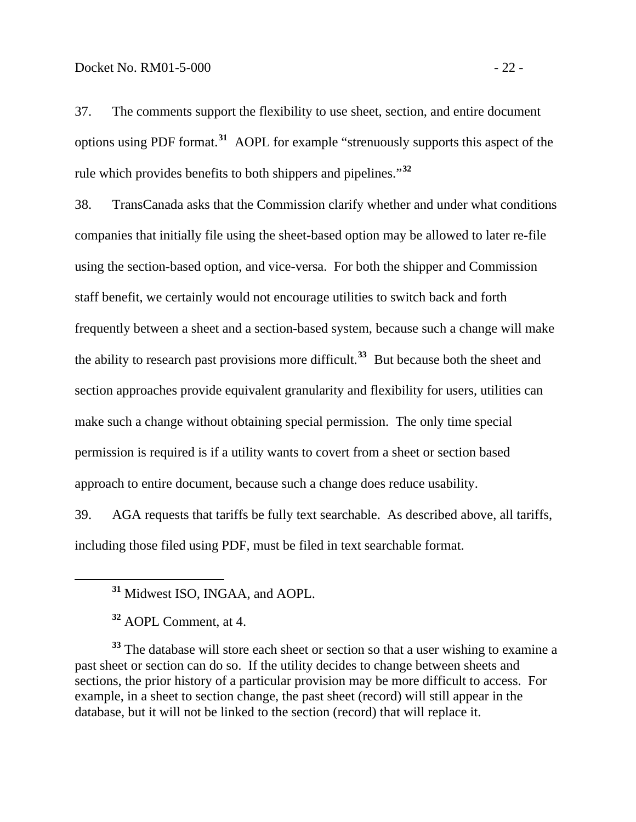37. The comments support the flexibility to use sheet, section, and entire document options using PDF format.**[31](#page-25-0)** AOPL for example "strenuously supports this aspect of the rule which provides benefits to both shippers and pipelines."**[32](#page-25-1)**

38. TransCanada asks that the Commission clarify whether and under what conditions companies that initially file using the sheet-based option may be allowed to later re-file using the section-based option, and vice-versa. For both the shipper and Commission staff benefit, we certainly would not encourage utilities to switch back and forth frequently between a sheet and a section-based system, because such a change will make the ability to research past provisions more difficult.**[33](#page-25-2)** But because both the sheet and section approaches provide equivalent granularity and flexibility for users, utilities can make such a change without obtaining special permission. The only time special permission is required is if a utility wants to covert from a sheet or section based approach to entire document, because such a change does reduce usability.

39. AGA requests that tariffs be fully text searchable. As described above, all tariffs, including those filed using PDF, must be filed in text searchable format.

<span id="page-25-0"></span>

<span id="page-25-2"></span><span id="page-25-1"></span><sup>33</sup> The database will store each sheet or section so that a user wishing to examine a past sheet or section can do so. If the utility decides to change between sheets and sections, the prior history of a particular provision may be more difficult to access. For example, in a sheet to section change, the past sheet (record) will still appear in the database, but it will not be linked to the section (record) that will replace it.

**<sup>31</sup>** Midwest ISO, INGAA, and AOPL.

**<sup>32</sup>** AOPL Comment, at 4.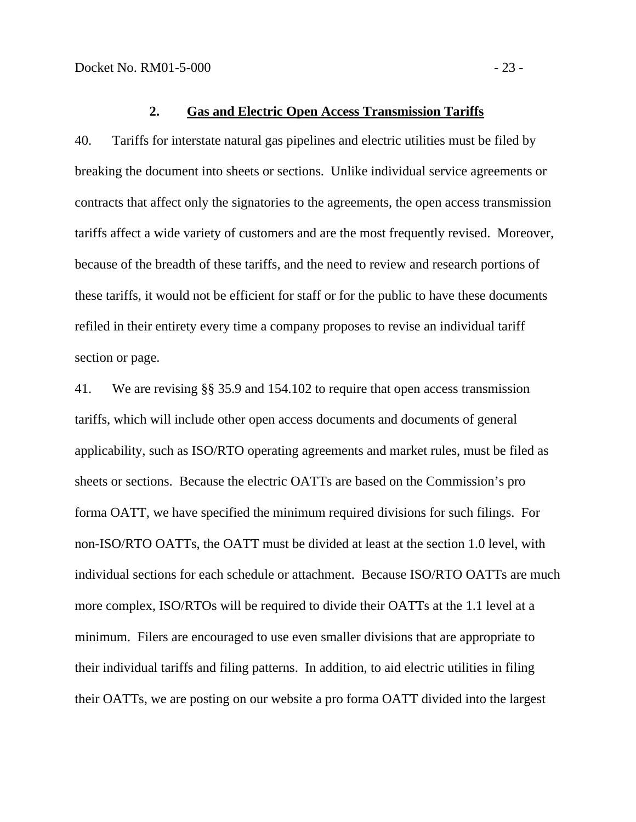#### **2. Gas and Electric Open Access Transmission Tariffs**

<span id="page-26-0"></span>40. Tariffs for interstate natural gas pipelines and electric utilities must be filed by breaking the document into sheets or sections. Unlike individual service agreements or contracts that affect only the signatories to the agreements, the open access transmission tariffs affect a wide variety of customers and are the most frequently revised. Moreover, because of the breadth of these tariffs, and the need to review and research portions of these tariffs, it would not be efficient for staff or for the public to have these documents refiled in their entirety every time a company proposes to revise an individual tariff section or page.

41. We are revising §§ 35.9 and 154.102 to require that open access transmission tariffs, which will include other open access documents and documents of general applicability, such as ISO/RTO operating agreements and market rules, must be filed as sheets or sections. Because the electric OATTs are based on the Commission's pro forma OATT, we have specified the minimum required divisions for such filings. For non-ISO/RTO OATTs, the OATT must be divided at least at the section 1.0 level, with individual sections for each schedule or attachment. Because ISO/RTO OATTs are much more complex, ISO/RTOs will be required to divide their OATTs at the 1.1 level at a minimum. Filers are encouraged to use even smaller divisions that are appropriate to their individual tariffs and filing patterns. In addition, to aid electric utilities in filing their OATTs, we are posting on our website a pro forma OATT divided into the largest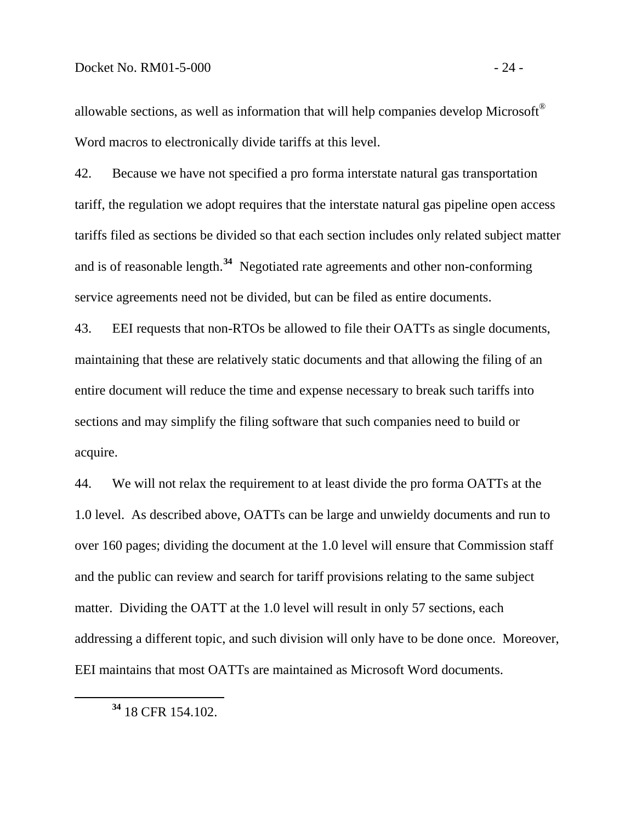allowable sections, as well as information that will help companies develop Microsoft® Word macros to electronically divide tariffs at this level.

42. Because we have not specified a pro forma interstate natural gas transportation tariff, the regulation we adopt requires that the interstate natural gas pipeline open access tariffs filed as sections be divided so that each section includes only related subject matter and is of reasonable length.**[34](#page-27-0)** Negotiated rate agreements and other non-conforming service agreements need not be divided, but can be filed as entire documents.

43. EEI requests that non-RTOs be allowed to file their OATTs as single documents, maintaining that these are relatively static documents and that allowing the filing of an entire document will reduce the time and expense necessary to break such tariffs into sections and may simplify the filing software that such companies need to build or acquire.

44. We will not relax the requirement to at least divide the pro forma OATTs at the 1.0 level. As described above, OATTs can be large and unwieldy documents and run to over 160 pages; dividing the document at the 1.0 level will ensure that Commission staff and the public can review and search for tariff provisions relating to the same subject matter. Dividing the OATT at the 1.0 level will result in only 57 sections, each addressing a different topic, and such division will only have to be done once. Moreover, EEI maintains that most OATTs are maintained as Microsoft Word documents.

<span id="page-27-0"></span>

**<sup>34</sup>** 18 CFR 154.102.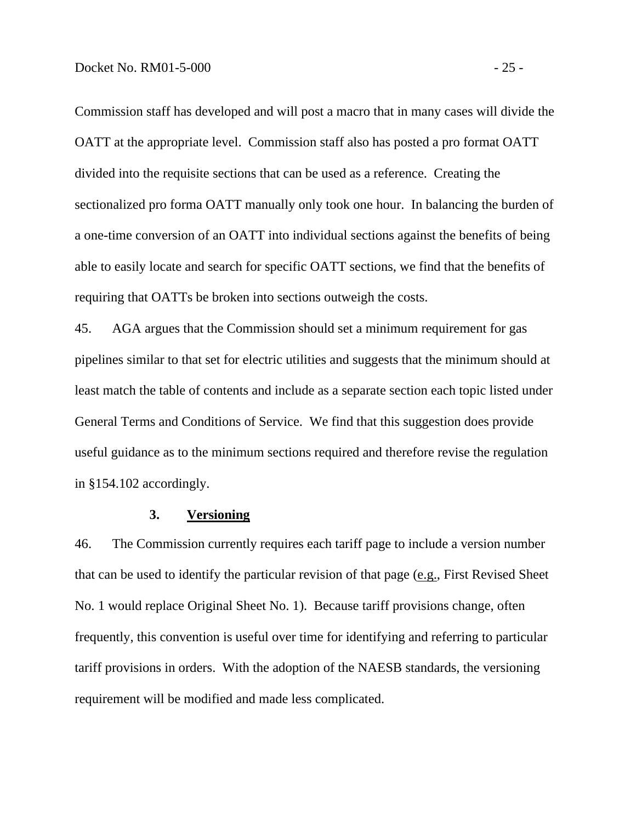<span id="page-28-0"></span>Commission staff has developed and will post a macro that in many cases will divide the OATT at the appropriate level. Commission staff also has posted a pro format OATT divided into the requisite sections that can be used as a reference. Creating the sectionalized pro forma OATT manually only took one hour. In balancing the burden of a one-time conversion of an OATT into individual sections against the benefits of being able to easily locate and search for specific OATT sections, we find that the benefits of requiring that OATTs be broken into sections outweigh the costs.

45. AGA argues that the Commission should set a minimum requirement for gas pipelines similar to that set for electric utilities and suggests that the minimum should at least match the table of contents and include as a separate section each topic listed under General Terms and Conditions of Service. We find that this suggestion does provide useful guidance as to the minimum sections required and therefore revise the regulation in §154.102 accordingly.

### **3. Versioning**

46. The Commission currently requires each tariff page to include a version number that can be used to identify the particular revision of that page (e.g., First Revised Sheet No. 1 would replace Original Sheet No. 1). Because tariff provisions change, often frequently, this convention is useful over time for identifying and referring to particular tariff provisions in orders. With the adoption of the NAESB standards, the versioning requirement will be modified and made less complicated.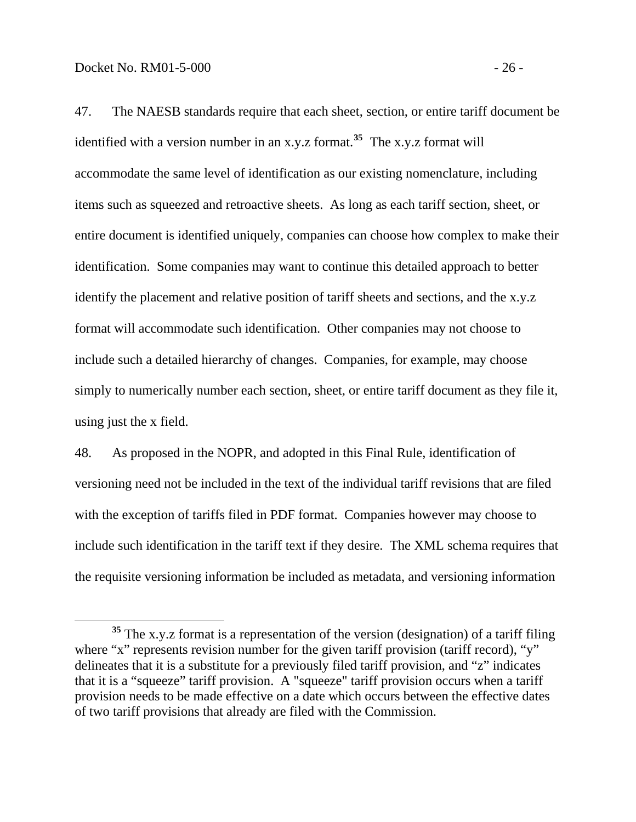47. The NAESB standards require that each sheet, section, or entire tariff document be identified with a version number in an x.y.z format.**[35](#page-29-0)** The x.y.z format will accommodate the same level of identification as our existing nomenclature, including items such as squeezed and retroactive sheets. As long as each tariff section, sheet, or entire document is identified uniquely, companies can choose how complex to make their identification. Some companies may want to continue this detailed approach to better identify the placement and relative position of tariff sheets and sections, and the x.y.z format will accommodate such identification. Other companies may not choose to include such a detailed hierarchy of changes. Companies, for example, may choose simply to numerically number each section, sheet, or entire tariff document as they file it, using just the x field.

48. As proposed in the NOPR, and adopted in this Final Rule, identification of versioning need not be included in the text of the individual tariff revisions that are filed with the exception of tariffs filed in PDF format. Companies however may choose to include such identification in the tariff text if they desire. The XML schema requires that the requisite versioning information be included as metadata, and versioning information

<span id="page-29-0"></span>**<sup>35</sup>** The x.y.z format is a representation of the version (designation) of a tariff filing where "x" represents revision number for the given tariff provision (tariff record), "y" delineates that it is a substitute for a previously filed tariff provision, and "z" indicates that it is a "squeeze" tariff provision. A "squeeze" tariff provision occurs when a tariff provision needs to be made effective on a date which occurs between the effective dates of two tariff provisions that already are filed with the Commission.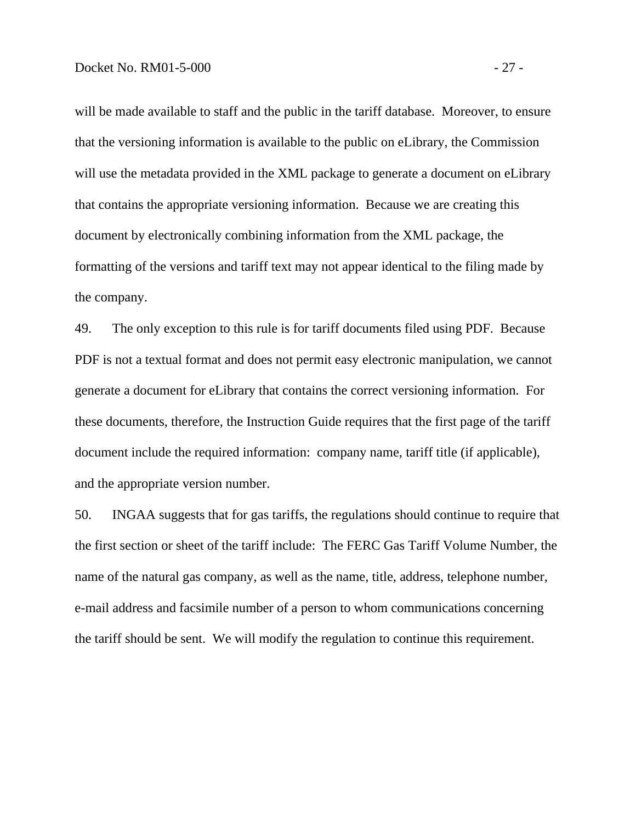will be made available to staff and the public in the tariff database. Moreover, to ensure that the versioning information is available to the public on eLibrary, the Commission will use the metadata provided in the XML package to generate a document on eLibrary that contains the appropriate versioning information. Because we are creating this document by electronically combining information from the XML package, the formatting of the versions and tariff text may not appear identical to the filing made by the company.

49. The only exception to this rule is for tariff documents filed using PDF. Because PDF is not a textual format and does not permit easy electronic manipulation, we cannot generate a document for eLibrary that contains the correct versioning information. For these documents, therefore, the Instruction Guide requires that the first page of the tariff document include the required information: company name, tariff title (if applicable), and the appropriate version number.

50. INGAA suggests that for gas tariffs, the regulations should continue to require that the first section or sheet of the tariff include: The FERC Gas Tariff Volume Number, the name of the natural gas company, as well as the name, title, address, telephone number, e-mail address and facsimile number of a person to whom communications concerning the tariff should be sent. We will modify the regulation to continue this requirement.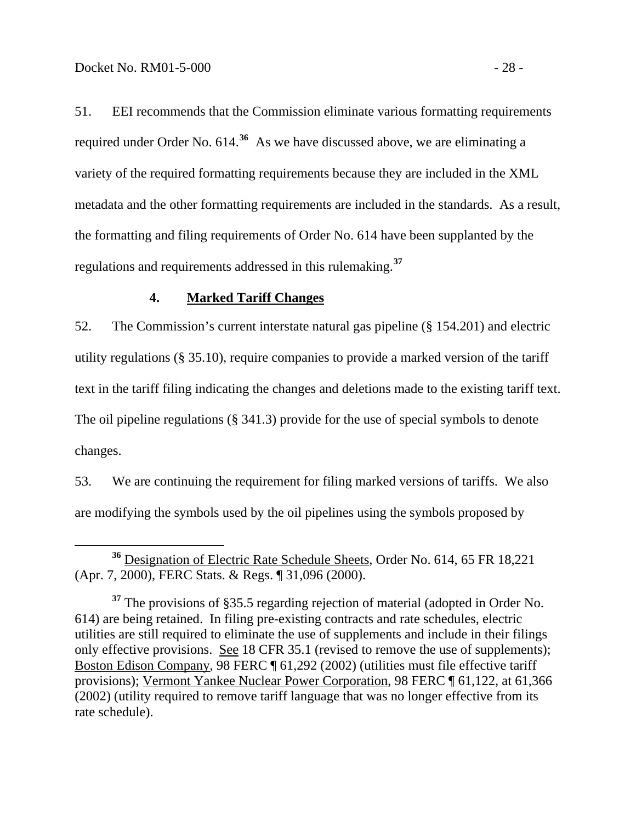<span id="page-31-0"></span>51. EEI recommends that the Commission eliminate various formatting requirements required under Order No. 614.**[36](#page-31-1)** As we have discussed above, we are eliminating a variety of the required formatting requirements because they are included in the XML metadata and the other formatting requirements are included in the standards. As a result, the formatting and filing requirements of Order No. 614 have been supplanted by the regulations and requirements addressed in this rulemaking.**[37](#page-31-2)**

### **4. Marked Tariff Changes**

52. The Commission's current interstate natural gas pipeline (§ 154.201) and electric utility regulations (§ 35.10), require companies to provide a marked version of the tariff text in the tariff filing indicating the changes and deletions made to the existing tariff text. The oil pipeline regulations (§ 341.3) provide for the use of special symbols to denote changes.

53. We are continuing the requirement for filing marked versions of tariffs. We also are modifying the symbols used by the oil pipelines using the symbols proposed by

<span id="page-31-1"></span>**<sup>36</sup>** Designation of Electric Rate Schedule Sheets, Order No. 614, 65 FR 18,221 (Apr. 7, 2000), FERC Stats. & Regs. ¶ 31,096 (2000).

<span id="page-31-2"></span>**<sup>37</sup>** The provisions of §35.5 regarding rejection of material (adopted in Order No. 614) are being retained. In filing pre-existing contracts and rate schedules, electric utilities are still required to eliminate the use of supplements and include in their filings only effective provisions. See 18 CFR 35.1 (revised to remove the use of supplements); Boston Edison Company, 98 FERC ¶ 61,292 (2002) (utilities must file effective tariff provisions); Vermont Yankee Nuclear Power Corporation, 98 FERC ¶ 61,122, at 61,366 (2002) (utility required to remove tariff language that was no longer effective from its rate schedule).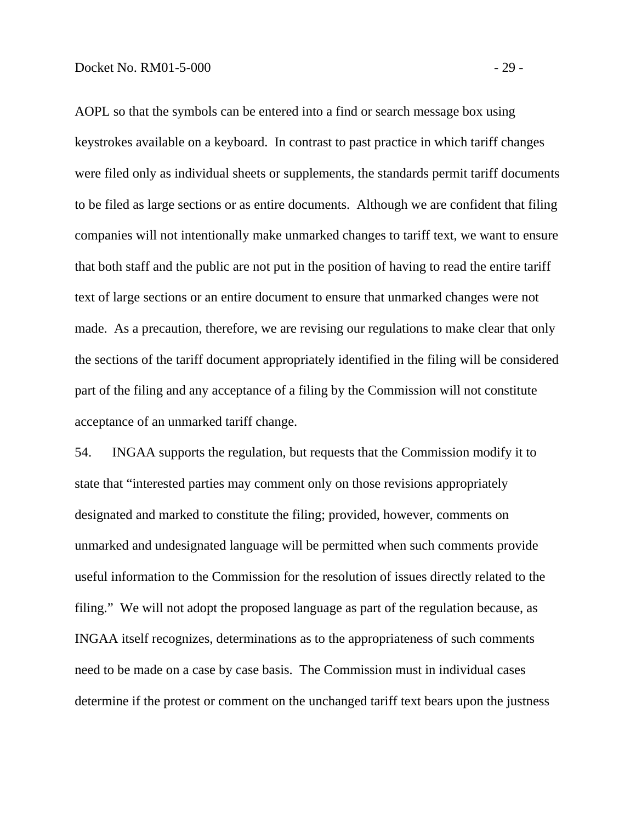AOPL so that the symbols can be entered into a find or search message box using keystrokes available on a keyboard. In contrast to past practice in which tariff changes were filed only as individual sheets or supplements, the standards permit tariff documents to be filed as large sections or as entire documents. Although we are confident that filing companies will not intentionally make unmarked changes to tariff text, we want to ensure that both staff and the public are not put in the position of having to read the entire tariff text of large sections or an entire document to ensure that unmarked changes were not made. As a precaution, therefore, we are revising our regulations to make clear that only the sections of the tariff document appropriately identified in the filing will be considered part of the filing and any acceptance of a filing by the Commission will not constitute acceptance of an unmarked tariff change.

54. INGAA supports the regulation, but requests that the Commission modify it to state that "interested parties may comment only on those revisions appropriately designated and marked to constitute the filing; provided, however, comments on unmarked and undesignated language will be permitted when such comments provide useful information to the Commission for the resolution of issues directly related to the filing." We will not adopt the proposed language as part of the regulation because, as INGAA itself recognizes, determinations as to the appropriateness of such comments need to be made on a case by case basis. The Commission must in individual cases determine if the protest or comment on the unchanged tariff text bears upon the justness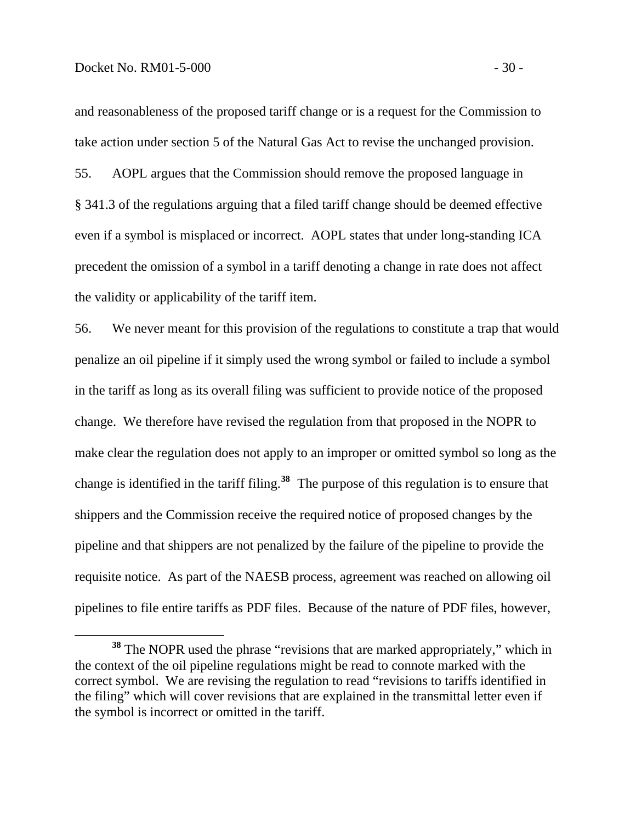and reasonableness of the proposed tariff change or is a request for the Commission to take action under section 5 of the Natural Gas Act to revise the unchanged provision.

55. AOPL argues that the Commission should remove the proposed language in § 341.3 of the regulations arguing that a filed tariff change should be deemed effective even if a symbol is misplaced or incorrect. AOPL states that under long-standing ICA precedent the omission of a symbol in a tariff denoting a change in rate does not affect the validity or applicability of the tariff item.

56. We never meant for this provision of the regulations to constitute a trap that would penalize an oil pipeline if it simply used the wrong symbol or failed to include a symbol in the tariff as long as its overall filing was sufficient to provide notice of the proposed change. We therefore have revised the regulation from that proposed in the NOPR to make clear the regulation does not apply to an improper or omitted symbol so long as the change is identified in the tariff filing.**[38](#page-33-0)** The purpose of this regulation is to ensure that shippers and the Commission receive the required notice of proposed changes by the pipeline and that shippers are not penalized by the failure of the pipeline to provide the requisite notice. As part of the NAESB process, agreement was reached on allowing oil pipelines to file entire tariffs as PDF files. Because of the nature of PDF files, however,

<span id="page-33-0"></span>**<sup>38</sup>** The NOPR used the phrase "revisions that are marked appropriately," which in the context of the oil pipeline regulations might be read to connote marked with the correct symbol. We are revising the regulation to read "revisions to tariffs identified in the filing" which will cover revisions that are explained in the transmittal letter even if the symbol is incorrect or omitted in the tariff.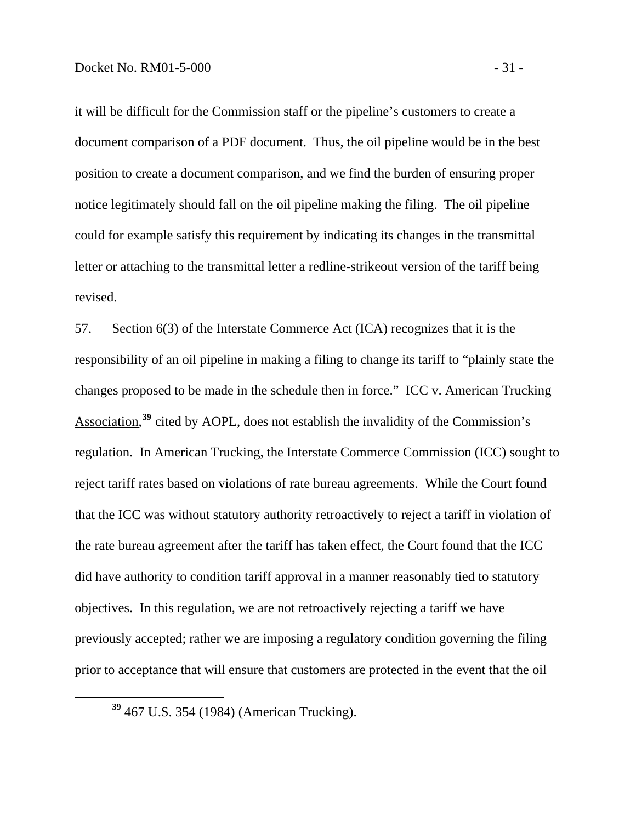it will be difficult for the Commission staff or the pipeline's customers to create a document comparison of a PDF document. Thus, the oil pipeline would be in the best position to create a document comparison, and we find the burden of ensuring proper notice legitimately should fall on the oil pipeline making the filing. The oil pipeline could for example satisfy this requirement by indicating its changes in the transmittal letter or attaching to the transmittal letter a redline-strikeout version of the tariff being revised.

57. Section 6(3) of the Interstate Commerce Act (ICA) recognizes that it is the responsibility of an oil pipeline in making a filing to change its tariff to "plainly state the changes proposed to be made in the schedule then in force." ICC v. American Trucking Association,<sup>[39](#page-34-0)</sup> cited by AOPL, does not establish the invalidity of the Commission's regulation. In American Trucking, the Interstate Commerce Commission (ICC) sought to reject tariff rates based on violations of rate bureau agreements. While the Court found that the ICC was without statutory authority retroactively to reject a tariff in violation of the rate bureau agreement after the tariff has taken effect, the Court found that the ICC did have authority to condition tariff approval in a manner reasonably tied to statutory objectives. In this regulation, we are not retroactively rejecting a tariff we have previously accepted; rather we are imposing a regulatory condition governing the filing prior to acceptance that will ensure that customers are protected in the event that the oil

<span id="page-34-0"></span>**<sup>39</sup>** 467 U.S. 354 (1984) (American Trucking).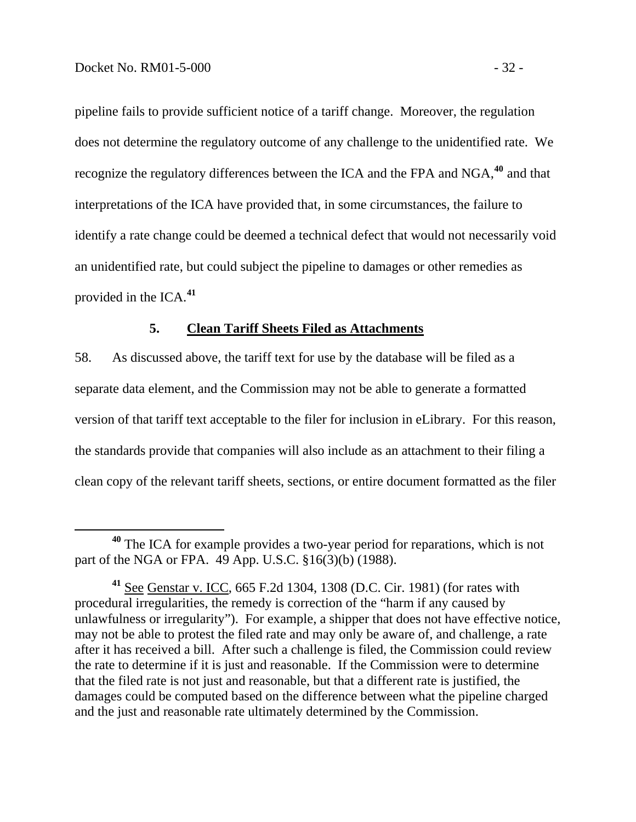<span id="page-35-0"></span>pipeline fails to provide sufficient notice of a tariff change. Moreover, the regulation does not determine the regulatory outcome of any challenge to the unidentified rate. We recognize the regulatory differences between the ICA and the FPA and NGA,**<sup>40</sup>** and that interpretations of the ICA have provided that, in some circumstances, the failure to identify a rate change could be deemed a technical defect that would not necessarily void an unidentified rate, but could subject the pipeline to damages or other remedies as provided in the ICA.**<sup>41</sup>**

### **5. Clean Tariff Sheets Filed as Attachments**

58. As discussed above, the tariff text for use by the database will be filed as a separate data element, and the Commission may not be able to generate a formatted version of that tariff text acceptable to the filer for inclusion in eLibrary. For this reason, the standards provide that companies will also include as an attachment to their filing a clean copy of the relevant tariff sheets, sections, or entire document formatted as the filer

**<sup>40</sup>** The ICA for example provides a two-year period for reparations, which is not part of the NGA or FPA. 49 App. U.S.C. §16(3)(b) (1988).

**<sup>41</sup>** See Genstar v. ICC, 665 F.2d 1304, 1308 (D.C. Cir. 1981) (for rates with procedural irregularities, the remedy is correction of the "harm if any caused by unlawfulness or irregularity"). For example, a shipper that does not have effective notice, may not be able to protest the filed rate and may only be aware of, and challenge, a rate after it has received a bill. After such a challenge is filed, the Commission could review the rate to determine if it is just and reasonable. If the Commission were to determine that the filed rate is not just and reasonable, but that a different rate is justified, the damages could be computed based on the difference between what the pipeline charged and the just and reasonable rate ultimately determined by the Commission.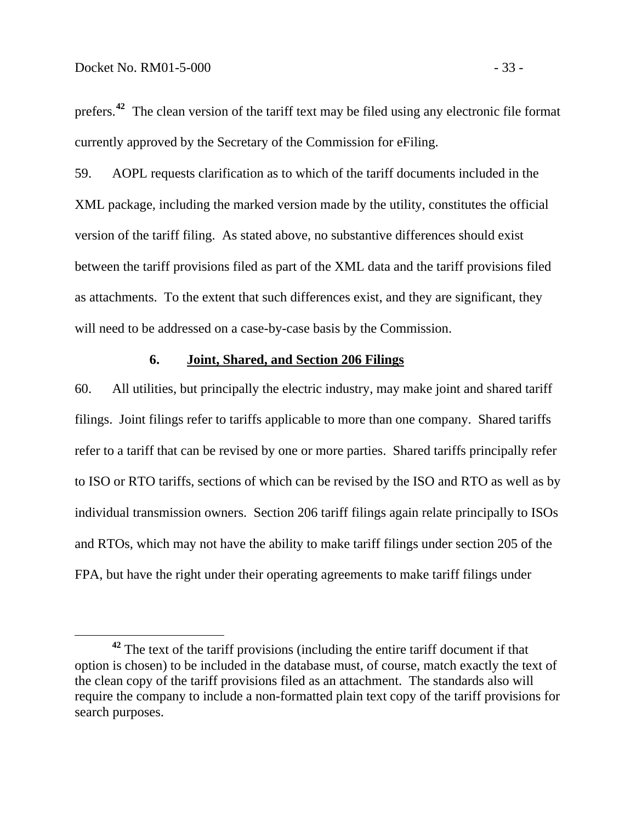prefers.**<sup>42</sup>** The clean version of the tariff text may be filed using any electronic file format currently approved by the Secretary of the Commission for eFiling.

59. AOPL requests clarification as to which of the tariff documents included in the XML package, including the marked version made by the utility, constitutes the official version of the tariff filing. As stated above, no substantive differences should exist between the tariff provisions filed as part of the XML data and the tariff provisions filed as attachments. To the extent that such differences exist, and they are significant, they will need to be addressed on a case-by-case basis by the Commission.

#### **6. Joint, Shared, and Section 206 Filings**

60. All utilities, but principally the electric industry, may make joint and shared tariff filings. Joint filings refer to tariffs applicable to more than one company. Shared tariffs refer to a tariff that can be revised by one or more parties. Shared tariffs principally refer to ISO or RTO tariffs, sections of which can be revised by the ISO and RTO as well as by individual transmission owners. Section 206 tariff filings again relate principally to ISOs and RTOs, which may not have the ability to make tariff filings under section 205 of the FPA, but have the right under their operating agreements to make tariff filings under

**<sup>42</sup>** The text of the tariff provisions (including the entire tariff document if that option is chosen) to be included in the database must, of course, match exactly the text of the clean copy of the tariff provisions filed as an attachment. The standards also will require the company to include a non-formatted plain text copy of the tariff provisions for search purposes.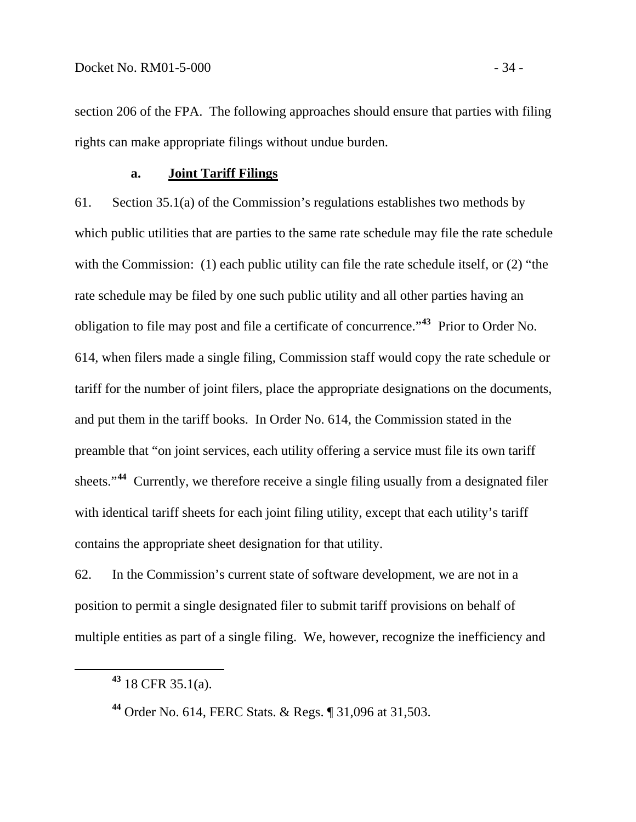section 206 of the FPA. The following approaches should ensure that parties with filing rights can make appropriate filings without undue burden.

# **a. Joint Tariff Filings**

61. Section 35.1(a) of the Commission's regulations establishes two methods by which public utilities that are parties to the same rate schedule may file the rate schedule with the Commission: (1) each public utility can file the rate schedule itself, or (2) "the rate schedule may be filed by one such public utility and all other parties having an obligation to file may post and file a certificate of concurrence."**[43](#page-37-0)** Prior to Order No. 614, when filers made a single filing, Commission staff would copy the rate schedule or tariff for the number of joint filers, place the appropriate designations on the documents, and put them in the tariff books. In Order No. 614, the Commission stated in the preamble that "on joint services, each utility offering a service must file its own tariff sheets."**[44](#page-37-1)** Currently, we therefore receive a single filing usually from a designated filer with identical tariff sheets for each joint filing utility, except that each utility's tariff contains the appropriate sheet designation for that utility.

62. In the Commission's current state of software development, we are not in a position to permit a single designated filer to submit tariff provisions on behalf of multiple entities as part of a single filing. We, however, recognize the inefficiency and

<span id="page-37-0"></span>**<sup>43</sup>** 18 CFR 35.1(a).

<span id="page-37-1"></span>**<sup>44</sup>** Order No. 614, FERC Stats. & Regs. ¶ 31,096 at 31,503.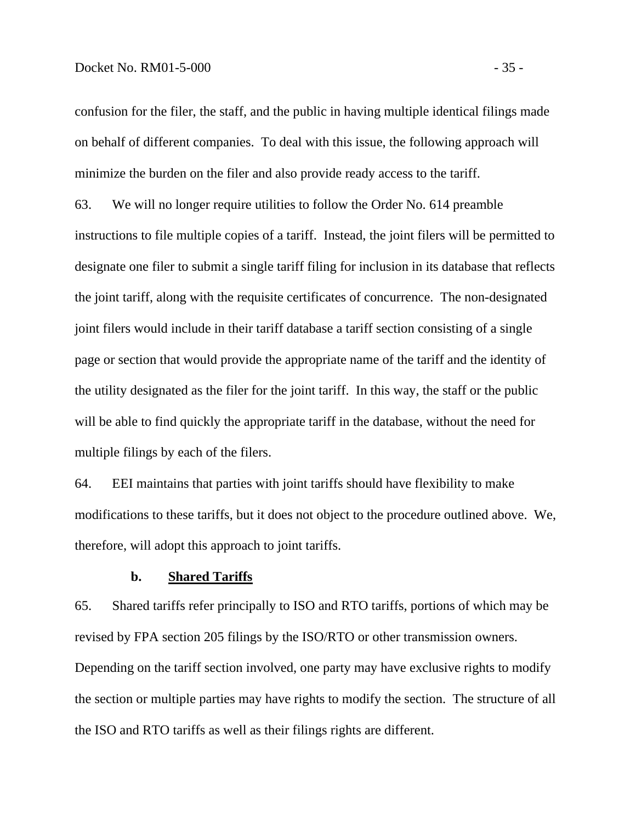confusion for the filer, the staff, and the public in having multiple identical filings made on behalf of different companies. To deal with this issue, the following approach will minimize the burden on the filer and also provide ready access to the tariff.

63. We will no longer require utilities to follow the Order No. 614 preamble instructions to file multiple copies of a tariff. Instead, the joint filers will be permitted to designate one filer to submit a single tariff filing for inclusion in its database that reflects the joint tariff, along with the requisite certificates of concurrence. The non-designated joint filers would include in their tariff database a tariff section consisting of a single page or section that would provide the appropriate name of the tariff and the identity of the utility designated as the filer for the joint tariff. In this way, the staff or the public will be able to find quickly the appropriate tariff in the database, without the need for multiple filings by each of the filers.

64. EEI maintains that parties with joint tariffs should have flexibility to make modifications to these tariffs, but it does not object to the procedure outlined above. We, therefore, will adopt this approach to joint tariffs.

#### **b. Shared Tariffs**

65. Shared tariffs refer principally to ISO and RTO tariffs, portions of which may be revised by FPA section 205 filings by the ISO/RTO or other transmission owners. Depending on the tariff section involved, one party may have exclusive rights to modify the section or multiple parties may have rights to modify the section. The structure of all the ISO and RTO tariffs as well as their filings rights are different.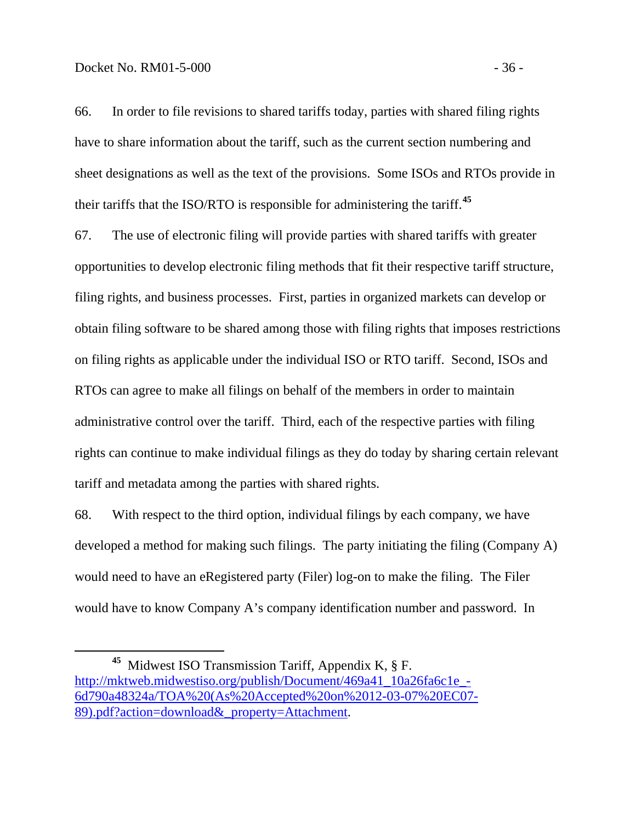$\overline{a}$ 

66. In order to file revisions to shared tariffs today, parties with shared filing rights have to share information about the tariff, such as the current section numbering and sheet designations as well as the text of the provisions. Some ISOs and RTOs provide in their tariffs that the ISO/RTO is responsible for administering the tariff.**[45](#page-39-0)**

67. The use of electronic filing will provide parties with shared tariffs with greater opportunities to develop electronic filing methods that fit their respective tariff structure, filing rights, and business processes. First, parties in organized markets can develop or obtain filing software to be shared among those with filing rights that imposes restrictions on filing rights as applicable under the individual ISO or RTO tariff. Second, ISOs and RTOs can agree to make all filings on behalf of the members in order to maintain administrative control over the tariff. Third, each of the respective parties with filing rights can continue to make individual filings as they do today by sharing certain relevant tariff and metadata among the parties with shared rights.

68. With respect to the third option, individual filings by each company, we have developed a method for making such filings. The party initiating the filing (Company A) would need to have an eRegistered party (Filer) log-on to make the filing. The Filer would have to know Company A's company identification number and password. In

<span id="page-39-0"></span>**<sup>45</sup>** Midwest ISO Transmission Tariff, Appendix K, § F. [http://mktweb.midwestiso.org/publish/Document/469a41\\_10a26fa6c1e\\_-](http://mktweb.midwestiso.org/publish/Document/469a41_10a26fa6c1e_-6d790a48324a/TOA%20(As%20Accepted%20on%2012-03-07%20EC07-89).pdf?action=download&_property=Attachment) [6d790a48324a/TOA%20\(As%20Accepted%20on%2012-03-07%20EC07-](http://mktweb.midwestiso.org/publish/Document/469a41_10a26fa6c1e_-6d790a48324a/TOA%20(As%20Accepted%20on%2012-03-07%20EC07-89).pdf?action=download&_property=Attachment) [89\).pdf?action=download&\\_property=Attachment.](http://mktweb.midwestiso.org/publish/Document/469a41_10a26fa6c1e_-6d790a48324a/TOA%20(As%20Accepted%20on%2012-03-07%20EC07-89).pdf?action=download&_property=Attachment)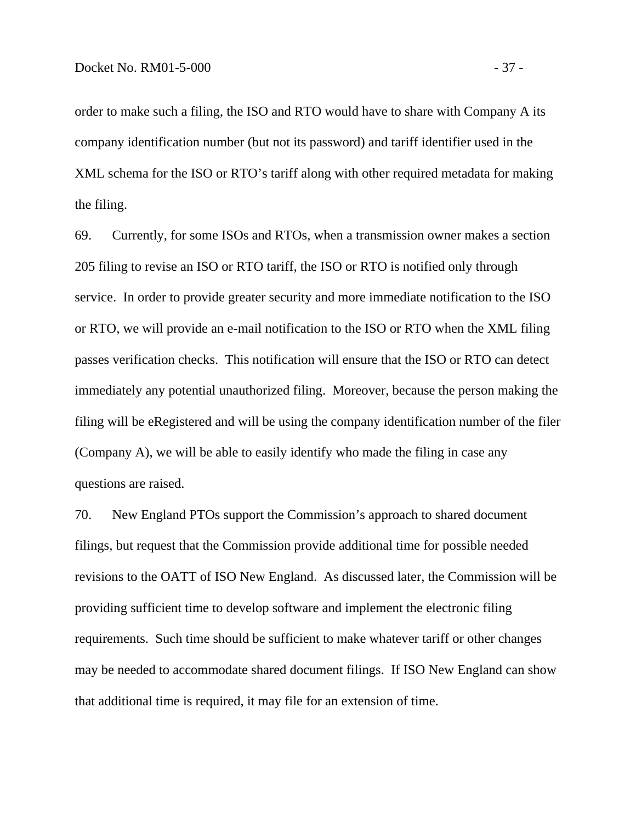order to make such a filing, the ISO and RTO would have to share with Company A its company identification number (but not its password) and tariff identifier used in the XML schema for the ISO or RTO's tariff along with other required metadata for making the filing.

69. Currently, for some ISOs and RTOs, when a transmission owner makes a section 205 filing to revise an ISO or RTO tariff, the ISO or RTO is notified only through service. In order to provide greater security and more immediate notification to the ISO or RTO, we will provide an e-mail notification to the ISO or RTO when the XML filing passes verification checks. This notification will ensure that the ISO or RTO can detect immediately any potential unauthorized filing. Moreover, because the person making the filing will be eRegistered and will be using the company identification number of the filer (Company A), we will be able to easily identify who made the filing in case any questions are raised.

70. New England PTOs support the Commission's approach to shared document filings, but request that the Commission provide additional time for possible needed revisions to the OATT of ISO New England. As discussed later, the Commission will be providing sufficient time to develop software and implement the electronic filing requirements. Such time should be sufficient to make whatever tariff or other changes may be needed to accommodate shared document filings. If ISO New England can show that additional time is required, it may file for an extension of time.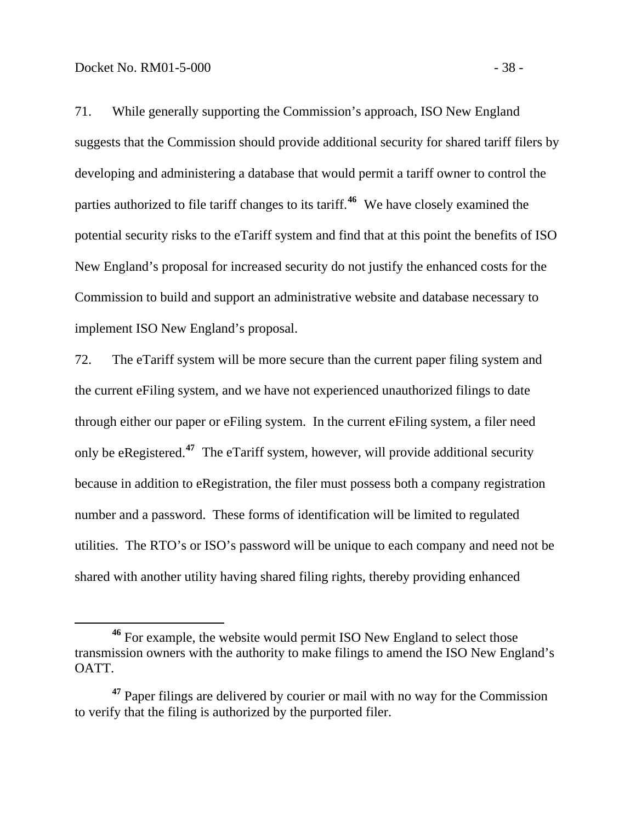$\overline{a}$ 

71. While generally supporting the Commission's approach, ISO New England suggests that the Commission should provide additional security for shared tariff filers by developing and administering a database that would permit a tariff owner to control the parties authorized to file tariff changes to its tariff.**[46](#page-41-0)** We have closely examined the potential security risks to the eTariff system and find that at this point the benefits of ISO New England's proposal for increased security do not justify the enhanced costs for the Commission to build and support an administrative website and database necessary to implement ISO New England's proposal.

72. The eTariff system will be more secure than the current paper filing system and the current eFiling system, and we have not experienced unauthorized filings to date through either our paper or eFiling system. In the current eFiling system, a filer need only be eRegistered.**[47](#page-41-1)** The eTariff system, however, will provide additional security because in addition to eRegistration, the filer must possess both a company registration number and a password. These forms of identification will be limited to regulated utilities. The RTO's or ISO's password will be unique to each company and need not be shared with another utility having shared filing rights, thereby providing enhanced

<span id="page-41-0"></span>**<sup>46</sup>** For example, the website would permit ISO New England to select those transmission owners with the authority to make filings to amend the ISO New England's OATT.

<span id="page-41-1"></span>**<sup>47</sup>** Paper filings are delivered by courier or mail with no way for the Commission to verify that the filing is authorized by the purported filer.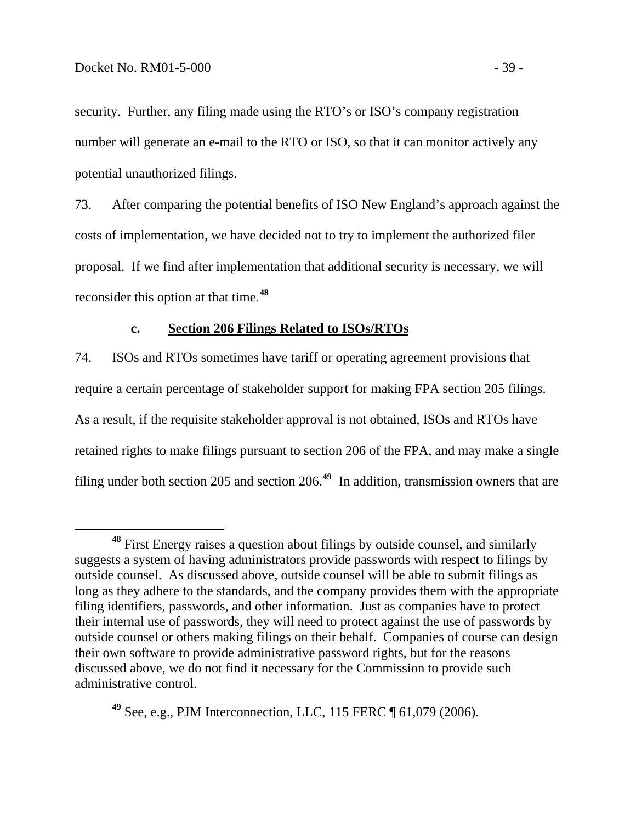security. Further, any filing made using the RTO's or ISO's company registration number will generate an e-mail to the RTO or ISO, so that it can monitor actively any potential unauthorized filings.

73. After comparing the potential benefits of ISO New England's approach against the costs of implementation, we have decided not to try to implement the authorized filer proposal. If we find after implementation that additional security is necessary, we will reconsider this option at that time.**[48](#page-42-0)**

#### **c. Section 206 Filings Related to ISOs/RTOs**

74. ISOs and RTOs sometimes have tariff or operating agreement provisions that require a certain percentage of stakeholder support for making FPA section 205 filings. As a result, if the requisite stakeholder approval is not obtained, ISOs and RTOs have retained rights to make filings pursuant to section 206 of the FPA, and may make a single filing under both section 205 and section 206.**[49](#page-42-1)** In addition, transmission owners that are

<span id="page-42-1"></span>**<sup>49</sup>** See, e.g., PJM Interconnection, LLC, 115 FERC ¶ 61,079 (2006).

<span id="page-42-0"></span>**<sup>48</sup>** First Energy raises a question about filings by outside counsel, and similarly suggests a system of having administrators provide passwords with respect to filings by outside counsel. As discussed above, outside counsel will be able to submit filings as long as they adhere to the standards, and the company provides them with the appropriate filing identifiers, passwords, and other information. Just as companies have to protect their internal use of passwords, they will need to protect against the use of passwords by outside counsel or others making filings on their behalf. Companies of course can design their own software to provide administrative password rights, but for the reasons discussed above, we do not find it necessary for the Commission to provide such administrative control.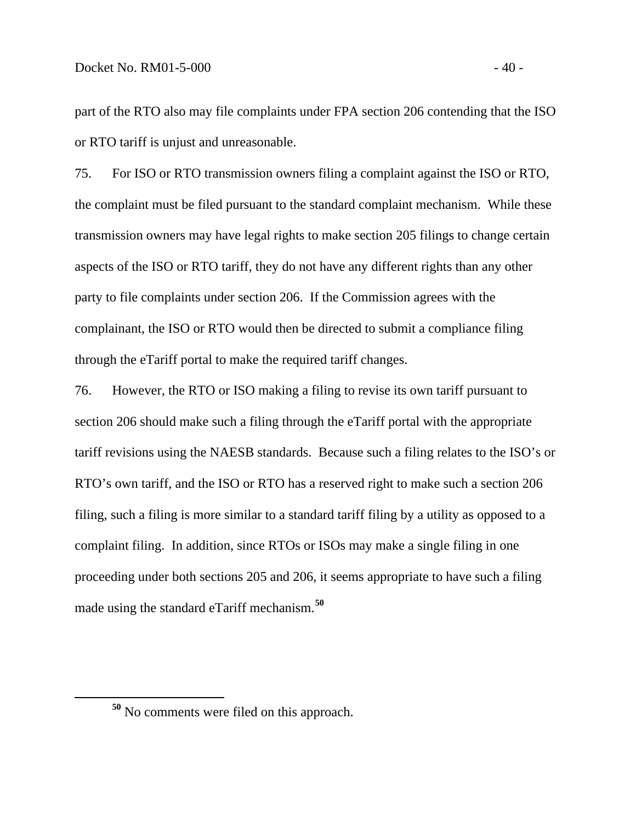part of the RTO also may file complaints under FPA section 206 contending that the ISO or RTO tariff is unjust and unreasonable.

75. For ISO or RTO transmission owners filing a complaint against the ISO or RTO, the complaint must be filed pursuant to the standard complaint mechanism. While these transmission owners may have legal rights to make section 205 filings to change certain aspects of the ISO or RTO tariff, they do not have any different rights than any other party to file complaints under section 206. If the Commission agrees with the complainant, the ISO or RTO would then be directed to submit a compliance filing through the eTariff portal to make the required tariff changes.

76. However, the RTO or ISO making a filing to revise its own tariff pursuant to section 206 should make such a filing through the eTariff portal with the appropriate tariff revisions using the NAESB standards. Because such a filing relates to the ISO's or RTO's own tariff, and the ISO or RTO has a reserved right to make such a section 206 filing, such a filing is more similar to a standard tariff filing by a utility as opposed to a complaint filing. In addition, since RTOs or ISOs may make a single filing in one proceeding under both sections 205 and 206, it seems appropriate to have such a filing made using the standard eTariff mechanism.**[50](#page-43-0)**

<span id="page-43-0"></span>

**<sup>50</sup>** No comments were filed on this approach.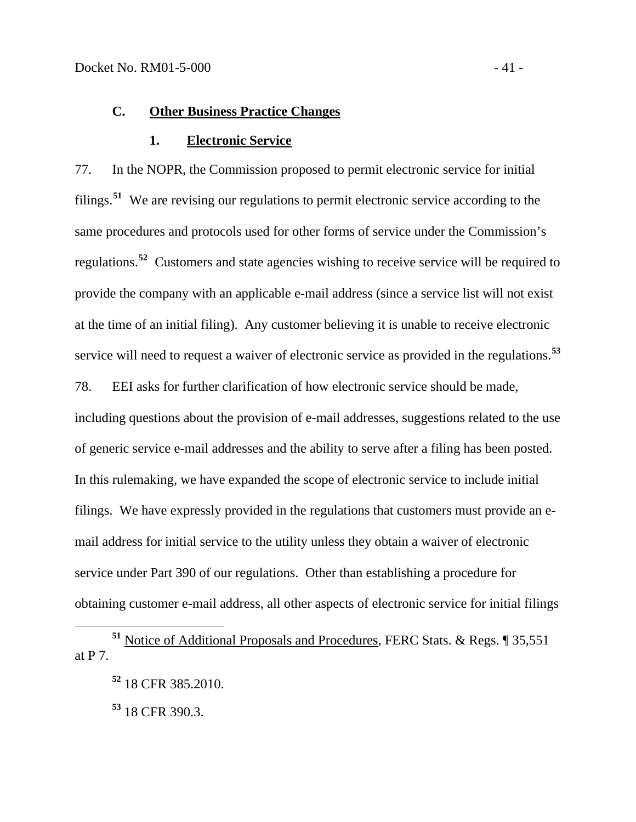#### **C. Other Business Practice Changes**

#### **1. Electronic Service**

77. In the NOPR, the Commission proposed to permit electronic service for initial filings.**[51](#page-44-0)** We are revising our regulations to permit electronic service according to the same procedures and protocols used for other forms of service under the Commission's regulations.**[52](#page-44-1)** Customers and state agencies wishing to receive service will be required to provide the company with an applicable e-mail address (since a service list will not exist at the time of an initial filing). Any customer believing it is unable to receive electronic service will need to request a waiver of electronic service as provided in the regulations.**[53](#page-44-2)**

78. EEI asks for further clarification of how electronic service should be made, including questions about the provision of e-mail addresses, suggestions related to the use of generic service e-mail addresses and the ability to serve after a filing has been posted. In this rulemaking, we have expanded the scope of electronic service to include initial filings. We have expressly provided in the regulations that customers must provide an email address for initial service to the utility unless they obtain a waiver of electronic service under Part 390 of our regulations. Other than establishing a procedure for obtaining customer e-mail address, all other aspects of electronic service for initial filings

**<sup>53</sup>** 18 CFR 390.3.

<span id="page-44-2"></span><span id="page-44-1"></span><span id="page-44-0"></span>**<sup>51</sup>** Notice of Additional Proposals and Procedures, FERC Stats. & Regs. ¶ 35,551 at P 7.

**<sup>52</sup>** 18 CFR 385.2010.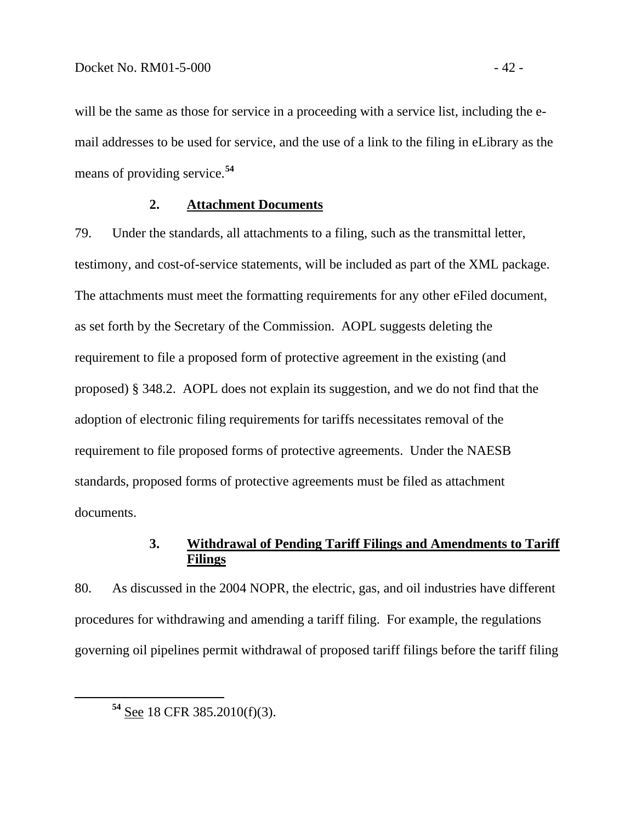will be the same as those for service in a proceeding with a service list, including the email addresses to be used for service, and the use of a link to the filing in eLibrary as the means of providing service.**<sup>54</sup>**

### **2. Attachment Documents**

79. Under the standards, all attachments to a filing, such as the transmittal letter, testimony, and cost-of-service statements, will be included as part of the XML package. The attachments must meet the formatting requirements for any other eFiled document, as set forth by the Secretary of the Commission. AOPL suggests deleting the requirement to file a proposed form of protective agreement in the existing (and proposed) § 348.2. AOPL does not explain its suggestion, and we do not find that the adoption of electronic filing requirements for tariffs necessitates removal of the requirement to file proposed forms of protective agreements. Under the NAESB standards, proposed forms of protective agreements must be filed as attachment documents.

# **3. Withdrawal of Pending Tariff Filings and Amendments to Tariff Filings**

80. As discussed in the 2004 NOPR, the electric, gas, and oil industries have different procedures for withdrawing and amending a tariff filing. For example, the regulations governing oil pipelines permit withdrawal of proposed tariff filings before the tariff filing

**<sup>54</sup>** See 18 CFR 385.2010(f)(3).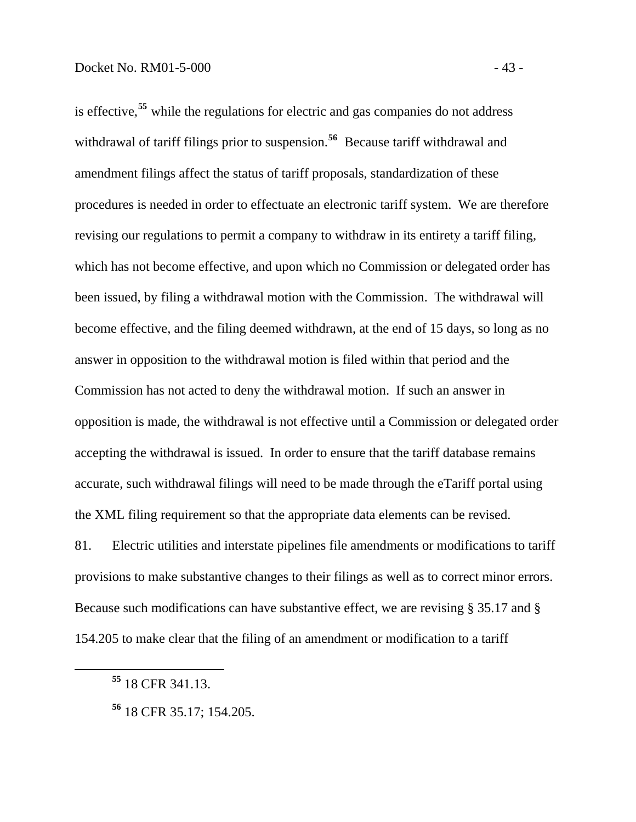is effective,**<sup>55</sup>** while the regulations for electric and gas companies do not address withdrawal of tariff filings prior to suspension.<sup>56</sup> Because tariff withdrawal and amendment filings affect the status of tariff proposals, standardization of these procedures is needed in order to effectuate an electronic tariff system. We are therefore revising our regulations to permit a company to withdraw in its entirety a tariff filing, which has not become effective, and upon which no Commission or delegated order has been issued, by filing a withdrawal motion with the Commission. The withdrawal will become effective, and the filing deemed withdrawn, at the end of 15 days, so long as no answer in opposition to the withdrawal motion is filed within that period and the Commission has not acted to deny the withdrawal motion. If such an answer in opposition is made, the withdrawal is not effective until a Commission or delegated order accepting the withdrawal is issued. In order to ensure that the tariff database remains accurate, such withdrawal filings will need to be made through the eTariff portal using the XML filing requirement so that the appropriate data elements can be revised.

81. Electric utilities and interstate pipelines file amendments or modifications to tariff provisions to make substantive changes to their filings as well as to correct minor errors. Because such modifications can have substantive effect, we are revising § 35.17 and § 154.205 to make clear that the filing of an amendment or modification to a tariff

**<sup>55</sup>** 18 CFR 341.13.

**<sup>56</sup>** 18 CFR 35.17; 154.205.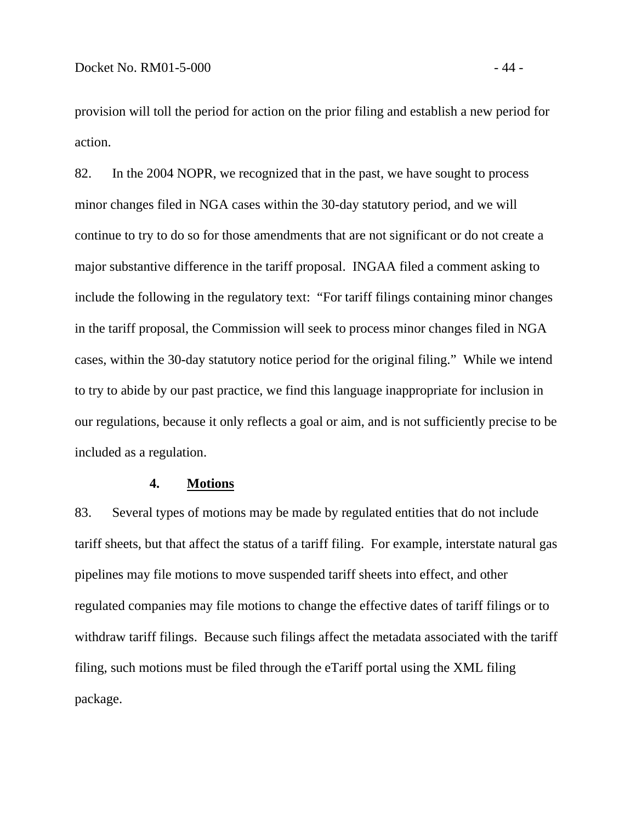provision will toll the period for action on the prior filing and establish a new period for action.

82. In the 2004 NOPR, we recognized that in the past, we have sought to process minor changes filed in NGA cases within the 30-day statutory period, and we will continue to try to do so for those amendments that are not significant or do not create a major substantive difference in the tariff proposal. INGAA filed a comment asking to include the following in the regulatory text: "For tariff filings containing minor changes in the tariff proposal, the Commission will seek to process minor changes filed in NGA cases, within the 30-day statutory notice period for the original filing." While we intend to try to abide by our past practice, we find this language inappropriate for inclusion in our regulations, because it only reflects a goal or aim, and is not sufficiently precise to be included as a regulation.

#### **4. Motions**

83. Several types of motions may be made by regulated entities that do not include tariff sheets, but that affect the status of a tariff filing. For example, interstate natural gas pipelines may file motions to move suspended tariff sheets into effect, and other regulated companies may file motions to change the effective dates of tariff filings or to withdraw tariff filings. Because such filings affect the metadata associated with the tariff filing, such motions must be filed through the eTariff portal using the XML filing package.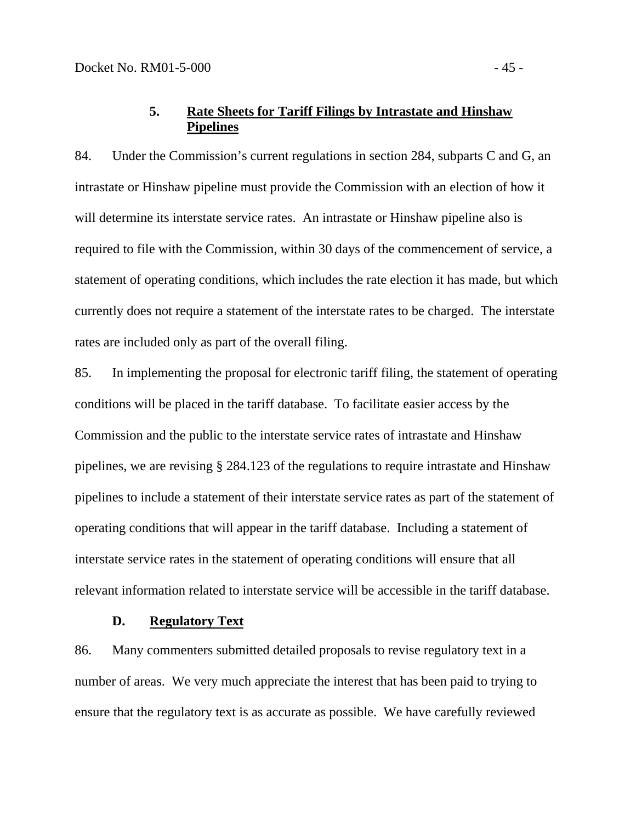# **5. Rate Sheets for Tariff Filings by Intrastate and Hinshaw Pipelines**

84. Under the Commission's current regulations in section 284, subparts C and G, an intrastate or Hinshaw pipeline must provide the Commission with an election of how it will determine its interstate service rates. An intrastate or Hinshaw pipeline also is required to file with the Commission, within 30 days of the commencement of service, a statement of operating conditions, which includes the rate election it has made, but which currently does not require a statement of the interstate rates to be charged. The interstate rates are included only as part of the overall filing.

85. In implementing the proposal for electronic tariff filing, the statement of operating conditions will be placed in the tariff database. To facilitate easier access by the Commission and the public to the interstate service rates of intrastate and Hinshaw pipelines, we are revising § 284.123 of the regulations to require intrastate and Hinshaw pipelines to include a statement of their interstate service rates as part of the statement of operating conditions that will appear in the tariff database. Including a statement of interstate service rates in the statement of operating conditions will ensure that all relevant information related to interstate service will be accessible in the tariff database.

#### **D. Regulatory Text**

86. Many commenters submitted detailed proposals to revise regulatory text in a number of areas. We very much appreciate the interest that has been paid to trying to ensure that the regulatory text is as accurate as possible. We have carefully reviewed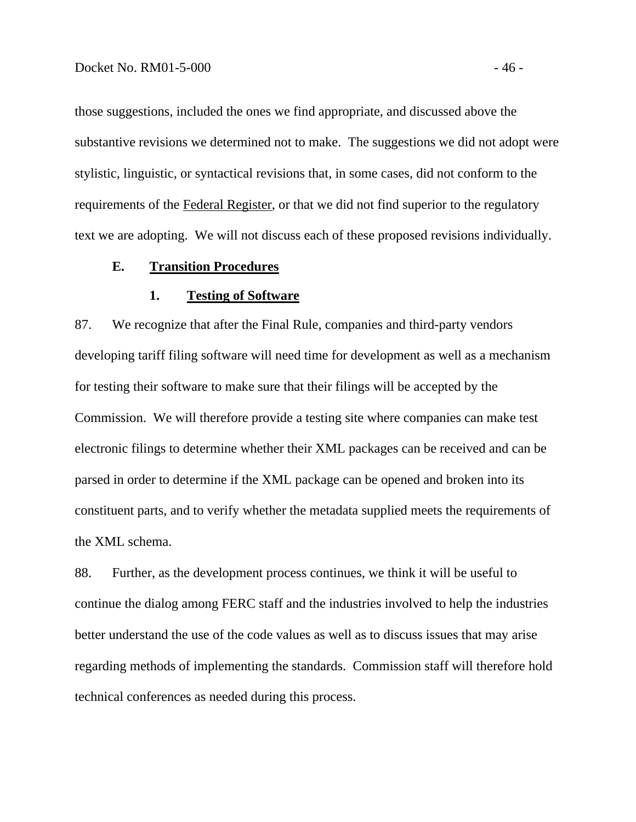those suggestions, included the ones we find appropriate, and discussed above the substantive revisions we determined not to make. The suggestions we did not adopt were stylistic, linguistic, or syntactical revisions that, in some cases, did not conform to the requirements of the Federal Register, or that we did not find superior to the regulatory text we are adopting. We will not discuss each of these proposed revisions individually.

#### **E. Transition Procedures**

#### **1. Testing of Software**

87. We recognize that after the Final Rule, companies and third-party vendors developing tariff filing software will need time for development as well as a mechanism for testing their software to make sure that their filings will be accepted by the Commission. We will therefore provide a testing site where companies can make test electronic filings to determine whether their XML packages can be received and can be parsed in order to determine if the XML package can be opened and broken into its constituent parts, and to verify whether the metadata supplied meets the requirements of the XML schema.

88. Further, as the development process continues, we think it will be useful to continue the dialog among FERC staff and the industries involved to help the industries better understand the use of the code values as well as to discuss issues that may arise regarding methods of implementing the standards. Commission staff will therefore hold technical conferences as needed during this process.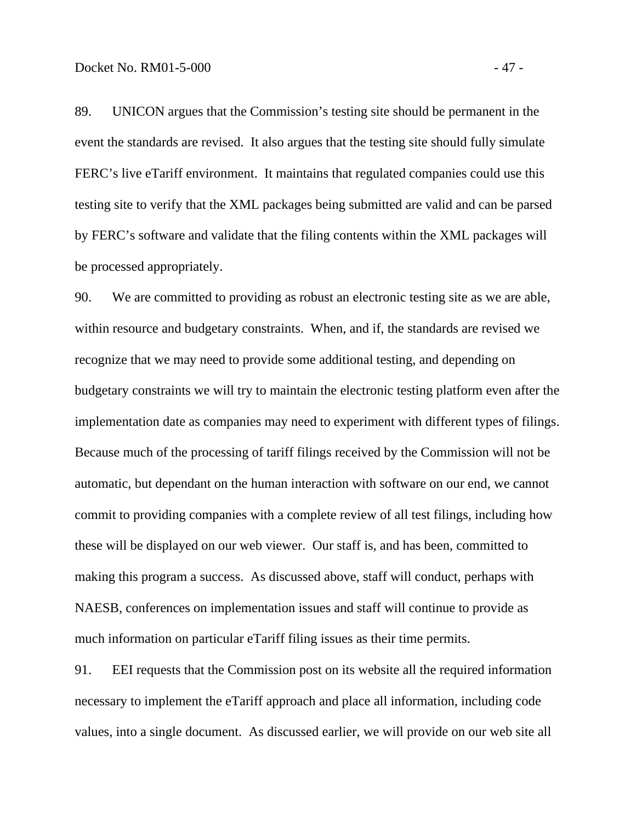89. UNICON argues that the Commission's testing site should be permanent in the event the standards are revised. It also argues that the testing site should fully simulate FERC's live eTariff environment. It maintains that regulated companies could use this testing site to verify that the XML packages being submitted are valid and can be parsed by FERC's software and validate that the filing contents within the XML packages will be processed appropriately.

90. We are committed to providing as robust an electronic testing site as we are able, within resource and budgetary constraints. When, and if, the standards are revised we recognize that we may need to provide some additional testing, and depending on budgetary constraints we will try to maintain the electronic testing platform even after the implementation date as companies may need to experiment with different types of filings. Because much of the processing of tariff filings received by the Commission will not be automatic, but dependant on the human interaction with software on our end, we cannot commit to providing companies with a complete review of all test filings, including how these will be displayed on our web viewer. Our staff is, and has been, committed to making this program a success. As discussed above, staff will conduct, perhaps with NAESB, conferences on implementation issues and staff will continue to provide as much information on particular eTariff filing issues as their time permits.

91. EEI requests that the Commission post on its website all the required information necessary to implement the eTariff approach and place all information, including code values, into a single document. As discussed earlier, we will provide on our web site all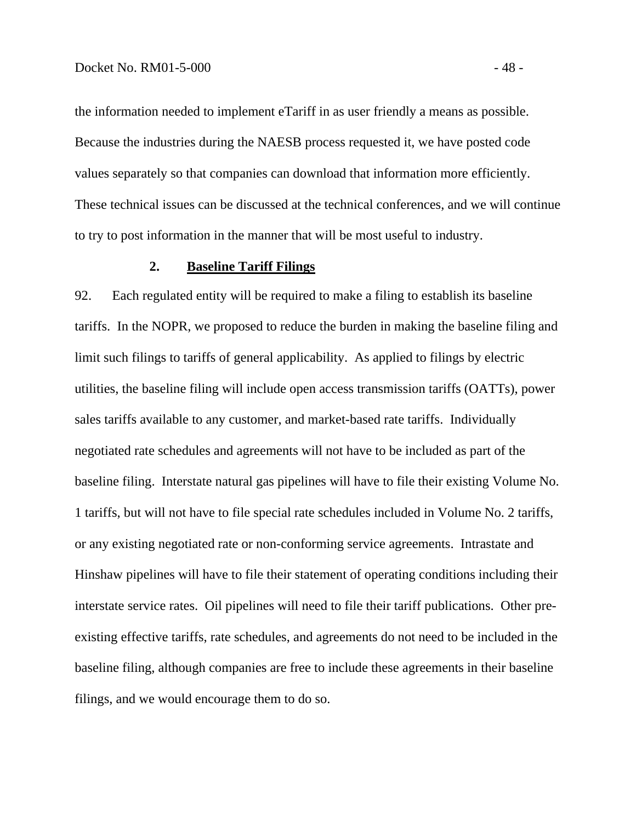the information needed to implement eTariff in as user friendly a means as possible. Because the industries during the NAESB process requested it, we have posted code values separately so that companies can download that information more efficiently. These technical issues can be discussed at the technical conferences, and we will continue to try to post information in the manner that will be most useful to industry.

#### **2. Baseline Tariff Filings**

92. Each regulated entity will be required to make a filing to establish its baseline tariffs. In the NOPR, we proposed to reduce the burden in making the baseline filing and limit such filings to tariffs of general applicability. As applied to filings by electric utilities, the baseline filing will include open access transmission tariffs (OATTs), power sales tariffs available to any customer, and market-based rate tariffs. Individually negotiated rate schedules and agreements will not have to be included as part of the baseline filing. Interstate natural gas pipelines will have to file their existing Volume No. 1 tariffs, but will not have to file special rate schedules included in Volume No. 2 tariffs, or any existing negotiated rate or non-conforming service agreements. Intrastate and Hinshaw pipelines will have to file their statement of operating conditions including their interstate service rates. Oil pipelines will need to file their tariff publications. Other preexisting effective tariffs, rate schedules, and agreements do not need to be included in the baseline filing, although companies are free to include these agreements in their baseline filings, and we would encourage them to do so.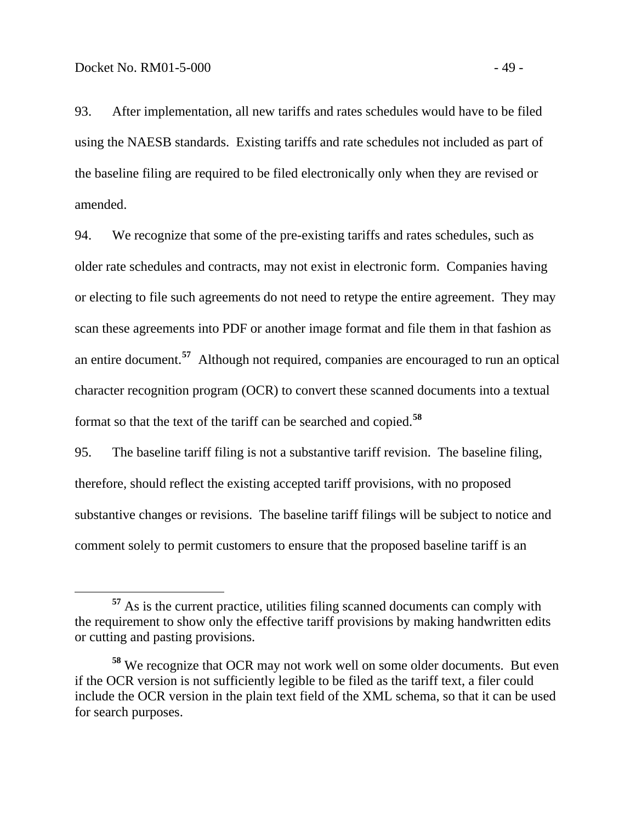93. After implementation, all new tariffs and rates schedules would have to be filed using the NAESB standards. Existing tariffs and rate schedules not included as part of the baseline filing are required to be filed electronically only when they are revised or amended.

94. We recognize that some of the pre-existing tariffs and rates schedules, such as older rate schedules and contracts, may not exist in electronic form. Companies having or electing to file such agreements do not need to retype the entire agreement. They may scan these agreements into PDF or another image format and file them in that fashion as an entire document.**[57](#page-52-0)** Although not required, companies are encouraged to run an optical character recognition program (OCR) to convert these scanned documents into a textual format so that the text of the tariff can be searched and copied.**[58](#page-52-1)**

95. The baseline tariff filing is not a substantive tariff revision. The baseline filing, therefore, should reflect the existing accepted tariff provisions, with no proposed substantive changes or revisions. The baseline tariff filings will be subject to notice and comment solely to permit customers to ensure that the proposed baseline tariff is an

<span id="page-52-0"></span>**<sup>57</sup>** As is the current practice, utilities filing scanned documents can comply with the requirement to show only the effective tariff provisions by making handwritten edits or cutting and pasting provisions.

<span id="page-52-1"></span>**<sup>58</sup>** We recognize that OCR may not work well on some older documents. But even if the OCR version is not sufficiently legible to be filed as the tariff text, a filer could include the OCR version in the plain text field of the XML schema, so that it can be used for search purposes.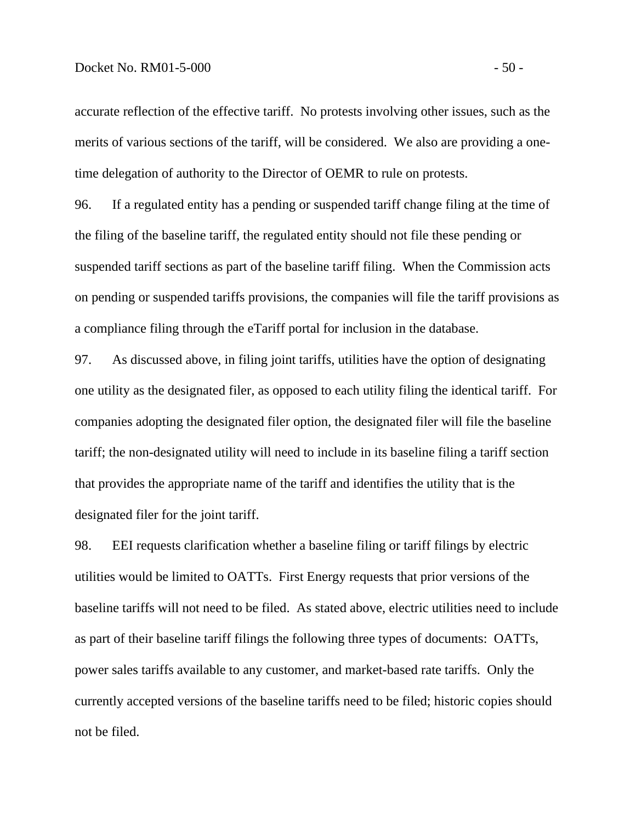accurate reflection of the effective tariff. No protests involving other issues, such as the merits of various sections of the tariff, will be considered. We also are providing a onetime delegation of authority to the Director of OEMR to rule on protests.

96. If a regulated entity has a pending or suspended tariff change filing at the time of the filing of the baseline tariff, the regulated entity should not file these pending or suspended tariff sections as part of the baseline tariff filing. When the Commission acts on pending or suspended tariffs provisions, the companies will file the tariff provisions as a compliance filing through the eTariff portal for inclusion in the database.

97. As discussed above, in filing joint tariffs, utilities have the option of designating one utility as the designated filer, as opposed to each utility filing the identical tariff. For companies adopting the designated filer option, the designated filer will file the baseline tariff; the non-designated utility will need to include in its baseline filing a tariff section that provides the appropriate name of the tariff and identifies the utility that is the designated filer for the joint tariff.

98. EEI requests clarification whether a baseline filing or tariff filings by electric utilities would be limited to OATTs. First Energy requests that prior versions of the baseline tariffs will not need to be filed. As stated above, electric utilities need to include as part of their baseline tariff filings the following three types of documents: OATTs, power sales tariffs available to any customer, and market-based rate tariffs. Only the currently accepted versions of the baseline tariffs need to be filed; historic copies should not be filed.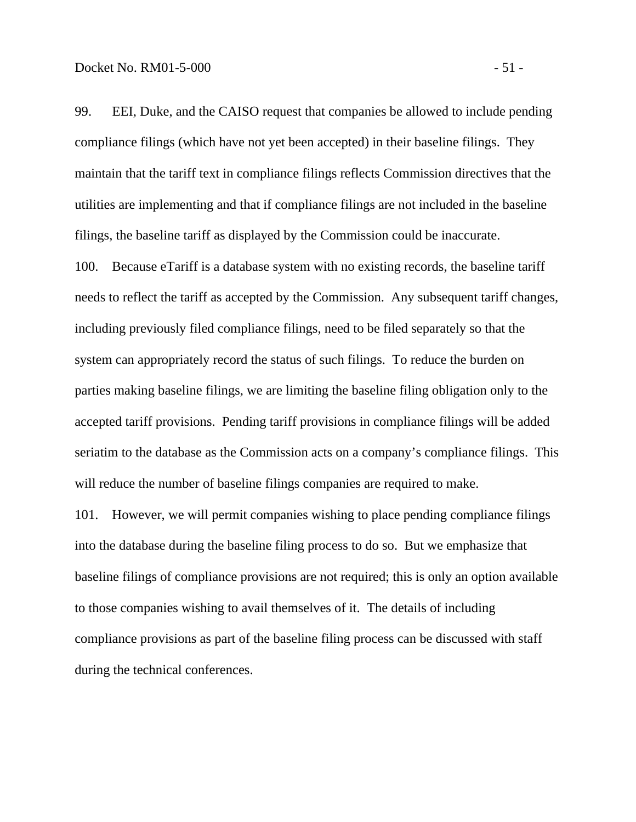99. EEI, Duke, and the CAISO request that companies be allowed to include pending compliance filings (which have not yet been accepted) in their baseline filings. They maintain that the tariff text in compliance filings reflects Commission directives that the utilities are implementing and that if compliance filings are not included in the baseline filings, the baseline tariff as displayed by the Commission could be inaccurate.

100. Because eTariff is a database system with no existing records, the baseline tariff needs to reflect the tariff as accepted by the Commission. Any subsequent tariff changes, including previously filed compliance filings, need to be filed separately so that the system can appropriately record the status of such filings. To reduce the burden on parties making baseline filings, we are limiting the baseline filing obligation only to the accepted tariff provisions. Pending tariff provisions in compliance filings will be added seriatim to the database as the Commission acts on a company's compliance filings. This will reduce the number of baseline filings companies are required to make.

101. However, we will permit companies wishing to place pending compliance filings into the database during the baseline filing process to do so. But we emphasize that baseline filings of compliance provisions are not required; this is only an option available to those companies wishing to avail themselves of it. The details of including compliance provisions as part of the baseline filing process can be discussed with staff during the technical conferences.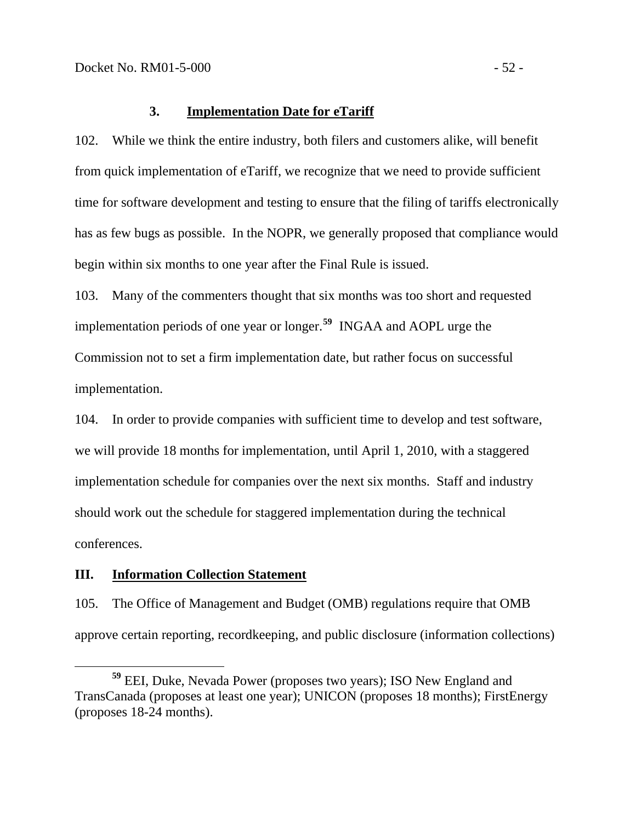#### **3. Implementation Date for eTariff**

102. While we think the entire industry, both filers and customers alike, will benefit from quick implementation of eTariff, we recognize that we need to provide sufficient time for software development and testing to ensure that the filing of tariffs electronically has as few bugs as possible. In the NOPR, we generally proposed that compliance would begin within six months to one year after the Final Rule is issued.

103. Many of the commenters thought that six months was too short and requested implementation periods of one year or longer.**[59](#page-55-0)** INGAA and AOPL urge the Commission not to set a firm implementation date, but rather focus on successful implementation.

104. In order to provide companies with sufficient time to develop and test software, we will provide 18 months for implementation, until April 1, 2010, with a staggered implementation schedule for companies over the next six months. Staff and industry should work out the schedule for staggered implementation during the technical conferences.

#### **III. Information Collection Statement**

105. The Office of Management and Budget (OMB) regulations require that OMB approve certain reporting, recordkeeping, and public disclosure (information collections)

<span id="page-55-0"></span>**<sup>59</sup>** EEI, Duke, Nevada Power (proposes two years); ISO New England and TransCanada (proposes at least one year); UNICON (proposes 18 months); FirstEnergy (proposes 18-24 months).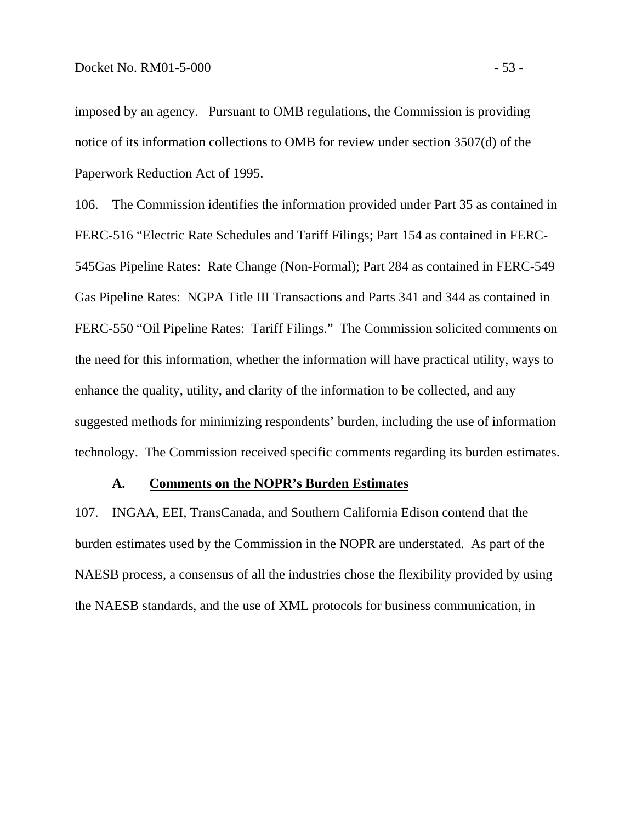imposed by an agency. Pursuant to OMB regulations, the Commission is providing notice of its information collections to OMB for review under section 3507(d) of the Paperwork Reduction Act of 1995.

106. The Commission identifies the information provided under Part 35 as contained in FERC-516 "Electric Rate Schedules and Tariff Filings; Part 154 as contained in FERC-545Gas Pipeline Rates: Rate Change (Non-Formal); Part 284 as contained in FERC-549 Gas Pipeline Rates: NGPA Title III Transactions and Parts 341 and 344 as contained in FERC-550 "Oil Pipeline Rates: Tariff Filings." The Commission solicited comments on the need for this information, whether the information will have practical utility, ways to enhance the quality, utility, and clarity of the information to be collected, and any suggested methods for minimizing respondents' burden, including the use of information technology. The Commission received specific comments regarding its burden estimates.

#### **A. Comments on the NOPR's Burden Estimates**

107. INGAA, EEI, TransCanada, and Southern California Edison contend that the burden estimates used by the Commission in the NOPR are understated. As part of the NAESB process, a consensus of all the industries chose the flexibility provided by using the NAESB standards, and the use of XML protocols for business communication, in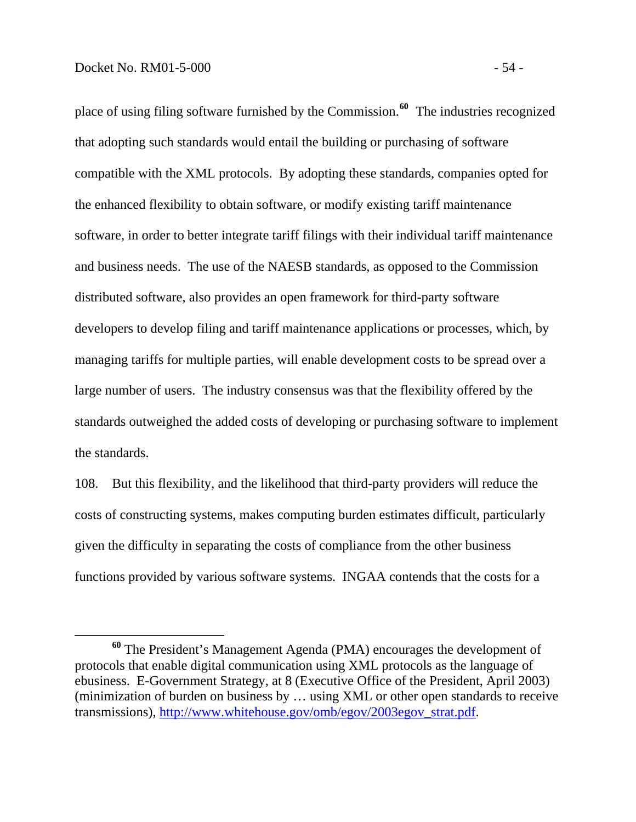$\overline{a}$ 

place of using filing software furnished by the Commission.**[60](#page-57-0)** The industries recognized that adopting such standards would entail the building or purchasing of software compatible with the XML protocols. By adopting these standards, companies opted for the enhanced flexibility to obtain software, or modify existing tariff maintenance software, in order to better integrate tariff filings with their individual tariff maintenance and business needs. The use of the NAESB standards, as opposed to the Commission distributed software, also provides an open framework for third-party software developers to develop filing and tariff maintenance applications or processes, which, by managing tariffs for multiple parties, will enable development costs to be spread over a large number of users. The industry consensus was that the flexibility offered by the standards outweighed the added costs of developing or purchasing software to implement the standards.

108. But this flexibility, and the likelihood that third-party providers will reduce the costs of constructing systems, makes computing burden estimates difficult, particularly given the difficulty in separating the costs of compliance from the other business functions provided by various software systems. INGAA contends that the costs for a

<span id="page-57-0"></span>**<sup>60</sup>** The President's Management Agenda (PMA) encourages the development of protocols that enable digital communication using XML protocols as the language of ebusiness. E-Government Strategy, at 8 (Executive Office of the President, April 2003) (minimization of burden on business by … using XML or other open standards to receive transmissions), [http://www.whitehouse.gov/omb/egov/2003egov\\_strat.pdf](http://www.whitehouse.gov/omb/egov/2003egov_strat.pdf).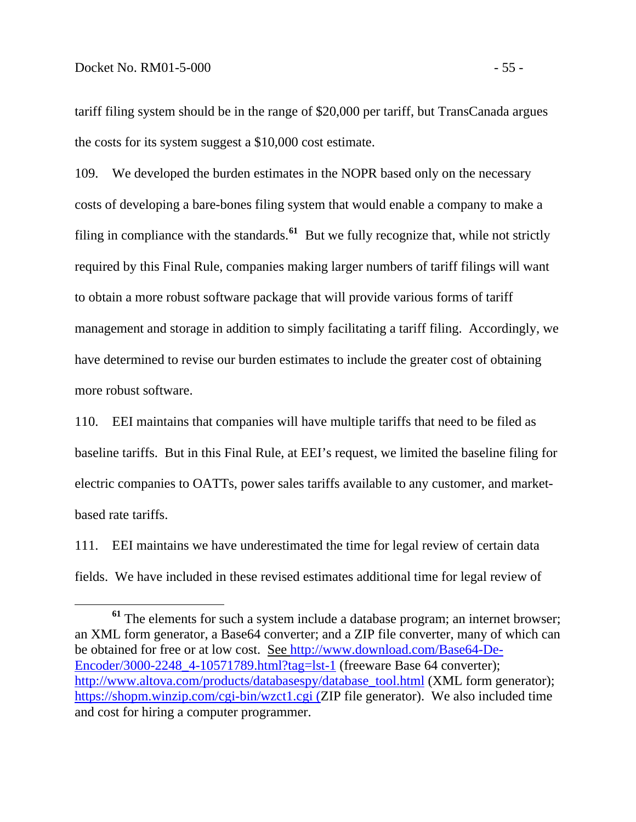tariff filing system should be in the range of \$20,000 per tariff, but TransCanada argues the costs for its system suggest a \$10,000 cost estimate.

109. We developed the burden estimates in the NOPR based only on the necessary costs of developing a bare-bones filing system that would enable a company to make a filing in compliance with the standards.**[61](#page-58-0)** But we fully recognize that, while not strictly required by this Final Rule, companies making larger numbers of tariff filings will want to obtain a more robust software package that will provide various forms of tariff management and storage in addition to simply facilitating a tariff filing. Accordingly, we have determined to revise our burden estimates to include the greater cost of obtaining more robust software.

110. EEI maintains that companies will have multiple tariffs that need to be filed as baseline tariffs. But in this Final Rule, at EEI's request, we limited the baseline filing for electric companies to OATTs, power sales tariffs available to any customer, and marketbased rate tariffs.

111. EEI maintains we have underestimated the time for legal review of certain data fields. We have included in these revised estimates additional time for legal review of

<span id="page-58-0"></span><sup>&</sup>lt;sup>61</sup> The elements for such a system include a database program; an internet browser; an XML form generator, a Base64 converter; and a ZIP file converter, many of which can be obtained for free or at low cost. See [http://www.download.com/Base64-De-](http://www.download.com/Base64-De-Encoder/3000-2248_4-10571789.html?tag=lst-1)Encoder/3000-2248 4-10571789.html?tag=lst-1 (freeware Base 64 converter); [http://www.altova.com/products/databasespy/database\\_tool.html](http://www.altova.com/products/databasespy/database_tool.html) (XML form generator); <https://shopm.winzip.com/cgi-bin/wzct1.cgi> (ZIP file generator). We also included time and cost for hiring a computer programmer.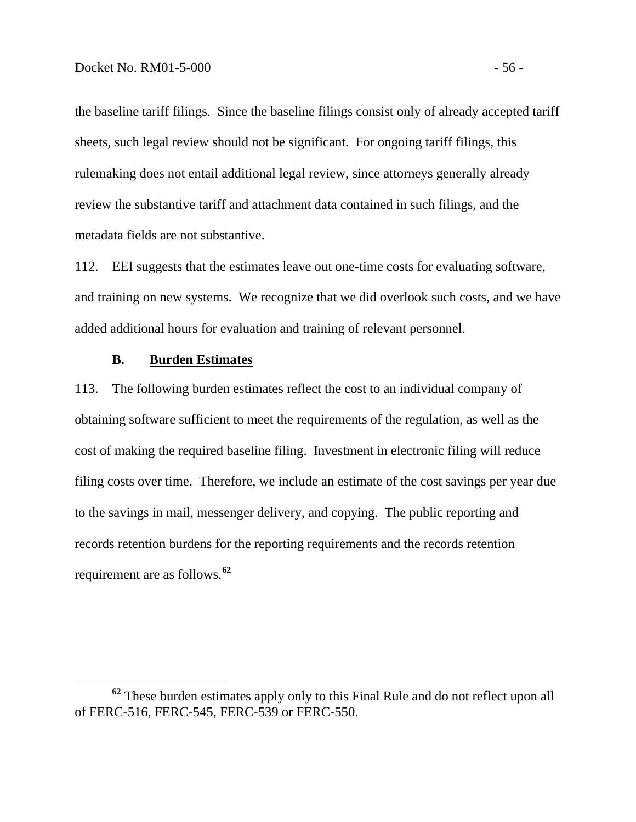the baseline tariff filings. Since the baseline filings consist only of already accepted tariff sheets, such legal review should not be significant. For ongoing tariff filings, this rulemaking does not entail additional legal review, since attorneys generally already review the substantive tariff and attachment data contained in such filings, and the metadata fields are not substantive.

112. EEI suggests that the estimates leave out one-time costs for evaluating software, and training on new systems. We recognize that we did overlook such costs, and we have added additional hours for evaluation and training of relevant personnel.

#### **B. Burden Estimates**

113. The following burden estimates reflect the cost to an individual company of obtaining software sufficient to meet the requirements of the regulation, as well as the cost of making the required baseline filing. Investment in electronic filing will reduce filing costs over time. Therefore, we include an estimate of the cost savings per year due to the savings in mail, messenger delivery, and copying. The public reporting and records retention burdens for the reporting requirements and the records retention requirement are as follows.**[62](#page-59-0)**

<span id="page-59-0"></span>**<sup>62</sup>** These burden estimates apply only to this Final Rule and do not reflect upon all of FERC-516, FERC-545, FERC-539 or FERC-550.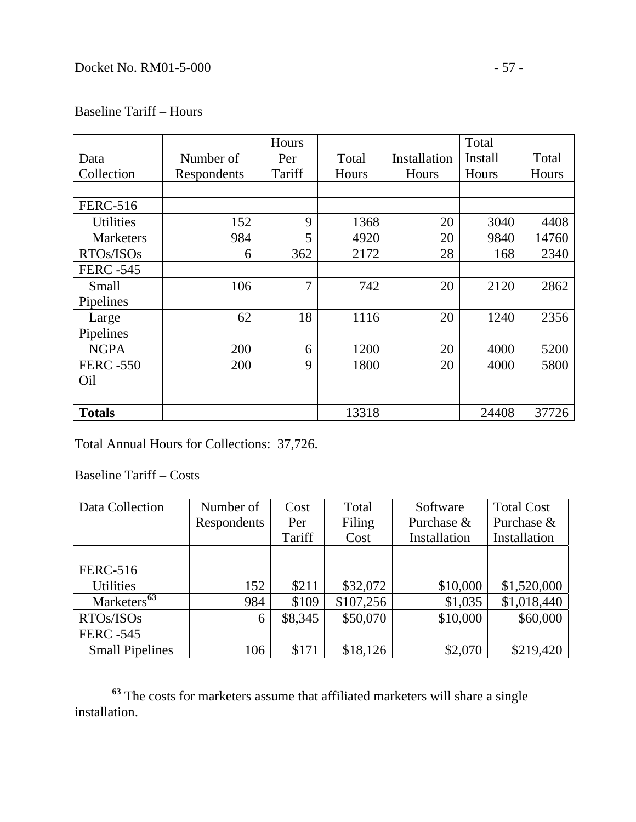# Baseline Tariff – Hours

|                  |             | Hours          |       |              | Total   |       |
|------------------|-------------|----------------|-------|--------------|---------|-------|
| Data             | Number of   | Per            | Total | Installation | Install | Total |
| Collection       | Respondents | Tariff         | Hours | Hours        | Hours   | Hours |
|                  |             |                |       |              |         |       |
| <b>FERC-516</b>  |             |                |       |              |         |       |
| <b>Utilities</b> | 152         | 9              | 1368  | 20           | 3040    | 4408  |
| <b>Marketers</b> | 984         | 5              | 4920  | 20           | 9840    | 14760 |
| RTOs/ISOs        | 6           | 362            | 2172  | 28           | 168     | 2340  |
| <b>FERC -545</b> |             |                |       |              |         |       |
| Small            | 106         | $\overline{7}$ | 742   | 20           | 2120    | 2862  |
| Pipelines        |             |                |       |              |         |       |
| Large            | 62          | 18             | 1116  | 20           | 1240    | 2356  |
| Pipelines        |             |                |       |              |         |       |
| <b>NGPA</b>      | 200         | 6              | 1200  | 20           | 4000    | 5200  |
| <b>FERC -550</b> | 200         | 9              | 1800  | 20           | 4000    | 5800  |
| Oil              |             |                |       |              |         |       |
|                  |             |                |       |              |         |       |
| <b>Totals</b>    |             |                | 13318 |              | 24408   | 37726 |

Total Annual Hours for Collections: 37,726.

Baseline Tariff – Costs

| Data Collection         | Number of   | Cost    | Total     | Software     | <b>Total Cost</b> |
|-------------------------|-------------|---------|-----------|--------------|-------------------|
|                         | Respondents | Per     | Filing    | Purchase &   | Purchase &        |
|                         |             | Tariff  | Cost      | Installation | Installation      |
|                         |             |         |           |              |                   |
| <b>FERC-516</b>         |             |         |           |              |                   |
| <b>Utilities</b>        | 152         | \$211   | \$32,072  | \$10,000     | \$1,520,000       |
| Marketers <sup>63</sup> | 984         | \$109   | \$107,256 | \$1,035      | \$1,018,440       |
| RTOs/ISOs               | 6           | \$8,345 | \$50,070  | \$10,000     | \$60,000          |
| <b>FERC -545</b>        |             |         |           |              |                   |
| <b>Small Pipelines</b>  | 106         | \$171   | \$18,126  | \$2,070      | \$219,420         |

<span id="page-60-0"></span>**<sup>63</sup>** The costs for marketers assume that affiliated marketers will share a single installation.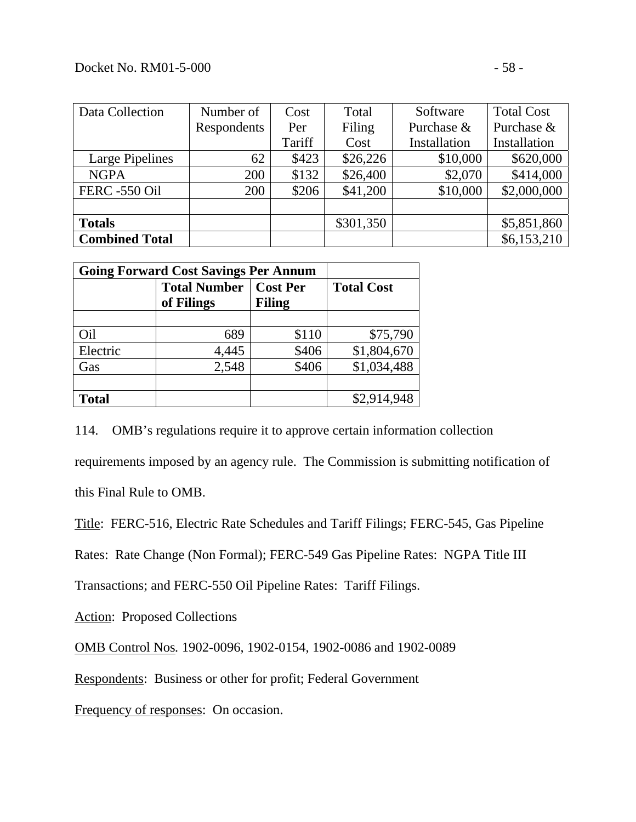| Data Collection       | Number of   | Cost   | Total     | Software     | <b>Total Cost</b> |
|-----------------------|-------------|--------|-----------|--------------|-------------------|
|                       | Respondents | Per    | Filing    | Purchase &   | Purchase &        |
|                       |             | Tariff | Cost      | Installation | Installation      |
| Large Pipelines       | 62          | \$423  | \$26,226  | \$10,000     | \$620,000         |
| <b>NGPA</b>           | 200         | \$132  | \$26,400  | \$2,070      | \$414,000         |
| <b>FERC -550 Oil</b>  | 200         | \$206  | \$41,200  | \$10,000     | \$2,000,000       |
|                       |             |        |           |              |                   |
| <b>Totals</b>         |             |        | \$301,350 |              | \$5,851,860       |
| <b>Combined Total</b> |             |        |           |              | \$6,153,210       |

| <b>Going Forward Cost Savings Per Annum</b> |                                   |                           |                   |  |  |
|---------------------------------------------|-----------------------------------|---------------------------|-------------------|--|--|
|                                             | <b>Total Number</b><br>of Filings | <b>Cost Per</b><br>Filing | <b>Total Cost</b> |  |  |
|                                             |                                   |                           |                   |  |  |
| Oil                                         | 689                               | \$110                     | \$75,790          |  |  |
| Electric                                    | 4,445                             | \$406                     | \$1,804,670       |  |  |
| Gas                                         | 2,548                             | \$406                     | \$1,034,488       |  |  |
|                                             |                                   |                           |                   |  |  |
| <b>Total</b>                                |                                   |                           | \$2,914,948       |  |  |

114. OMB's regulations require it to approve certain information collection requirements imposed by an agency rule. The Commission is submitting notification of this Final Rule to OMB.

Title: FERC-516, Electric Rate Schedules and Tariff Filings; FERC-545, Gas Pipeline

Rates: Rate Change (Non Formal); FERC-549 Gas Pipeline Rates: NGPA Title III

Transactions; and FERC-550 Oil Pipeline Rates: Tariff Filings.

Action: Proposed Collections

OMB Control Nos*.* 1902-0096, 1902-0154, 1902-0086 and 1902-0089

Respondents: Business or other for profit; Federal Government

Frequency of responses:On occasion.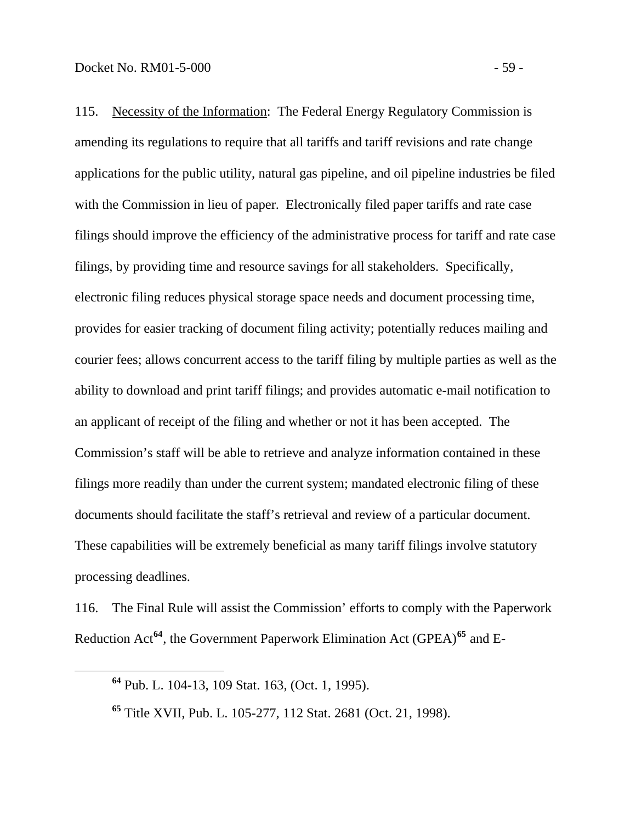115. Necessity of the Information: The Federal Energy Regulatory Commission is amending its regulations to require that all tariffs and tariff revisions and rate change applications for the public utility, natural gas pipeline, and oil pipeline industries be filed with the Commission in lieu of paper. Electronically filed paper tariffs and rate case filings should improve the efficiency of the administrative process for tariff and rate case filings, by providing time and resource savings for all stakeholders. Specifically, electronic filing reduces physical storage space needs and document processing time, provides for easier tracking of document filing activity; potentially reduces mailing and courier fees; allows concurrent access to the tariff filing by multiple parties as well as the ability to download and print tariff filings; and provides automatic e-mail notification to an applicant of receipt of the filing and whether or not it has been accepted. The Commission's staff will be able to retrieve and analyze information contained in these filings more readily than under the current system; mandated electronic filing of these documents should facilitate the staff's retrieval and review of a particular document. These capabilities will be extremely beneficial as many tariff filings involve statutory processing deadlines.

<span id="page-62-0"></span>116. The Final Rule will assist the Commission' efforts to comply with the Paperwork Reduction Act**[64](#page-62-0)**, the Government Paperwork Elimination Act (GPEA)**[65](#page-62-1)** and E-

**<sup>64</sup>** Pub. L. 104-13, 109 Stat. 163, (Oct. 1, 1995).

<span id="page-62-1"></span>**<sup>65</sup>** Title XVII, Pub. L. 105-277, 112 Stat. 2681 (Oct. 21, 1998).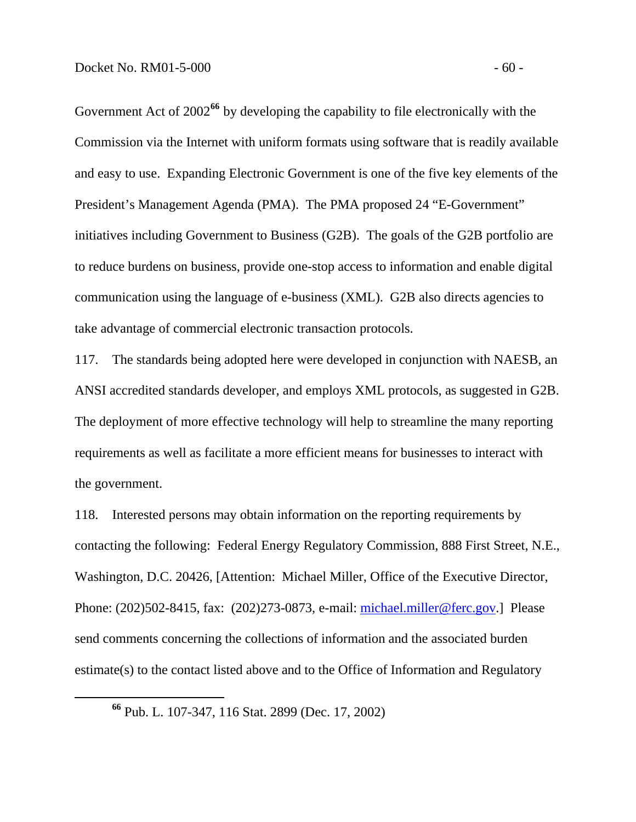Government Act of 2002<sup>66</sup> by developing the capability to file electronically with the Commission via the Internet with uniform formats using software that is readily available and easy to use. Expanding Electronic Government is one of the five key elements of the President's Management Agenda (PMA). The PMA proposed 24 "E-Government" initiatives including Government to Business (G2B). The goals of the G2B portfolio are to reduce burdens on business, provide one-stop access to information and enable digital communication using the language of e-business (XML). G2B also directs agencies to take advantage of commercial electronic transaction protocols.

117. The standards being adopted here were developed in conjunction with NAESB, an ANSI accredited standards developer, and employs XML protocols, as suggested in G2B. The deployment of more effective technology will help to streamline the many reporting requirements as well as facilitate a more efficient means for businesses to interact with the government.

118. Interested persons may obtain information on the reporting requirements by contacting the following: Federal Energy Regulatory Commission, 888 First Street, N.E., Washington, D.C. 20426, [Attention: Michael Miller, Office of the Executive Director, Phone: (202)502-8415, fax: (202)273-0873, e-mail: [michael.miller@ferc.gov.](mailto:michael.miller@ferc.gov)] Please send comments concerning the collections of information and the associated burden estimate(s) to the contact listed above and to the Office of Information and Regulatory

**<sup>66</sup>** Pub. L. 107-347, 116 Stat. 2899 (Dec. 17, 2002)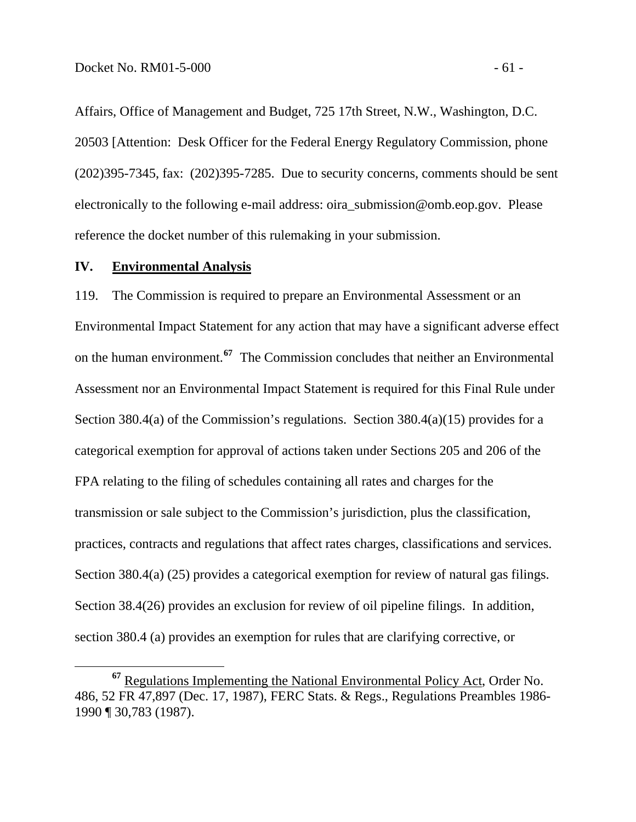Affairs, Office of Management and Budget, 725 17th Street, N.W., Washington, D.C. 20503 [Attention: Desk Officer for the Federal Energy Regulatory Commission, phone (202)395-7345, fax: (202)395-7285. Due to security concerns, comments should be sent electronically to the following e-mail address: oira\_submission@omb.eop.gov. Please reference the docket number of this rulemaking in your submission.

#### **IV. Environmental Analysis**

119. The Commission is required to prepare an Environmental Assessment or an Environmental Impact Statement for any action that may have a significant adverse effect on the human environment.**[67](#page-64-0)** The Commission concludes that neither an Environmental Assessment nor an Environmental Impact Statement is required for this Final Rule under Section 380.4(a) of the Commission's regulations. Section 380.4(a)(15) provides for a categorical exemption for approval of actions taken under Sections 205 and 206 of the FPA relating to the filing of schedules containing all rates and charges for the transmission or sale subject to the Commission's jurisdiction, plus the classification, practices, contracts and regulations that affect rates charges, classifications and services. Section 380.4(a) (25) provides a categorical exemption for review of natural gas filings. Section 38.4(26) provides an exclusion for review of oil pipeline filings. In addition, section 380.4 (a) provides an exemption for rules that are clarifying corrective, or

<span id="page-64-0"></span>**<sup>67</sup>** Regulations Implementing the National Environmental Policy Act, Order No. 486, 52 FR 47,897 (Dec. 17, 1987), FERC Stats. & Regs., Regulations Preambles 1986- 1990 ¶ 30,783 (1987).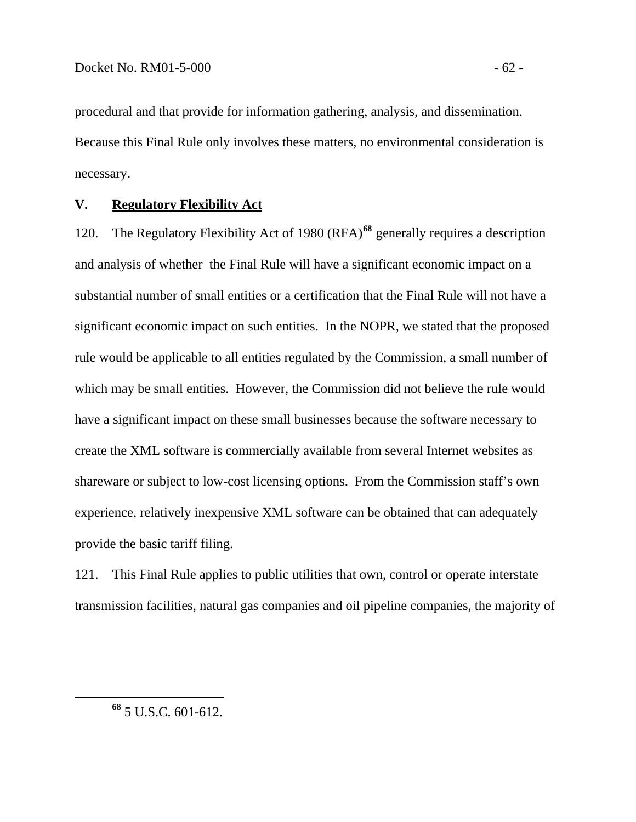procedural and that provide for information gathering, analysis, and dissemination. Because this Final Rule only involves these matters, no environmental consideration is necessary.

#### **V. Regulatory Flexibility Act**

120. The Regulatory Flexibility Act of 1980 (RFA)**[68](#page-65-0)** generally requires a description and analysis of whether the Final Rule will have a significant economic impact on a substantial number of small entities or a certification that the Final Rule will not have a significant economic impact on such entities. In the NOPR, we stated that the proposed rule would be applicable to all entities regulated by the Commission, a small number of which may be small entities. However, the Commission did not believe the rule would have a significant impact on these small businesses because the software necessary to create the XML software is commercially available from several Internet websites as shareware or subject to low-cost licensing options. From the Commission staff's own experience, relatively inexpensive XML software can be obtained that can adequately provide the basic tariff filing.

121. This Final Rule applies to public utilities that own, control or operate interstate transmission facilities, natural gas companies and oil pipeline companies, the majority of

<span id="page-65-0"></span>**<sup>68</sup>** 5 U.S.C. 601-612.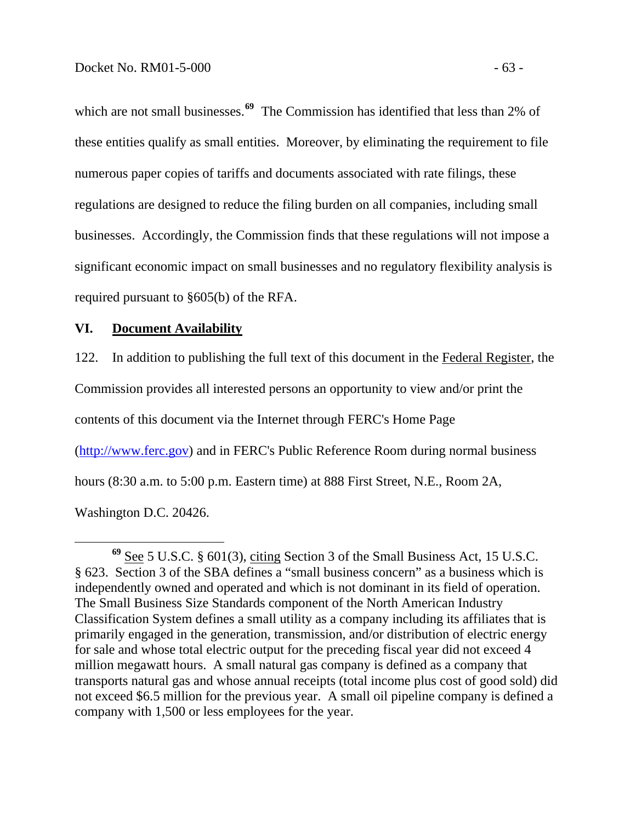which are not small businesses.<sup>[69](#page-66-0)</sup> The Commission has identified that less than 2% of these entities qualify as small entities. Moreover, by eliminating the requirement to file numerous paper copies of tariffs and documents associated with rate filings, these regulations are designed to reduce the filing burden on all companies, including small businesses. Accordingly, the Commission finds that these regulations will not impose a significant economic impact on small businesses and no regulatory flexibility analysis is required pursuant to §605(b) of the RFA.

#### **VI. Document Availability**

122. In addition to publishing the full text of this document in the Federal Register, the Commission provides all interested persons an opportunity to view and/or print the contents of this document via the Internet through FERC's Home Page [\(http://www.ferc.gov\)](http://www.ferc.gov/) and in FERC's Public Reference Room during normal business hours (8:30 a.m. to 5:00 p.m. Eastern time) at 888 First Street, N.E., Room 2A, Washington D.C. 20426.

<span id="page-66-0"></span>**<sup>69</sup>** See 5 U.S.C. § 601(3), citing Section 3 of the Small Business Act, 15 U.S.C. § 623. Section 3 of the SBA defines a "small business concern" as a business which is independently owned and operated and which is not dominant in its field of operation. The Small Business Size Standards component of the North American Industry Classification System defines a small utility as a company including its affiliates that is primarily engaged in the generation, transmission, and/or distribution of electric energy for sale and whose total electric output for the preceding fiscal year did not exceed 4 million megawatt hours. A small natural gas company is defined as a company that transports natural gas and whose annual receipts (total income plus cost of good sold) did not exceed \$6.5 million for the previous year. A small oil pipeline company is defined a company with 1,500 or less employees for the year.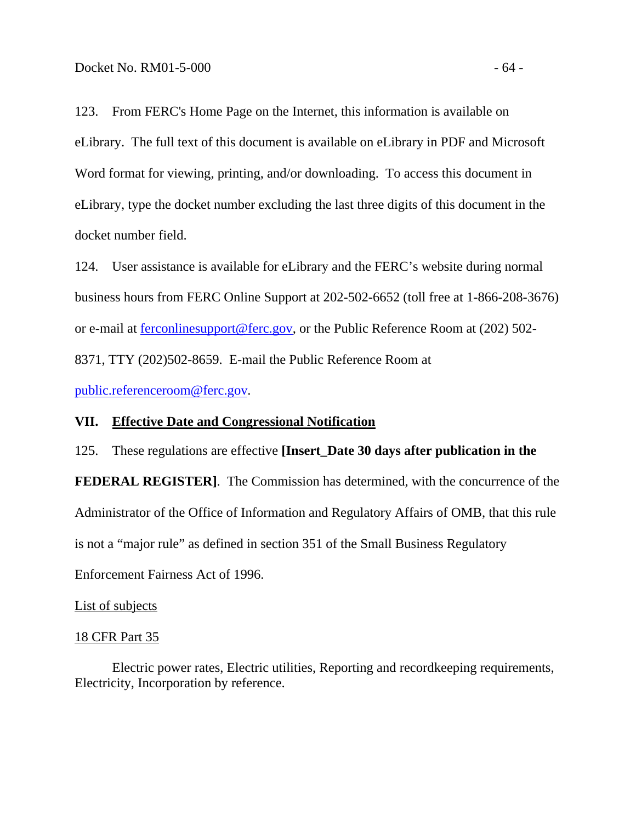123. From FERC's Home Page on the Internet, this information is available on eLibrary. The full text of this document is available on eLibrary in PDF and Microsoft Word format for viewing, printing, and/or downloading. To access this document in eLibrary, type the docket number excluding the last three digits of this document in the docket number field.

124. User assistance is available for eLibrary and the FERC's website during normal business hours from FERC Online Support at 202-502-6652 (toll free at 1-866-208-3676) or e-mail at [ferconlinesupport@ferc.gov,](mailto:ferconlinesupport@ferc.gov) or the Public Reference Room at (202) 502- 8371, TTY (202)502-8659. E-mail the Public Reference Room at

[public.referenceroom@ferc.gov](mailto:public.referenceroom@ferc.gov).

### **VII. Effective Date and Congressional Notification**

125. These regulations are effective **[Insert\_Date 30 days after publication in the FEDERAL REGISTER]**. The Commission has determined, with the concurrence of the Administrator of the Office of Information and Regulatory Affairs of OMB, that this rule is not a "major rule" as defined in section 351 of the Small Business Regulatory Enforcement Fairness Act of 1996.

#### List of subjects

#### 18 CFR Part 35

 Electric power rates, Electric utilities, Reporting and recordkeeping requirements, Electricity, Incorporation by reference.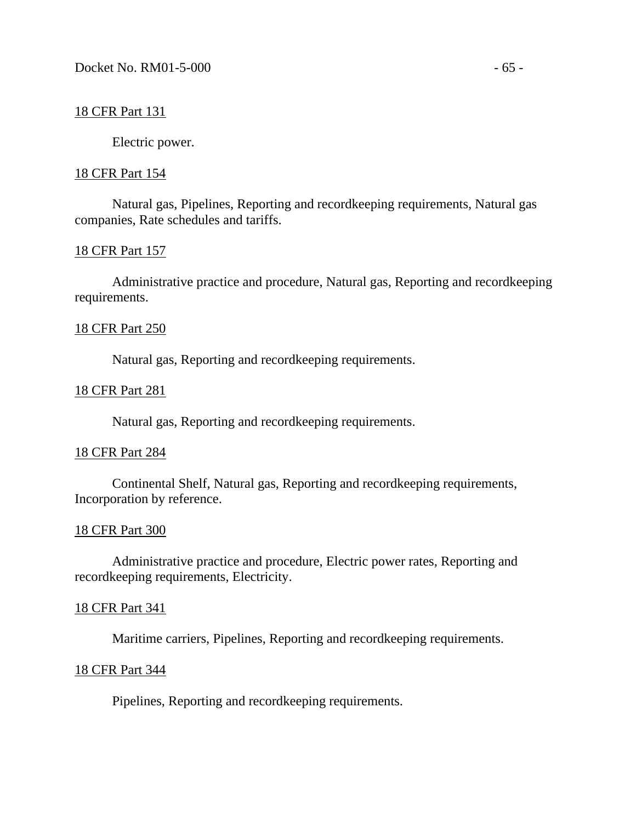#### 18 CFR Part 131

Electric power.

#### 18 CFR Part 154

 Natural gas, Pipelines, Reporting and recordkeeping requirements, Natural gas companies, Rate schedules and tariffs.

#### 18 CFR Part 157

 Administrative practice and procedure, Natural gas, Reporting and recordkeeping requirements.

#### 18 CFR Part 250

Natural gas, Reporting and recordkeeping requirements.

#### 18 CFR Part 281

Natural gas, Reporting and recordkeeping requirements.

#### 18 CFR Part 284

 Continental Shelf, Natural gas, Reporting and recordkeeping requirements, Incorporation by reference.

#### 18 CFR Part 300

 Administrative practice and procedure, Electric power rates, Reporting and recordkeeping requirements, Electricity.

#### 18 CFR Part 341

Maritime carriers, Pipelines, Reporting and recordkeeping requirements.

#### 18 CFR Part 344

Pipelines, Reporting and recordkeeping requirements.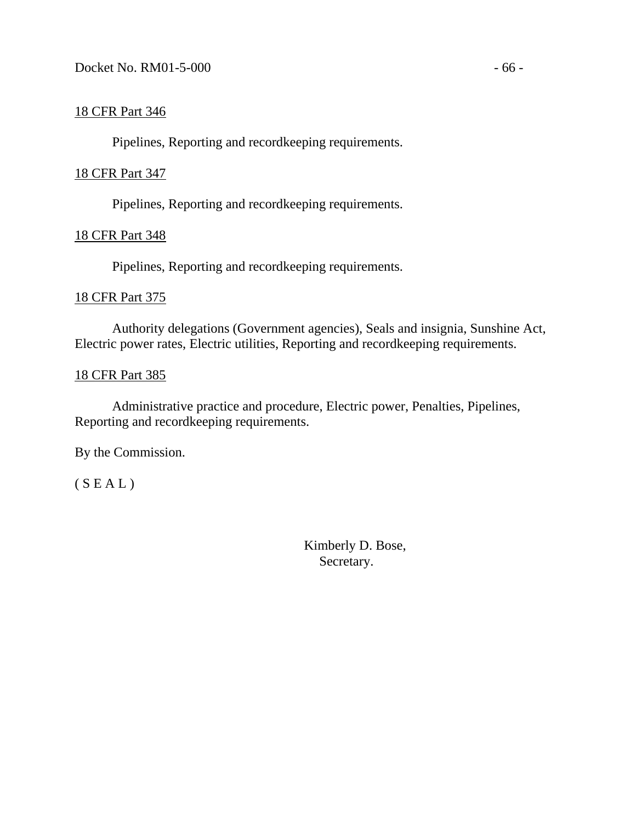# 18 CFR Part 346

Pipelines, Reporting and recordkeeping requirements.

# 18 CFR Part 347

Pipelines, Reporting and recordkeeping requirements.

# 18 CFR Part 348

Pipelines, Reporting and recordkeeping requirements.

# 18 CFR Part 375

 Authority delegations (Government agencies), Seals and insignia, Sunshine Act, Electric power rates, Electric utilities, Reporting and recordkeeping requirements.

# 18 CFR Part 385

Administrative practice and procedure, Electric power, Penalties, Pipelines, Reporting and recordkeeping requirements.

By the Commission.

 $(S E A L)$ 

 Kimberly D. Bose, Secretary.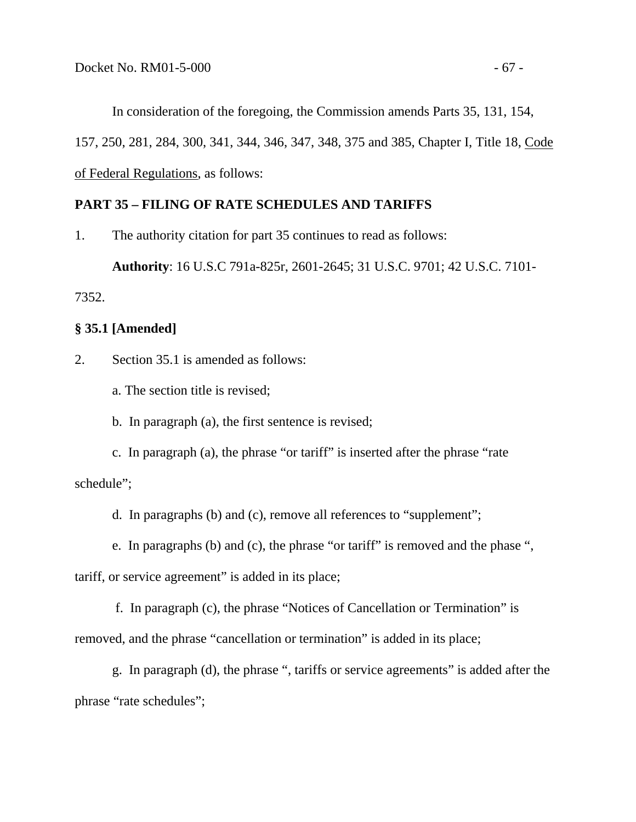In consideration of the foregoing, the Commission amends Parts 35, 131, 154, 157, 250, 281, 284, 300, 341, 344, 346, 347, 348, 375 and 385, Chapter I, Title 18, Code of Federal Regulations, as follows:

# **PART 35 – FILING OF RATE SCHEDULES AND TARIFFS**

1. The authority citation for part 35 continues to read as follows:

**Authority**: 16 U.S.C 791a-825r, 2601-2645; 31 U.S.C. 9701; 42 U.S.C. 7101-

7352.

### **§ 35.1 [Amended]**

2. Section 35.1 is amended as follows:

a. The section title is revised;

b. In paragraph (a), the first sentence is revised;

 c. In paragraph (a), the phrase "or tariff" is inserted after the phrase "rate schedule";

d. In paragraphs (b) and (c), remove all references to "supplement";

e. In paragraphs (b) and (c), the phrase "or tariff" is removed and the phase ",

tariff, or service agreement" is added in its place;

 f. In paragraph (c), the phrase "Notices of Cancellation or Termination" is removed, and the phrase "cancellation or termination" is added in its place;

 g. In paragraph (d), the phrase ", tariffs or service agreements" is added after the phrase "rate schedules";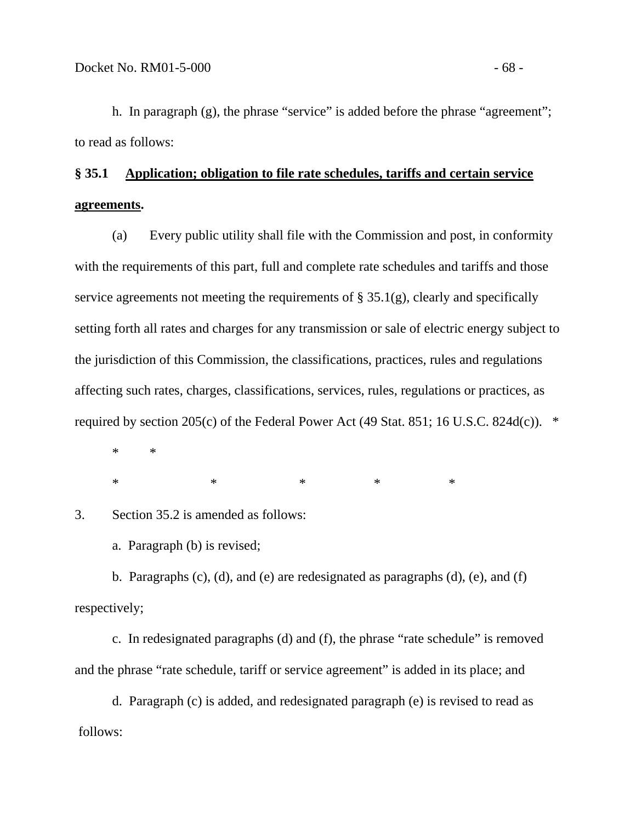h. In paragraph (g), the phrase "service" is added before the phrase "agreement"; to read as follows:

# **§ 35.1 Application; obligation to file rate schedules, tariffs and certain service agreements.**

 (a) Every public utility shall file with the Commission and post, in conformity with the requirements of this part, full and complete rate schedules and tariffs and those service agreements not meeting the requirements of  $\S 35.1(g)$ , clearly and specifically setting forth all rates and charges for any transmission or sale of electric energy subject to the jurisdiction of this Commission, the classifications, practices, rules and regulations affecting such rates, charges, classifications, services, rules, regulations or practices, as required by section 205(c) of the Federal Power Act (49 Stat. 851; 16 U.S.C. 824d(c)).  $*$ 

 \* \*  $*$  \* \* \* \* \* \*

3. Section 35.2 is amended as follows:

a. Paragraph (b) is revised;

 b. Paragraphs (c), (d), and (e) are redesignated as paragraphs (d), (e), and (f) respectively;

 c. In redesignated paragraphs (d) and (f), the phrase "rate schedule" is removed and the phrase "rate schedule, tariff or service agreement" is added in its place; and

 d. Paragraph (c) is added, and redesignated paragraph (e) is revised to read as follows: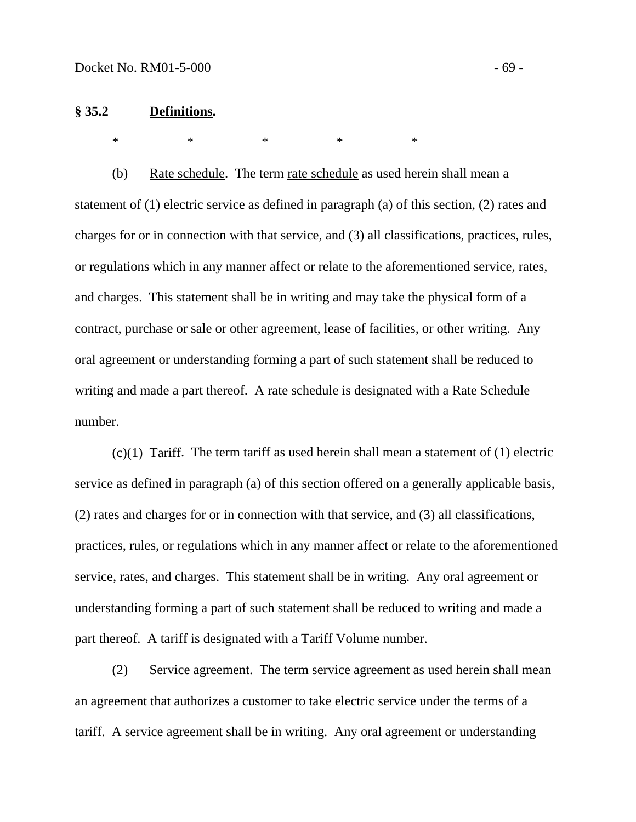#### **§ 35.2 Definitions.**

 $*$  \* \* \* \* \*

 (b) Rate schedule. The term rate schedule as used herein shall mean a statement of (1) electric service as defined in paragraph (a) of this section, (2) rates and charges for or in connection with that service, and (3) all classifications, practices, rules, or regulations which in any manner affect or relate to the aforementioned service, rates, and charges. This statement shall be in writing and may take the physical form of a contract, purchase or sale or other agreement, lease of facilities, or other writing. Any oral agreement or understanding forming a part of such statement shall be reduced to writing and made a part thereof. A rate schedule is designated with a Rate Schedule number.

 $(c)(1)$  Tariff. The term tariff as used herein shall mean a statement of  $(1)$  electric service as defined in paragraph (a) of this section offered on a generally applicable basis, (2) rates and charges for or in connection with that service, and (3) all classifications, practices, rules, or regulations which in any manner affect or relate to the aforementioned service, rates, and charges. This statement shall be in writing. Any oral agreement or understanding forming a part of such statement shall be reduced to writing and made a part thereof. A tariff is designated with a Tariff Volume number.

 (2) Service agreement. The term service agreement as used herein shall mean an agreement that authorizes a customer to take electric service under the terms of a tariff. A service agreement shall be in writing. Any oral agreement or understanding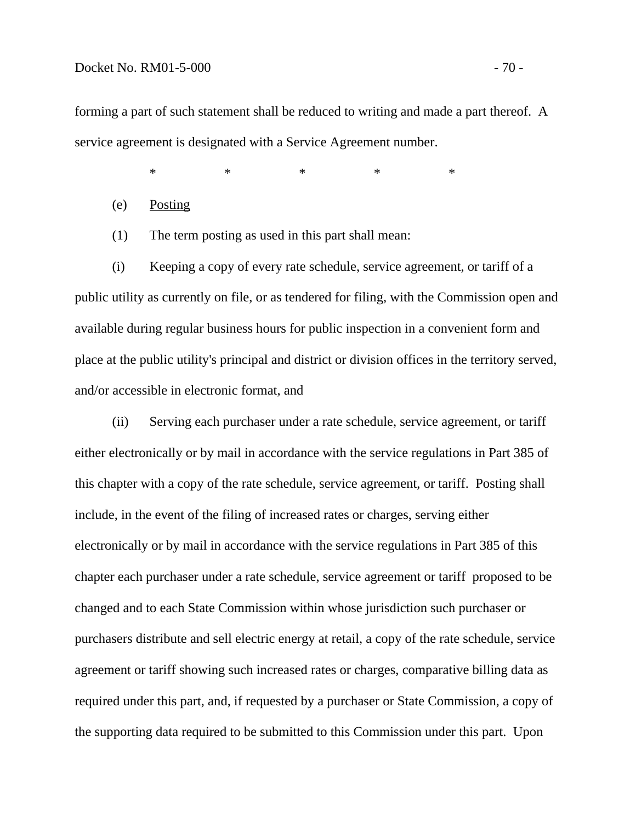### Docket No. RM01-5-000 - 70 -

forming a part of such statement shall be reduced to writing and made a part thereof. A service agreement is designated with a Service Agreement number.

 $\begin{matrix} * & * \end{matrix}$  \* \* \* \* \* \*

(e) Posting

(1) The term posting as used in this part shall mean:

 (i) Keeping a copy of every rate schedule, service agreement, or tariff of a public utility as currently on file, or as tendered for filing, with the Commission open and available during regular business hours for public inspection in a convenient form and place at the public utility's principal and district or division offices in the territory served, and/or accessible in electronic format, and

 (ii) Serving each purchaser under a rate schedule, service agreement, or tariff either electronically or by mail in accordance with the service regulations in Part 385 of this chapter with a copy of the rate schedule, service agreement, or tariff. Posting shall include, in the event of the filing of increased rates or charges, serving either electronically or by mail in accordance with the service regulations in Part 385 of this chapter each purchaser under a rate schedule, service agreement or tariff proposed to be changed and to each State Commission within whose jurisdiction such purchaser or purchasers distribute and sell electric energy at retail, a copy of the rate schedule, service agreement or tariff showing such increased rates or charges, comparative billing data as required under this part, and, if requested by a purchaser or State Commission, a copy of the supporting data required to be submitted to this Commission under this part. Upon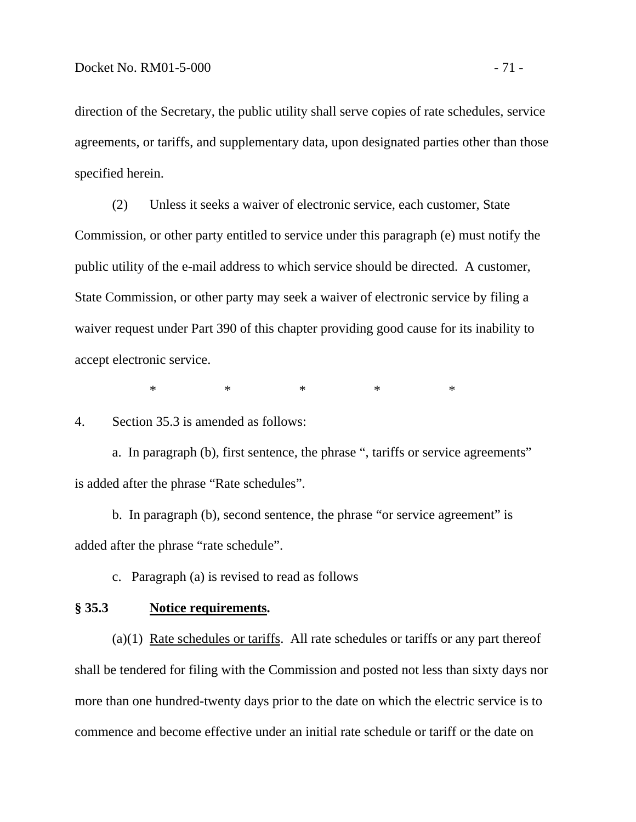direction of the Secretary, the public utility shall serve copies of rate schedules, service agreements, or tariffs, and supplementary data, upon designated parties other than those specified herein.

 (2) Unless it seeks a waiver of electronic service, each customer, State Commission, or other party entitled to service under this paragraph (e) must notify the public utility of the e-mail address to which service should be directed. A customer, State Commission, or other party may seek a waiver of electronic service by filing a waiver request under Part 390 of this chapter providing good cause for its inability to accept electronic service.

 $\begin{matrix} * & * \end{matrix}$  \* \* \* \* \* \*

4. Section 35.3 is amended as follows:

 a. In paragraph (b), first sentence, the phrase ", tariffs or service agreements" is added after the phrase "Rate schedules".

 b. In paragraph (b), second sentence, the phrase "or service agreement" is added after the phrase "rate schedule".

c. Paragraph (a) is revised to read as follows

### **§ 35.3 Notice requirements.**

 (a)(1) Rate schedules or tariffs. All rate schedules or tariffs or any part thereof shall be tendered for filing with the Commission and posted not less than sixty days nor more than one hundred-twenty days prior to the date on which the electric service is to commence and become effective under an initial rate schedule or tariff or the date on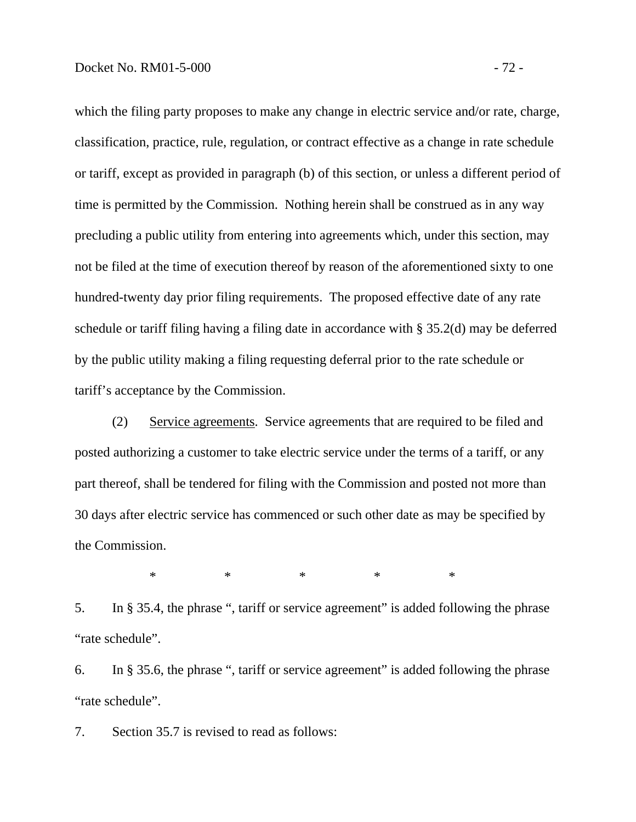which the filing party proposes to make any change in electric service and/or rate, charge, classification, practice, rule, regulation, or contract effective as a change in rate schedule or tariff, except as provided in paragraph (b) of this section, or unless a different period of time is permitted by the Commission. Nothing herein shall be construed as in any way precluding a public utility from entering into agreements which, under this section, may not be filed at the time of execution thereof by reason of the aforementioned sixty to one hundred-twenty day prior filing requirements. The proposed effective date of any rate schedule or tariff filing having a filing date in accordance with § 35.2(d) may be deferred by the public utility making a filing requesting deferral prior to the rate schedule or tariff's acceptance by the Commission.

 (2) Service agreements. Service agreements that are required to be filed and posted authorizing a customer to take electric service under the terms of a tariff, or any part thereof, shall be tendered for filing with the Commission and posted not more than 30 days after electric service has commenced or such other date as may be specified by the Commission.

\* \* \* \* \* \* \*

5. In § 35.4, the phrase ", tariff or service agreement" is added following the phrase "rate schedule".

6. In § 35.6, the phrase ", tariff or service agreement" is added following the phrase "rate schedule".

7. Section 35.7 is revised to read as follows: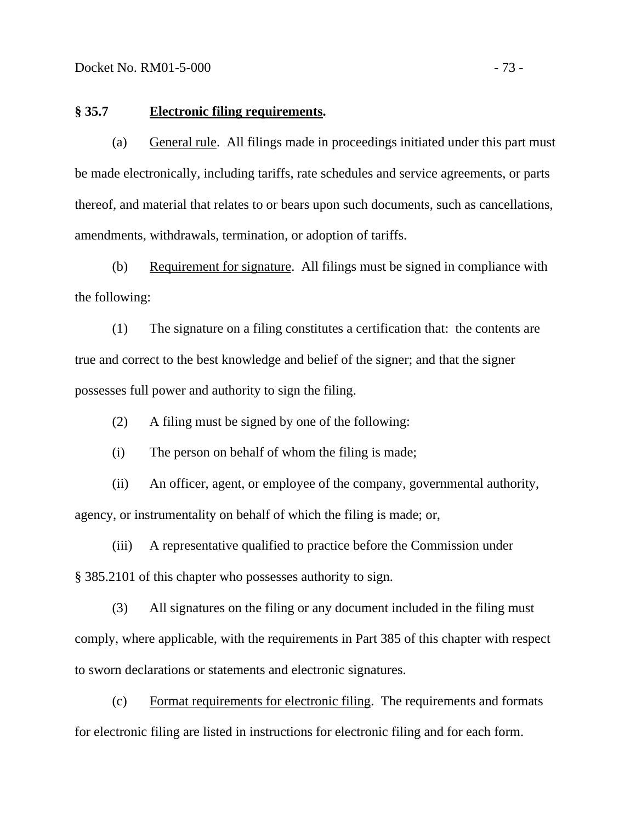#### **§ 35.7 Electronic filing requirements.**

 (a) General rule. All filings made in proceedings initiated under this part must be made electronically, including tariffs, rate schedules and service agreements, or parts thereof, and material that relates to or bears upon such documents, such as cancellations, amendments, withdrawals, termination, or adoption of tariffs.

 (b) Requirement for signature. All filings must be signed in compliance with the following:

 (1) The signature on a filing constitutes a certification that: the contents are true and correct to the best knowledge and belief of the signer; and that the signer possesses full power and authority to sign the filing.

(2) A filing must be signed by one of the following:

(i) The person on behalf of whom the filing is made;

 (ii) An officer, agent, or employee of the company, governmental authority, agency, or instrumentality on behalf of which the filing is made; or,

 (iii) A representative qualified to practice before the Commission under § 385.2101 of this chapter who possesses authority to sign.

 (3) All signatures on the filing or any document included in the filing must comply, where applicable, with the requirements in Part 385 of this chapter with respect to sworn declarations or statements and electronic signatures.

 (c) Format requirements for electronic filing. The requirements and formats for electronic filing are listed in instructions for electronic filing and for each form.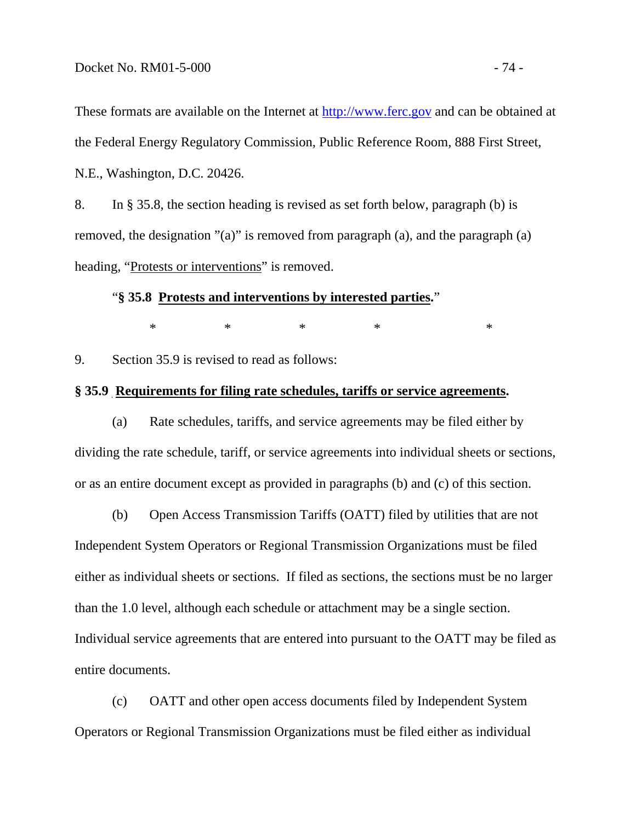These formats are available on the Internet at [http://www.ferc.gov](http://www.ferc.gov/) and can be obtained at the Federal Energy Regulatory Commission, Public Reference Room, 888 First Street, N.E., Washington, D.C. 20426.

8. In § 35.8, the section heading is revised as set forth below, paragraph (b) is removed, the designation "(a)" is removed from paragraph (a), and the paragraph (a) heading, "Protests or interventions" is removed.

### "**§ 35.8 Protests and interventions by interested parties.**"

 $*$  \* \* \* \* \* \* \*

9. Section 35.9 is revised to read as follows:

### **§ 35.9 Requirements for filing rate schedules, tariffs or service agreements.**

 (a) Rate schedules, tariffs, and service agreements may be filed either by dividing the rate schedule, tariff, or service agreements into individual sheets or sections, or as an entire document except as provided in paragraphs (b) and (c) of this section.

 (b) Open Access Transmission Tariffs (OATT) filed by utilities that are not Independent System Operators or Regional Transmission Organizations must be filed either as individual sheets or sections. If filed as sections, the sections must be no larger than the 1.0 level, although each schedule or attachment may be a single section. Individual service agreements that are entered into pursuant to the OATT may be filed as entire documents.

 (c) OATT and other open access documents filed by Independent System Operators or Regional Transmission Organizations must be filed either as individual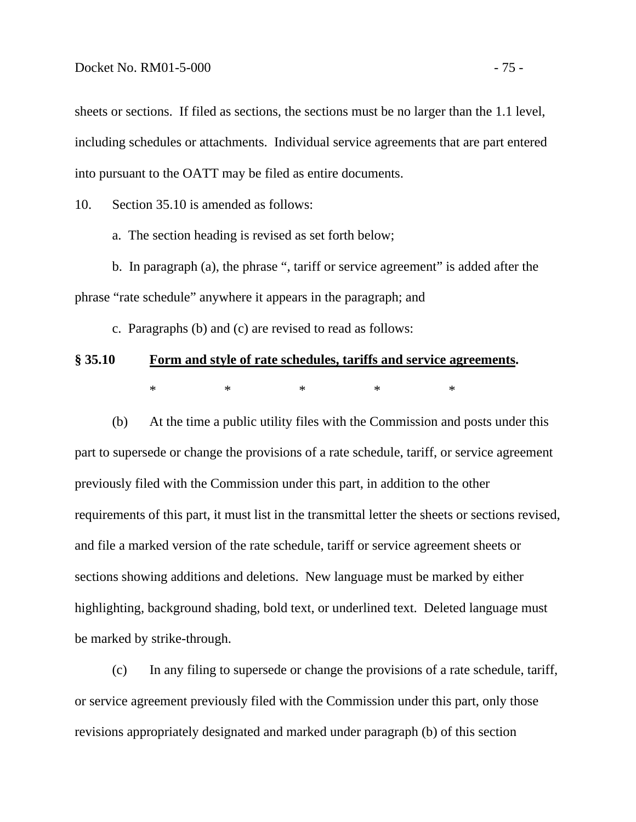sheets or sections. If filed as sections, the sections must be no larger than the 1.1 level, including schedules or attachments. Individual service agreements that are part entered into pursuant to the OATT may be filed as entire documents.

10. Section 35.10 is amended as follows:

a. The section heading is revised as set forth below;

b. In paragraph (a), the phrase ", tariff or service agreement" is added after the phrase "rate schedule" anywhere it appears in the paragraph; and

c. Paragraphs (b) and (c) are revised to read as follows:

# **§ 35.10 Form and style of rate schedules, tariffs and service agreements.**   $\begin{matrix} * & * \end{matrix}$  \* \* \* \* \* \*

 (b) At the time a public utility files with the Commission and posts under this part to supersede or change the provisions of a rate schedule, tariff, or service agreement previously filed with the Commission under this part, in addition to the other requirements of this part, it must list in the transmittal letter the sheets or sections revised, and file a marked version of the rate schedule, tariff or service agreement sheets or sections showing additions and deletions. New language must be marked by either highlighting, background shading, bold text, or underlined text. Deleted language must be marked by strike-through.

 (c) In any filing to supersede or change the provisions of a rate schedule, tariff, or service agreement previously filed with the Commission under this part, only those revisions appropriately designated and marked under paragraph (b) of this section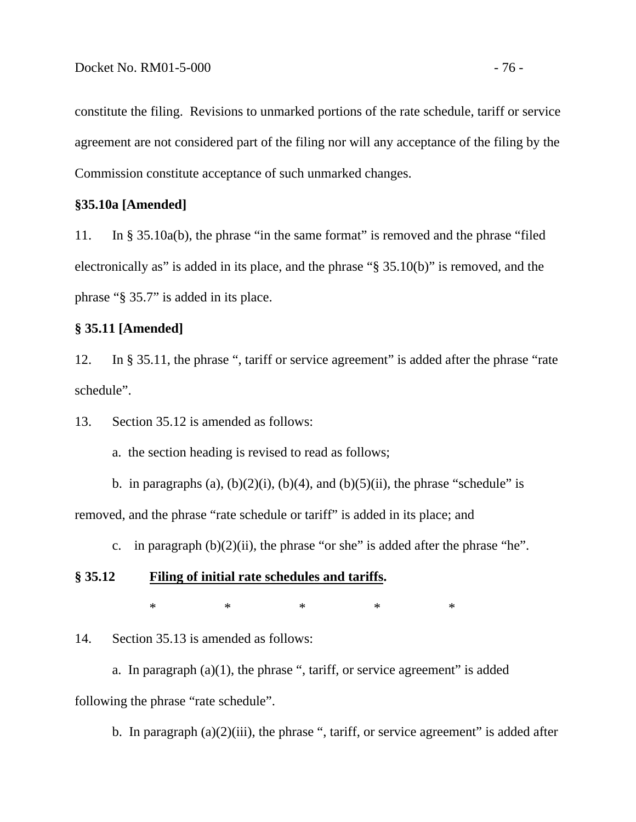constitute the filing. Revisions to unmarked portions of the rate schedule, tariff or service agreement are not considered part of the filing nor will any acceptance of the filing by the Commission constitute acceptance of such unmarked changes.

### **§35.10a [Amended]**

11. In § 35.10a(b), the phrase "in the same format" is removed and the phrase "filed electronically as" is added in its place, and the phrase "§ 35.10(b)" is removed, and the phrase "§ 35.7" is added in its place.

### **§ 35.11 [Amended]**

12. In § 35.11, the phrase ", tariff or service agreement" is added after the phrase "rate schedule".

13. Section 35.12 is amended as follows:

a. the section heading is revised to read as follows;

b. in paragraphs (a),  $(b)(2)(i)$ ,  $(b)(4)$ , and  $(b)(5)(ii)$ , the phrase "schedule" is removed, and the phrase "rate schedule or tariff" is added in its place; and

c. in paragraph  $(b)(2)(ii)$ , the phrase "or she" is added after the phrase "he".

## **§ 35.12 Filing of initial rate schedules and tariffs.**

 $\begin{matrix} * & * \end{matrix}$  \* \* \* \* \* \*

14. Section 35.13 is amended as follows:

a. In paragraph  $(a)(1)$ , the phrase ", tariff, or service agreement" is added following the phrase "rate schedule".

b. In paragraph  $(a)(2)(iii)$ , the phrase ", tariff, or service agreement" is added after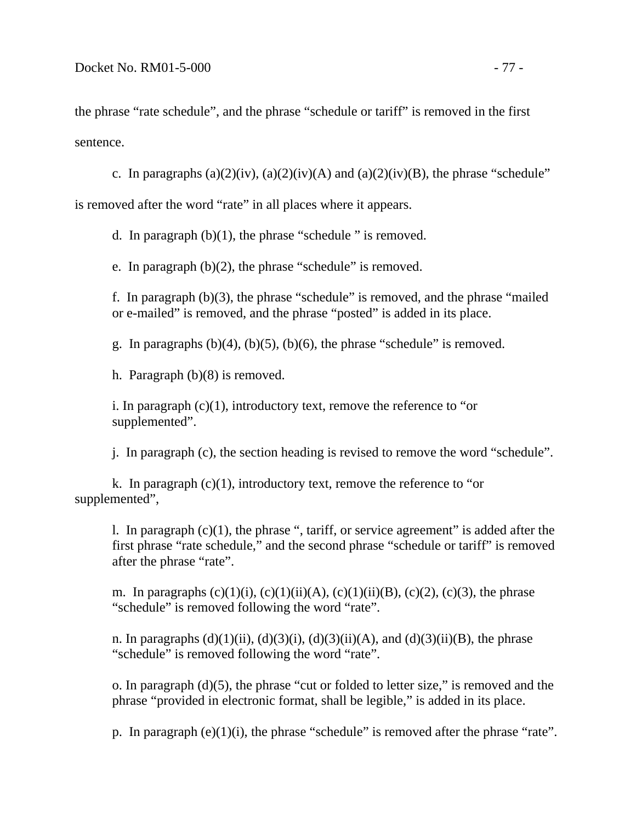the phrase "rate schedule", and the phrase "schedule or tariff" is removed in the first sentence.

c. In paragraphs  $(a)(2)(iv)$ ,  $(a)(2)(iv)(A)$  and  $(a)(2)(iv)(B)$ , the phrase "schedule"

is removed after the word "rate" in all places where it appears.

d. In paragraph (b)(1), the phrase "schedule " is removed.

e. In paragraph (b)(2), the phrase "schedule" is removed.

f. In paragraph (b)(3), the phrase "schedule" is removed, and the phrase "mailed or e-mailed" is removed, and the phrase "posted" is added in its place.

g. In paragraphs  $(b)(4)$ ,  $(b)(5)$ ,  $(b)(6)$ , the phrase "schedule" is removed.

h. Paragraph (b)(8) is removed.

i. In paragraph  $(c)(1)$ , introductory text, remove the reference to "or supplemented".

j. In paragraph (c), the section heading is revised to remove the word "schedule".

k. In paragraph  $(c)(1)$ , introductory text, remove the reference to "or supplemented",

l. In paragraph  $(c)(1)$ , the phrase ", tariff, or service agreement" is added after the first phrase "rate schedule," and the second phrase "schedule or tariff" is removed after the phrase "rate".

m. In paragraphs  $(c)(1)(i)$ ,  $(c)(1)(ii)(A)$ ,  $(c)(1)(ii)(B)$ ,  $(c)(2)$ ,  $(c)(3)$ , the phrase "schedule" is removed following the word "rate".

n. In paragraphs  $(d)(1)(ii)$ ,  $(d)(3)(i)$ ,  $(d)(3)(ii)(A)$ , and  $(d)(3)(ii)(B)$ , the phrase "schedule" is removed following the word "rate".

o. In paragraph (d)(5), the phrase "cut or folded to letter size," is removed and the phrase "provided in electronic format, shall be legible," is added in its place.

p. In paragraph (e)(1)(i), the phrase "schedule" is removed after the phrase "rate".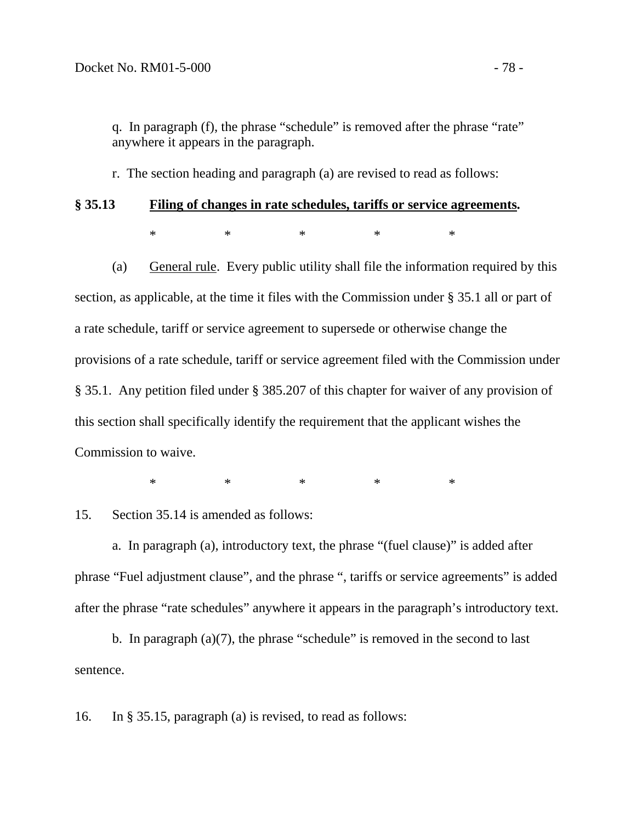q. In paragraph (f), the phrase "schedule" is removed after the phrase "rate" anywhere it appears in the paragraph.

r. The section heading and paragraph (a) are revised to read as follows:

# **§ 35.13 Filing of changes in rate schedules, tariffs or service agreements.**   $\begin{matrix} * & * \end{matrix}$  \* \* \* \* \* \*

 (a) General rule. Every public utility shall file the information required by this section, as applicable, at the time it files with the Commission under § 35.1 all or part of a rate schedule, tariff or service agreement to supersede or otherwise change the provisions of a rate schedule, tariff or service agreement filed with the Commission under § 35.1. Any petition filed under § 385.207 of this chapter for waiver of any provision of this section shall specifically identify the requirement that the applicant wishes the Commission to waive.

 $\begin{matrix} * & * \end{matrix}$  \* \* \* \* \* \*

15. Section 35.14 is amended as follows:

 a. In paragraph (a), introductory text, the phrase "(fuel clause)" is added after phrase "Fuel adjustment clause", and the phrase ", tariffs or service agreements" is added after the phrase "rate schedules" anywhere it appears in the paragraph's introductory text.

 b. In paragraph (a)(7), the phrase "schedule" is removed in the second to last sentence.

16. In § 35.15, paragraph (a) is revised, to read as follows: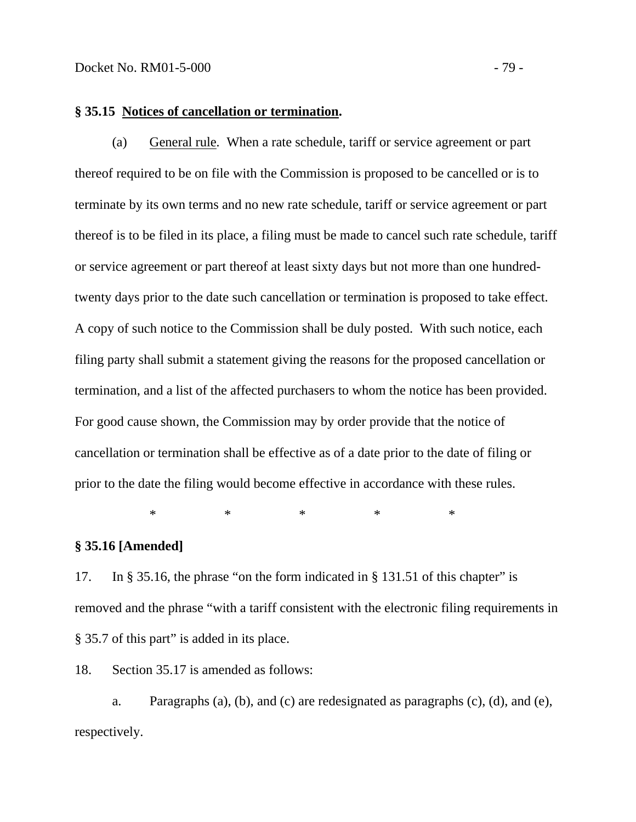# **§ 35.15 Notices of cancellation or termination.**

 (a) General rule*.* When a rate schedule, tariff or service agreement or part thereof required to be on file with the Commission is proposed to be cancelled or is to terminate by its own terms and no new rate schedule, tariff or service agreement or part thereof is to be filed in its place, a filing must be made to cancel such rate schedule, tariff or service agreement or part thereof at least sixty days but not more than one hundredtwenty days prior to the date such cancellation or termination is proposed to take effect. A copy of such notice to the Commission shall be duly posted. With such notice, each filing party shall submit a statement giving the reasons for the proposed cancellation or termination, and a list of the affected purchasers to whom the notice has been provided. For good cause shown, the Commission may by order provide that the notice of cancellation or termination shall be effective as of a date prior to the date of filing or prior to the date the filing would become effective in accordance with these rules.

 $*$  \* \* \* \* \* \* \*

### **§ 35.16 [Amended]**

17. In § 35.16, the phrase "on the form indicated in § 131.51 of this chapter" is removed and the phrase "with a tariff consistent with the electronic filing requirements in § 35.7 of this part" is added in its place.

18. Section 35.17 is amended as follows:

a. Paragraphs (a), (b), and (c) are redesignated as paragraphs (c), (d), and (e), respectively.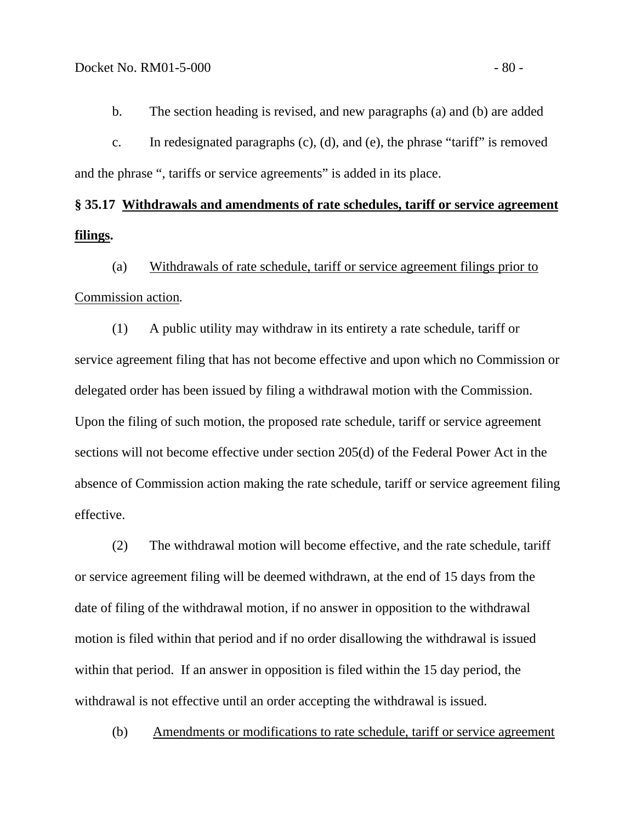b. The section heading is revised, and new paragraphs (a) and (b) are added

 c. In redesignated paragraphs (c), (d), and (e), the phrase "tariff" is removed and the phrase ", tariffs or service agreements" is added in its place.

# **§ 35.17 Withdrawals and amendments of rate schedules, tariff or service agreement filings.**

 (a) Withdrawals of rate schedule, tariff or service agreement filings prior to Commission action*.*

 (1) A public utility may withdraw in its entirety a rate schedule, tariff or service agreement filing that has not become effective and upon which no Commission or delegated order has been issued by filing a withdrawal motion with the Commission. Upon the filing of such motion, the proposed rate schedule, tariff or service agreement sections will not become effective under section 205(d) of the Federal Power Act in the absence of Commission action making the rate schedule, tariff or service agreement filing effective.

 (2) The withdrawal motion will become effective, and the rate schedule, tariff or service agreement filing will be deemed withdrawn, at the end of 15 days from the date of filing of the withdrawal motion, if no answer in opposition to the withdrawal motion is filed within that period and if no order disallowing the withdrawal is issued within that period. If an answer in opposition is filed within the 15 day period, the withdrawal is not effective until an order accepting the withdrawal is issued.

(b) Amendments or modifications to rate schedule, tariff or service agreement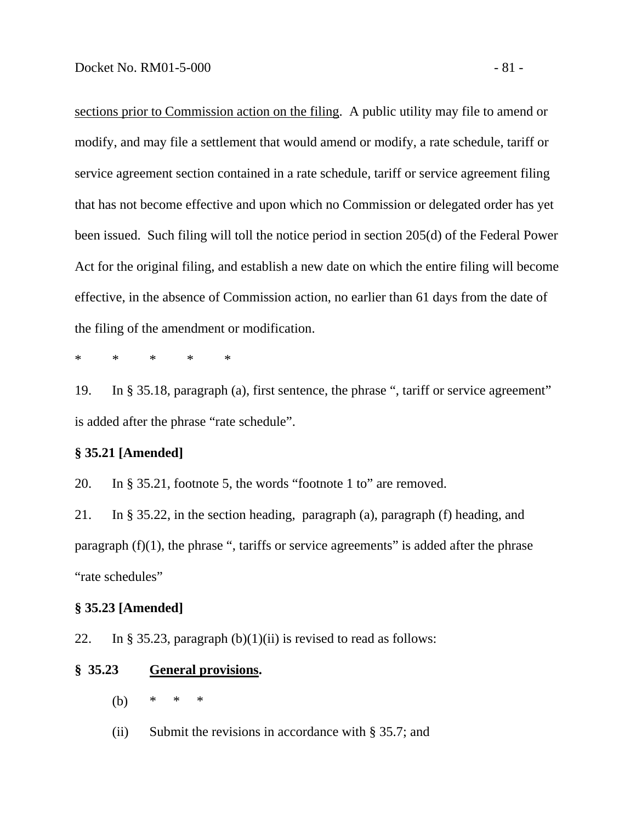sections prior to Commission action on the filing. A public utility may file to amend or modify, and may file a settlement that would amend or modify, a rate schedule, tariff or service agreement section contained in a rate schedule, tariff or service agreement filing that has not become effective and upon which no Commission or delegated order has yet been issued. Such filing will toll the notice period in section 205(d) of the Federal Power Act for the original filing, and establish a new date on which the entire filing will become effective, in the absence of Commission action, no earlier than 61 days from the date of the filing of the amendment or modification.

\* \* \* \* \*

19. In § 35.18, paragraph (a), first sentence, the phrase ", tariff or service agreement" is added after the phrase "rate schedule".

## **§ 35.21 [Amended]**

20. In § 35.21, footnote 5, the words "footnote 1 to" are removed.

21. In § 35.22, in the section heading, paragraph (a), paragraph (f) heading, and paragraph  $(f)(1)$ , the phrase ", tariffs or service agreements" is added after the phrase "rate schedules"

### **§ 35.23 [Amended]**

22. In § 35.23, paragraph  $(b)(1)(ii)$  is revised to read as follows:

#### **§ 35.23 General provisions.**

- (b) \* \* \*
- (ii) Submit the revisions in accordance with § 35.7; and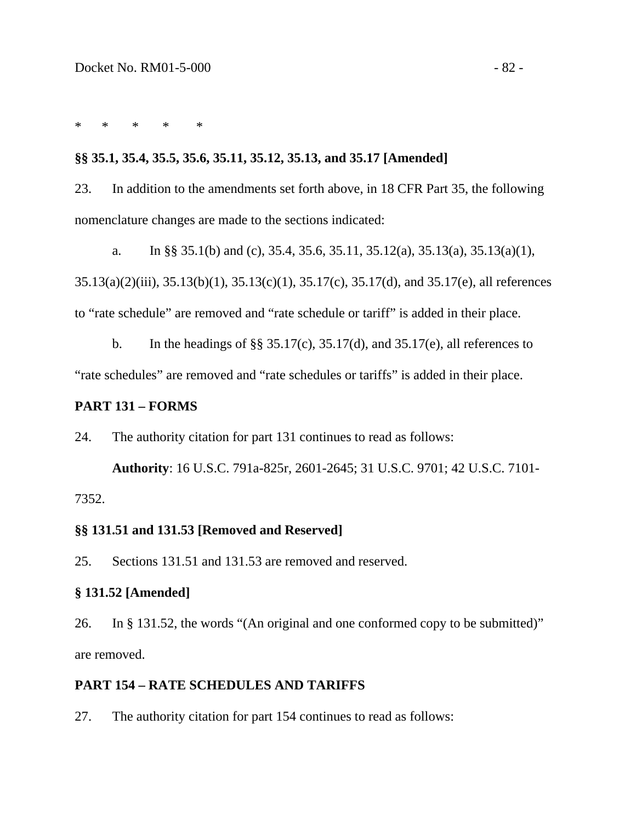\* \* \* \* \*

### **§§ 35.1, 35.4, 35.5, 35.6, 35.11, 35.12, 35.13, and 35.17 [Amended]**

23. In addition to the amendments set forth above, in 18 CFR Part 35, the following nomenclature changes are made to the sections indicated:

 a. In §§ 35.1(b) and (c), 35.4, 35.6, 35.11, 35.12(a), 35.13(a), 35.13(a)(1), 35.13(a)(2)(iii), 35.13(b)(1), 35.13(c)(1), 35.17(c), 35.17(d), and 35.17(e), all references to "rate schedule" are removed and "rate schedule or tariff" is added in their place.

b. In the headings of  $\S$ § 35.17(c), 35.17(d), and 35.17(e), all references to "rate schedules" are removed and "rate schedules or tariffs" is added in their place.

### **PART 131 – FORMS**

24. The authority citation for part 131 continues to read as follows:

**Authority**: 16 U.S.C. 791a-825r, 2601-2645; 31 U.S.C. 9701; 42 U.S.C. 7101- 7352.

#### **§§ 131.51 and 131.53 [Removed and Reserved]**

25. Sections 131.51 and 131.53 are removed and reserved.

### **§ 131.52 [Amended]**

26. In § 131.52, the words "(An original and one conformed copy to be submitted)" are removed.

# **PART 154 – RATE SCHEDULES AND TARIFFS**

27. The authority citation for part 154 continues to read as follows: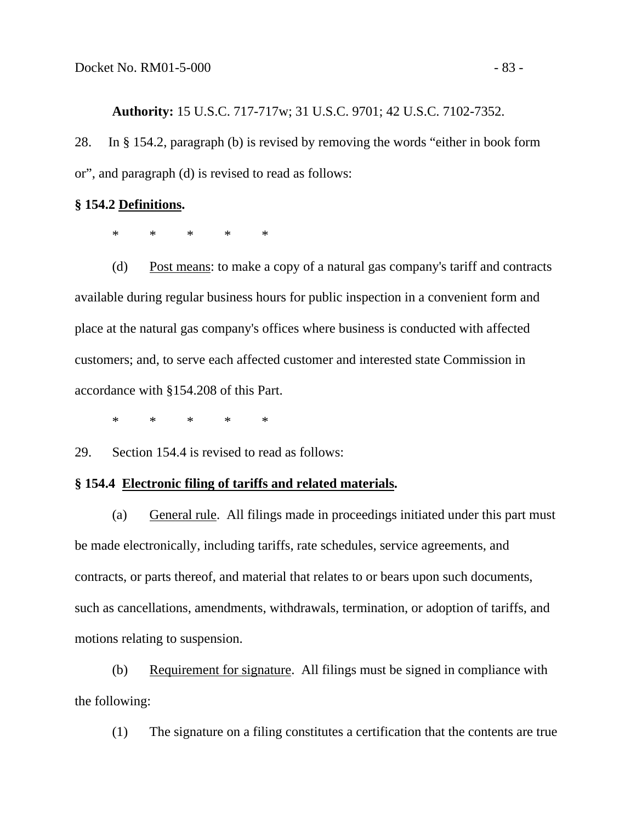**Authority:** 15 U.S.C. 717-717w; 31 U.S.C. 9701; 42 U.S.C. 7102-7352.

28. In § 154.2, paragraph (b) is revised by removing the words "either in book form or", and paragraph (d) is revised to read as follows:

### **§ 154.2 Definitions.**

\* \* \* \* \*

 (d) Post means: to make a copy of a natural gas company's tariff and contracts available during regular business hours for public inspection in a convenient form and place at the natural gas company's offices where business is conducted with affected customers; and, to serve each affected customer and interested state Commission in accordance with §154.208 of this Part.

\* \* \* \* \*

29. Section 154.4 is revised to read as follows:

### **§ 154.4 Electronic filing of tariffs and related materials.**

(a) General rule. All filings made in proceedings initiated under this part must be made electronically, including tariffs, rate schedules, service agreements, and contracts, or parts thereof, and material that relates to or bears upon such documents, such as cancellations, amendments, withdrawals, termination, or adoption of tariffs, and motions relating to suspension.

(b) Requirement for signature. All filings must be signed in compliance with the following:

(1) The signature on a filing constitutes a certification that the contents are true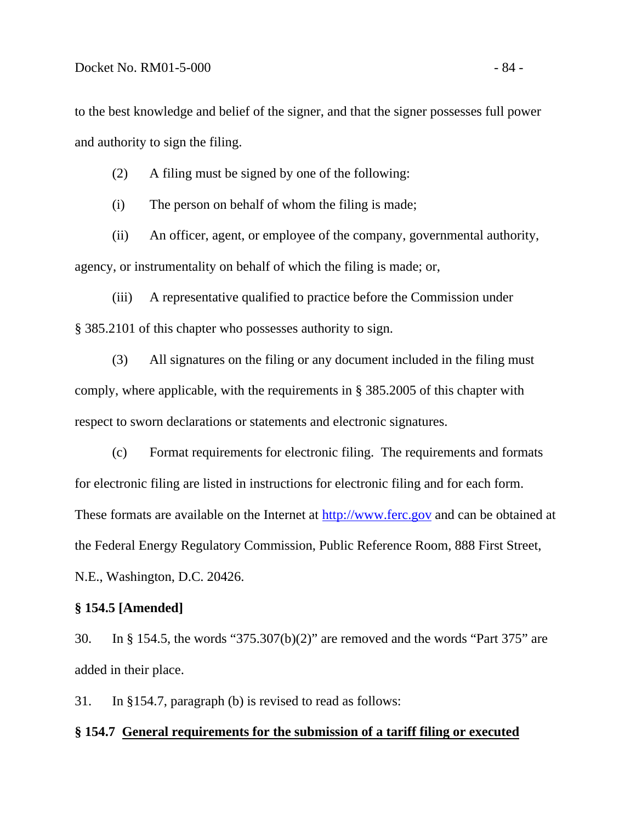to the best knowledge and belief of the signer, and that the signer possesses full power and authority to sign the filing.

(2) A filing must be signed by one of the following:

(i) The person on behalf of whom the filing is made;

(ii) An officer, agent, or employee of the company, governmental authority, agency, or instrumentality on behalf of which the filing is made; or,

(iii) A representative qualified to practice before the Commission under § 385.2101 of this chapter who possesses authority to sign.

(3) All signatures on the filing or any document included in the filing must comply, where applicable, with the requirements in § 385.2005 of this chapter with respect to sworn declarations or statements and electronic signatures.

(c) Format requirements for electronic filing. The requirements and formats for electronic filing are listed in instructions for electronic filing and for each form. These formats are available on the Internet at [http://www.ferc.gov](http://www.ferc.gov/) and can be obtained at the Federal Energy Regulatory Commission, Public Reference Room, 888 First Street, N.E., Washington, D.C. 20426.

### **§ 154.5 [Amended]**

30. In § 154.5, the words "375.307(b)(2)" are removed and the words "Part 375" are added in their place.

31. In §154.7, paragraph (b) is revised to read as follows:

#### **§ 154.7 General requirements for the submission of a tariff filing or executed**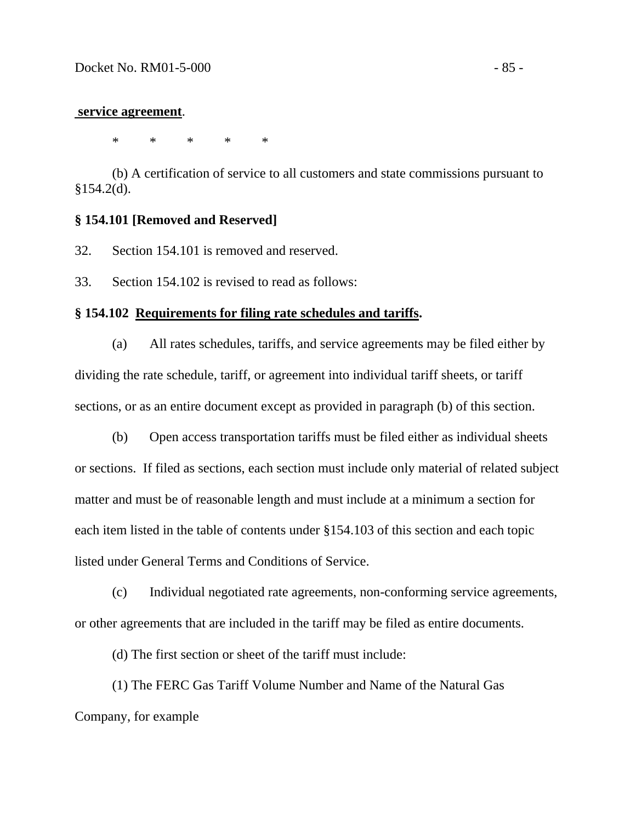#### **service agreement**.

\* \* \* \* \*

(b) A certification of service to all customers and state commissions pursuant to §154.2(d).

### **§ 154.101 [Removed and Reserved]**

32. Section 154.101 is removed and reserved.

33. Section 154.102 is revised to read as follows:

### **§ 154.102 Requirements for filing rate schedules and tariffs.**

 (a) All rates schedules, tariffs, and service agreements may be filed either by dividing the rate schedule, tariff, or agreement into individual tariff sheets, or tariff sections, or as an entire document except as provided in paragraph (b) of this section.

 (b) Open access transportation tariffs must be filed either as individual sheets or sections. If filed as sections, each section must include only material of related subject matter and must be of reasonable length and must include at a minimum a section for each item listed in the table of contents under §154.103 of this section and each topic listed under General Terms and Conditions of Service.

 (c) Individual negotiated rate agreements, non-conforming service agreements, or other agreements that are included in the tariff may be filed as entire documents.

(d) The first section or sheet of the tariff must include:

 (1) The FERC Gas Tariff Volume Number and Name of the Natural Gas Company, for example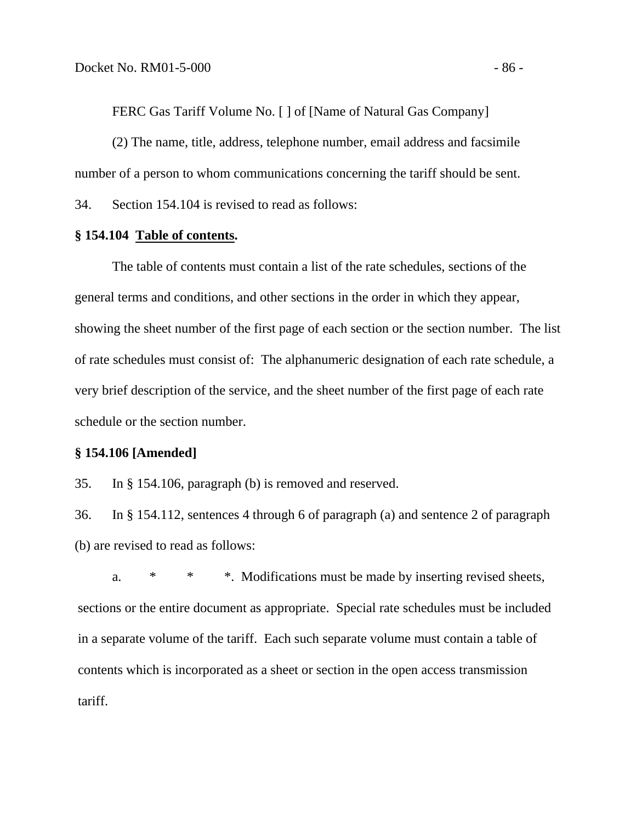FERC Gas Tariff Volume No. [ ] of [Name of Natural Gas Company]

 (2) The name, title, address, telephone number, email address and facsimile number of a person to whom communications concerning the tariff should be sent.

34. Section 154.104 is revised to read as follows:

### **§ 154.104 Table of contents.**

 The table of contents must contain a list of the rate schedules, sections of the general terms and conditions, and other sections in the order in which they appear, showing the sheet number of the first page of each section or the section number. The list of rate schedules must consist of: The alphanumeric designation of each rate schedule, a very brief description of the service, and the sheet number of the first page of each rate schedule or the section number.

#### **§ 154.106 [Amended]**

35. In § 154.106, paragraph (b) is removed and reserved.

36. In § 154.112, sentences 4 through 6 of paragraph (a) and sentence 2 of paragraph (b) are revised to read as follows:

 a. \* \* \*. Modifications must be made by inserting revised sheets, sections or the entire document as appropriate. Special rate schedules must be included in a separate volume of the tariff. Each such separate volume must contain a table of contents which is incorporated as a sheet or section in the open access transmission tariff.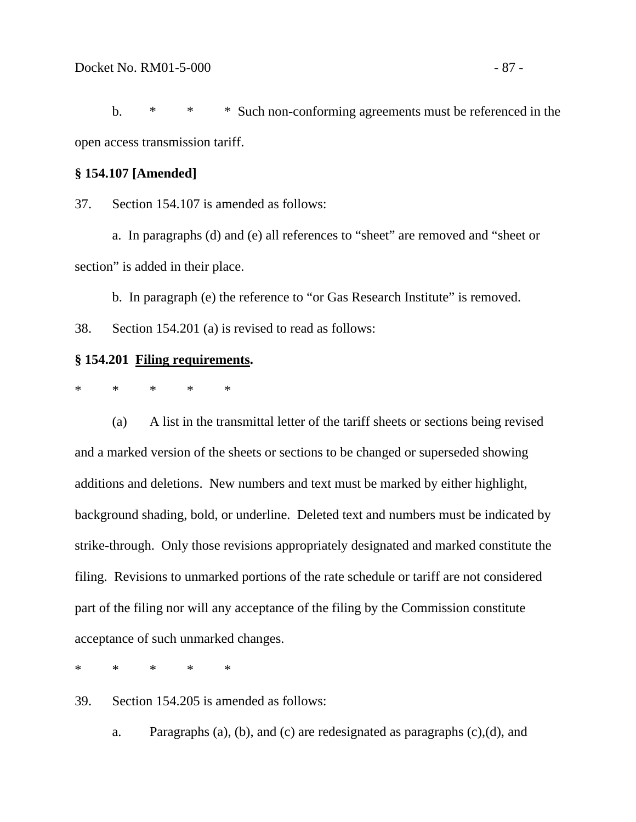b. \* \* \* Such non-conforming agreements must be referenced in the open access transmission tariff.

# **§ 154.107 [Amended]**

37. Section 154.107 is amended as follows:

a. In paragraphs (d) and (e) all references to "sheet" are removed and "sheet or section" is added in their place.

b. In paragraph (e) the reference to "or Gas Research Institute" is removed.

38. Section 154.201 (a) is revised to read as follows:

## **§ 154.201 Filing requirements.**

\* \* \* \* \*

 (a) A list in the transmittal letter of the tariff sheets or sections being revised and a marked version of the sheets or sections to be changed or superseded showing additions and deletions. New numbers and text must be marked by either highlight, background shading, bold, or underline. Deleted text and numbers must be indicated by strike-through. Only those revisions appropriately designated and marked constitute the filing. Revisions to unmarked portions of the rate schedule or tariff are not considered part of the filing nor will any acceptance of the filing by the Commission constitute acceptance of such unmarked changes.

\* \* \* \* \*

39. Section 154.205 is amended as follows:

a. Paragraphs (a), (b), and (c) are redesignated as paragraphs (c),(d), and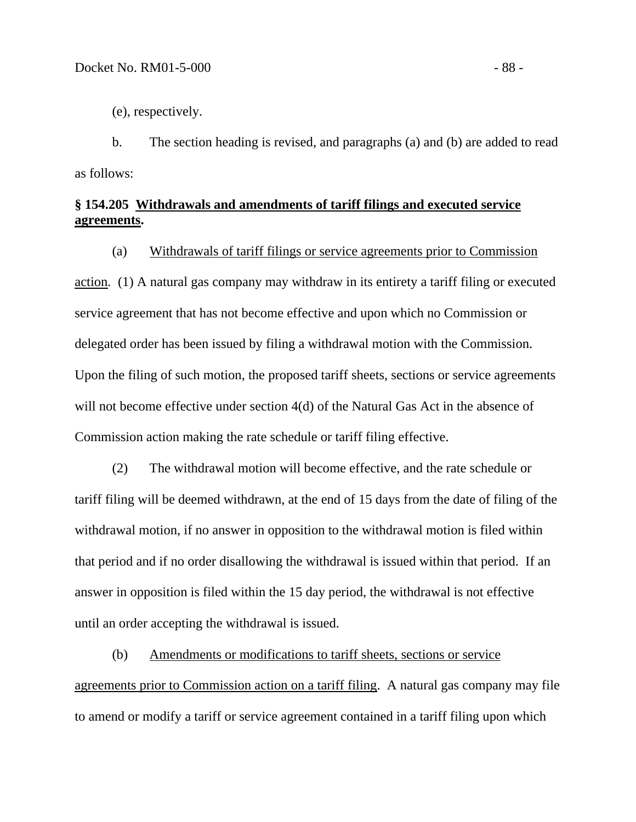(e), respectively.

b. The section heading is revised, and paragraphs (a) and (b) are added to read as follows:

# **§ 154.205 Withdrawals and amendments of tariff filings and executed service agreements.**

(a) Withdrawals of tariff filings or service agreements prior to Commission

action*.* (1) A natural gas company may withdraw in its entirety a tariff filing or executed service agreement that has not become effective and upon which no Commission or delegated order has been issued by filing a withdrawal motion with the Commission. Upon the filing of such motion, the proposed tariff sheets, sections or service agreements will not become effective under section 4(d) of the Natural Gas Act in the absence of Commission action making the rate schedule or tariff filing effective.

 (2) The withdrawal motion will become effective, and the rate schedule or tariff filing will be deemed withdrawn, at the end of 15 days from the date of filing of the withdrawal motion, if no answer in opposition to the withdrawal motion is filed within that period and if no order disallowing the withdrawal is issued within that period. If an answer in opposition is filed within the 15 day period, the withdrawal is not effective until an order accepting the withdrawal is issued.

 (b) Amendments or modifications to tariff sheets, sections or service agreements prior to Commission action on a tariff filing. A natural gas company may file to amend or modify a tariff or service agreement contained in a tariff filing upon which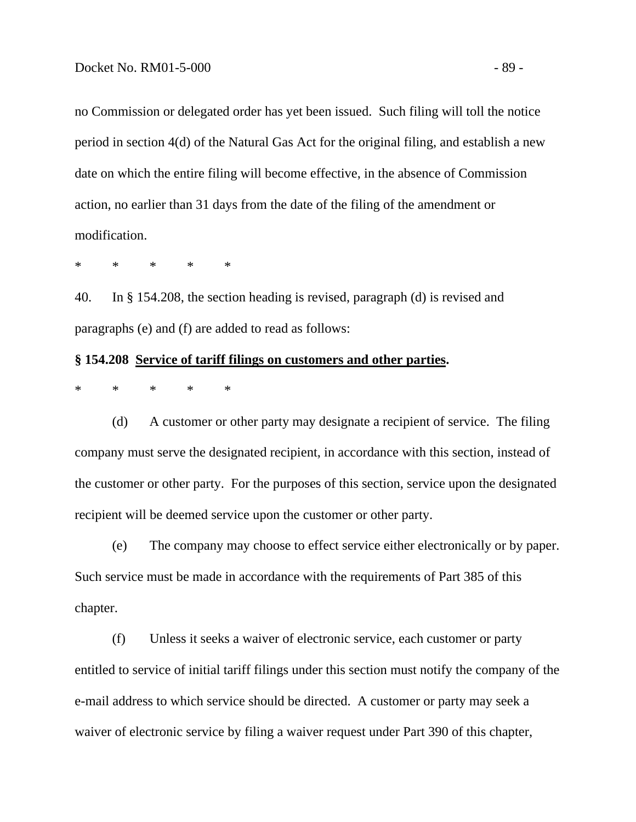no Commission or delegated order has yet been issued. Such filing will toll the notice period in section 4(d) of the Natural Gas Act for the original filing, and establish a new date on which the entire filing will become effective, in the absence of Commission action, no earlier than 31 days from the date of the filing of the amendment or modification.

\* \* \* \* \*

40. In § 154.208, the section heading is revised, paragraph (d) is revised and paragraphs (e) and (f) are added to read as follows:

### **§ 154.208 Service of tariff filings on customers and other parties.**

\* \* \* \* \*

 (d) A customer or other party may designate a recipient of service. The filing company must serve the designated recipient, in accordance with this section, instead of the customer or other party. For the purposes of this section, service upon the designated recipient will be deemed service upon the customer or other party.

(e) The company may choose to effect service either electronically or by paper. Such service must be made in accordance with the requirements of Part 385 of this chapter.

(f) Unless it seeks a waiver of electronic service, each customer or party entitled to service of initial tariff filings under this section must notify the company of the e-mail address to which service should be directed. A customer or party may seek a waiver of electronic service by filing a waiver request under Part 390 of this chapter,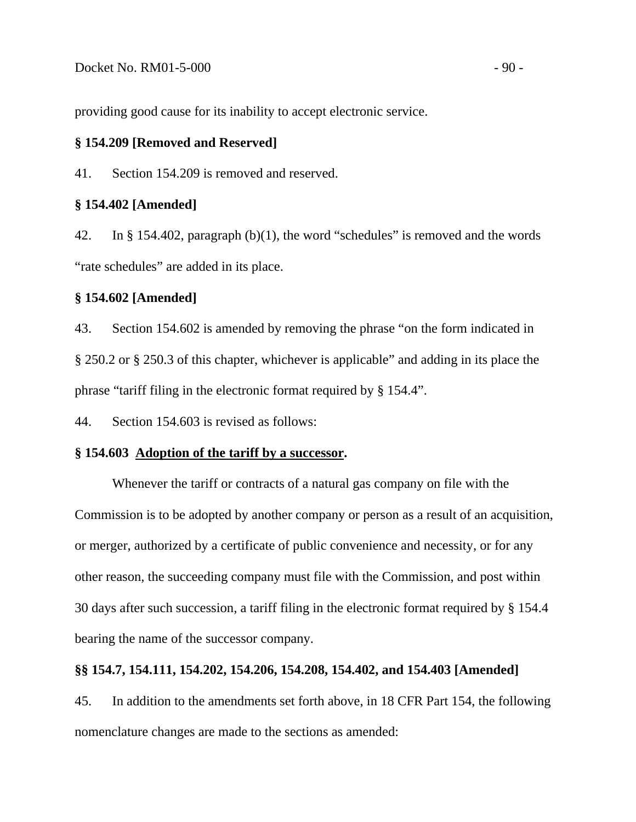providing good cause for its inability to accept electronic service.

### **§ 154.209 [Removed and Reserved]**

41. Section 154.209 is removed and reserved.

### **§ 154.402 [Amended]**

42. In § 154.402, paragraph (b)(1), the word "schedules" is removed and the words "rate schedules" are added in its place.

## **§ 154.602 [Amended]**

43. Section 154.602 is amended by removing the phrase "on the form indicated in § 250.2 or § 250.3 of this chapter, whichever is applicable" and adding in its place the phrase "tariff filing in the electronic format required by § 154.4".

44. Section 154.603 is revised as follows:

### **§ 154.603 Adoption of the tariff by a successor.**

 Whenever the tariff or contracts of a natural gas company on file with the Commission is to be adopted by another company or person as a result of an acquisition, or merger, authorized by a certificate of public convenience and necessity, or for any other reason, the succeeding company must file with the Commission, and post within 30 days after such succession, a tariff filing in the electronic format required by § 154.4 bearing the name of the successor company.

#### **§§ 154.7, 154.111, 154.202, 154.206, 154.208, 154.402, and 154.403 [Amended]**

45. In addition to the amendments set forth above, in 18 CFR Part 154, the following nomenclature changes are made to the sections as amended: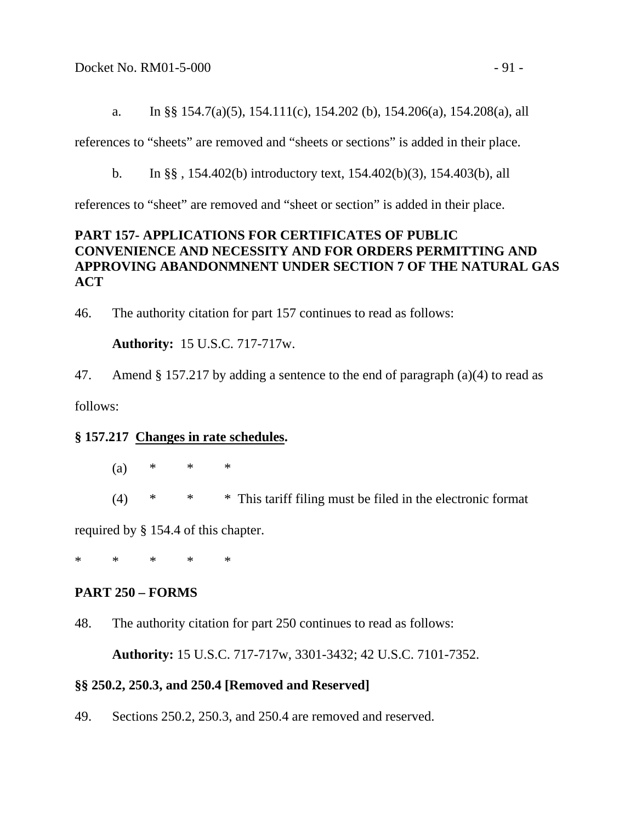a. In §§ 154.7(a)(5), 154.111(c), 154.202 (b), 154.206(a), 154.208(a), all

references to "sheets" are removed and "sheets or sections" is added in their place.

b. In §§ , 154.402(b) introductory text, 154.402(b)(3), 154.403(b), all

references to "sheet" are removed and "sheet or section" is added in their place.

# **PART 157- APPLICATIONS FOR CERTIFICATES OF PUBLIC CONVENIENCE AND NECESSITY AND FOR ORDERS PERMITTING AND APPROVING ABANDONMNENT UNDER SECTION 7 OF THE NATURAL GAS ACT**

46. The authority citation for part 157 continues to read as follows:

 **Authority:** 15 U.S.C. 717-717w.

47. Amend § 157.217 by adding a sentence to the end of paragraph (a)(4) to read as

follows:

# **§ 157.217 Changes in rate schedules.**

- (a) \* \* \*
- (4) \* \* \* This tariff filing must be filed in the electronic format

required by § 154.4 of this chapter.

\* \* \* \* \*

# **PART 250 – FORMS**

48. The authority citation for part 250 continues to read as follows:

 **Authority:** 15 U.S.C. 717-717w, 3301-3432; 42 U.S.C. 7101-7352.

# **§§ 250.2, 250.3, and 250.4 [Removed and Reserved]**

49. Sections 250.2, 250.3, and 250.4 are removed and reserved.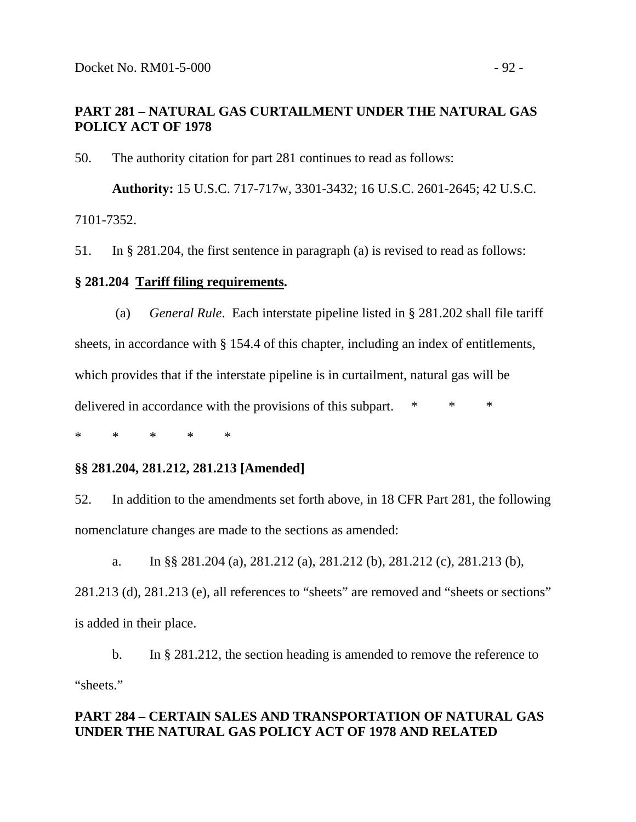# **PART 281 – NATURAL GAS CURTAILMENT UNDER THE NATURAL GAS POLICY ACT OF 1978**

50. The authority citation for part 281 continues to read as follows:

 **Authority:** 15 U.S.C. 717-717w, 3301-3432; 16 U.S.C. 2601-2645; 42 U.S.C. 7101-7352.

51. In § 281.204, the first sentence in paragraph (a) is revised to read as follows:

### **§ 281.204 Tariff filing requirements.**

 (a) *General Rule*. Each interstate pipeline listed in § 281.202 shall file tariff sheets, in accordance with § 154.4 of this chapter, including an index of entitlements, which provides that if the interstate pipeline is in curtailment, natural gas will be delivered in accordance with the provisions of this subpart. \* \* \*

\* \* \* \* \*

### **§§ 281.204, 281.212, 281.213 [Amended]**

52. In addition to the amendments set forth above, in 18 CFR Part 281, the following nomenclature changes are made to the sections as amended:

 a. In §§ 281.204 (a), 281.212 (a), 281.212 (b), 281.212 (c), 281.213 (b), 281.213 (d), 281.213 (e), all references to "sheets" are removed and "sheets or sections" is added in their place.

 b. In § 281.212, the section heading is amended to remove the reference to "sheets."

# **PART 284 – CERTAIN SALES AND TRANSPORTATION OF NATURAL GAS UNDER THE NATURAL GAS POLICY ACT OF 1978 AND RELATED**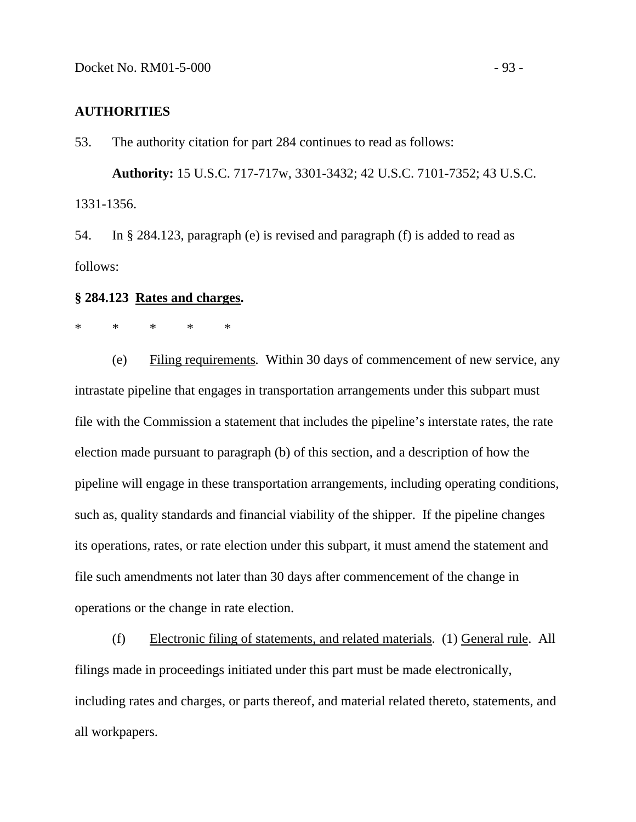# **AUTHORITIES**

53. The authority citation for part 284 continues to read as follows:

 **Authority:** 15 U.S.C. 717-717w, 3301-3432; 42 U.S.C. 7101-7352; 43 U.S.C. 1331-1356.

54. In § 284.123, paragraph (e) is revised and paragraph (f) is added to read as follows:

### **§ 284.123 Rates and charges.**

# \* \* \* \* \*

 (e) Filing requirements*.* Within 30 days of commencement of new service, any intrastate pipeline that engages in transportation arrangements under this subpart must file with the Commission a statement that includes the pipeline's interstate rates, the rate election made pursuant to paragraph (b) of this section, and a description of how the pipeline will engage in these transportation arrangements, including operating conditions, such as, quality standards and financial viability of the shipper. If the pipeline changes its operations, rates, or rate election under this subpart, it must amend the statement and file such amendments not later than 30 days after commencement of the change in operations or the change in rate election.

 (f) Electronic filing of statements, and related materials. (1) General rule. All filings made in proceedings initiated under this part must be made electronically, including rates and charges, or parts thereof, and material related thereto, statements, and all workpapers.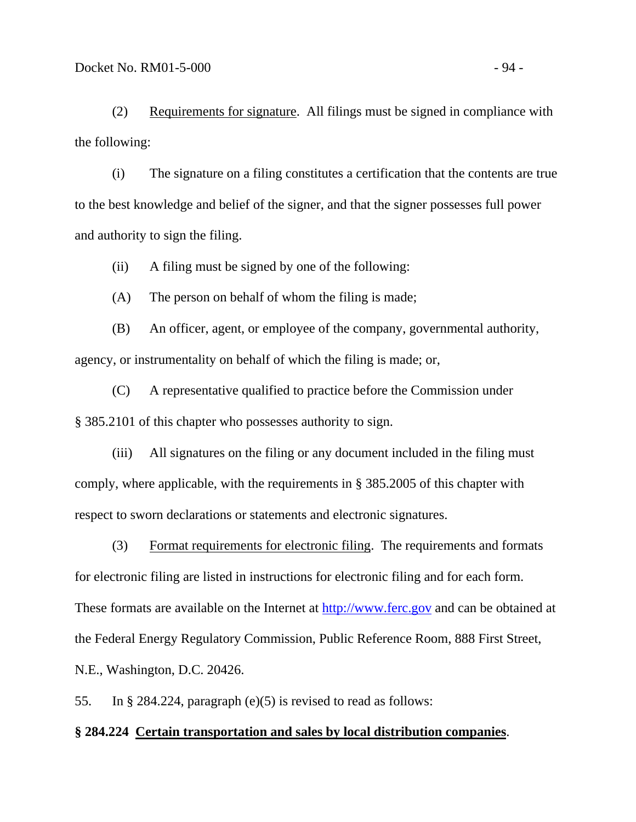(2) Requirements for signature. All filings must be signed in compliance with the following:

(i) The signature on a filing constitutes a certification that the contents are true to the best knowledge and belief of the signer, and that the signer possesses full power and authority to sign the filing.

(ii) A filing must be signed by one of the following:

(A) The person on behalf of whom the filing is made;

(B) An officer, agent, or employee of the company, governmental authority, agency, or instrumentality on behalf of which the filing is made; or,

(C) A representative qualified to practice before the Commission under § 385.2101 of this chapter who possesses authority to sign.

(iii) All signatures on the filing or any document included in the filing must comply, where applicable, with the requirements in § 385.2005 of this chapter with respect to sworn declarations or statements and electronic signatures.

(3) Format requirements for electronic filing. The requirements and formats for electronic filing are listed in instructions for electronic filing and for each form. These formats are available on the Internet at [http://www.ferc.gov](http://www.ferc.gov/) and can be obtained at the Federal Energy Regulatory Commission, Public Reference Room, 888 First Street, N.E., Washington, D.C. 20426.

55. In § 284.224, paragraph (e)(5) is revised to read as follows:

#### **§ 284.224 Certain transportation and sales by local distribution companies**.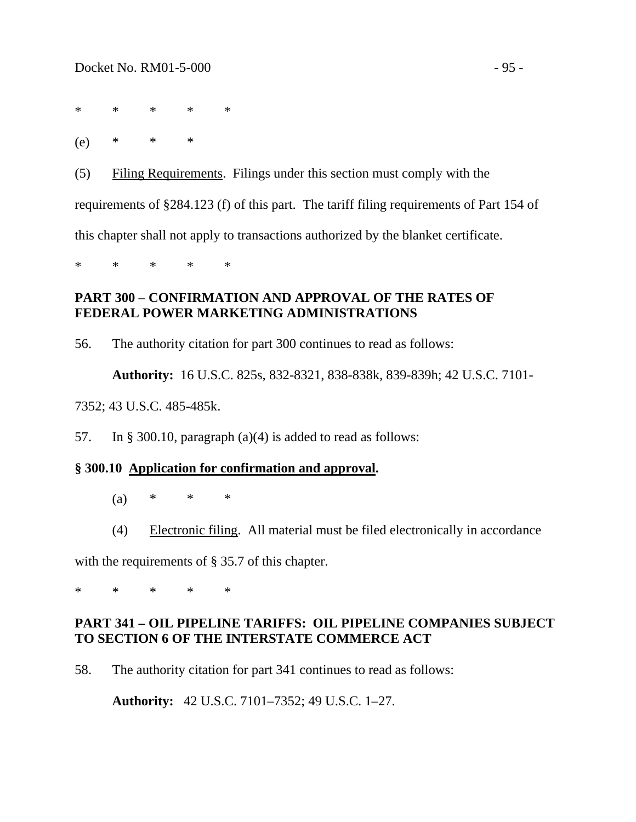\* \* \* \* \*

(e) \* \* \*

(5) Filing Requirements. Filings under this section must comply with the requirements of §284.123 (f) of this part. The tariff filing requirements of Part 154 of this chapter shall not apply to transactions authorized by the blanket certificate.

\* \* \* \* \*

## **PART 300 – CONFIRMATION AND APPROVAL OF THE RATES OF FEDERAL POWER MARKETING ADMINISTRATIONS**

56. The authority citation for part 300 continues to read as follows:

 **Authority:** 16 U.S.C. 825s, 832-8321, 838-838k, 839-839h; 42 U.S.C. 7101-

7352; 43 U.S.C. 485-485k.

57. In § 300.10, paragraph (a)(4) is added to read as follows:

### **§ 300.10 Application for confirmation and approval.**

- (a)  $*$   $*$   $*$
- (4) Electronic filing. All material must be filed electronically in accordance

with the requirements of § 35.7 of this chapter.

\* \* \* \* \*

## **PART 341 – OIL PIPELINE TARIFFS: OIL PIPELINE COMPANIES SUBJECT TO SECTION 6 OF THE INTERSTATE COMMERCE ACT**

58. The authority citation for part 341 continues to read as follows:

 **Authority:** 42 U.S.C. 7101–7352; 49 U.S.C. 1–27.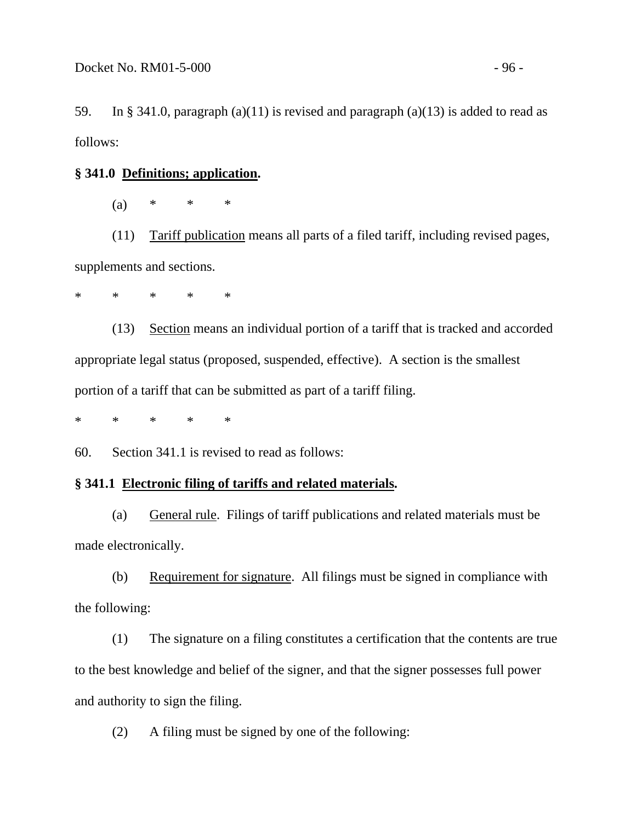59. In § 341.0, paragraph (a)(11) is revised and paragraph (a)(13) is added to read as follows:

### **§ 341.0 Definitions; application.**

(a) \* \* \*

 (11) Tariff publication means all parts of a filed tariff, including revised pages, supplements and sections.

\* \* \* \* \*

 (13) Section means an individual portion of a tariff that is tracked and accorded appropriate legal status (proposed, suspended, effective). A section is the smallest portion of a tariff that can be submitted as part of a tariff filing.

\* \* \* \* \*

60. Section 341.1 is revised to read as follows:

### **§ 341.1 Electronic filing of tariffs and related materials.**

 (a) General rule. Filings of tariff publications and related materials must be made electronically.

 (b) Requirement for signature. All filings must be signed in compliance with the following:

(1) The signature on a filing constitutes a certification that the contents are true to the best knowledge and belief of the signer, and that the signer possesses full power and authority to sign the filing.

(2) A filing must be signed by one of the following: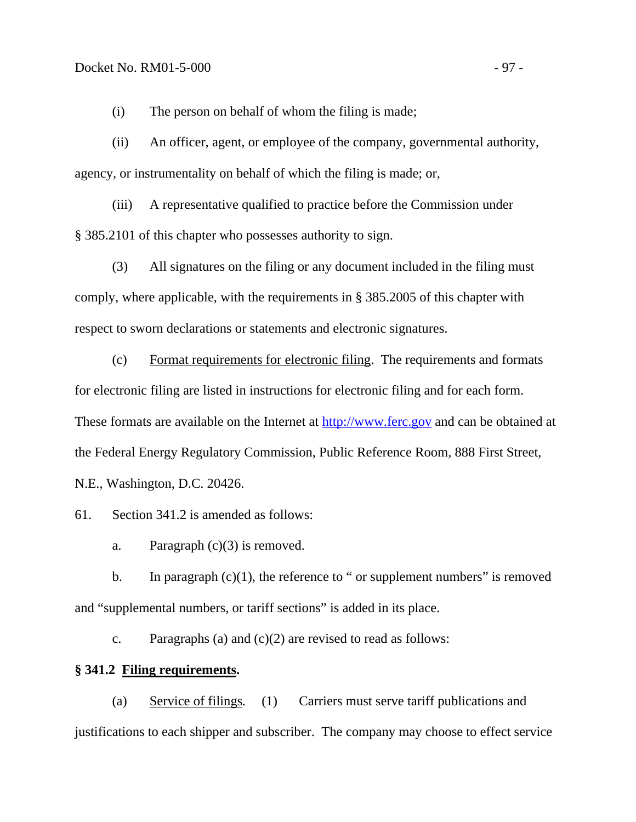(i) The person on behalf of whom the filing is made;

(ii) An officer, agent, or employee of the company, governmental authority, agency, or instrumentality on behalf of which the filing is made; or,

(iii) A representative qualified to practice before the Commission under § 385.2101 of this chapter who possesses authority to sign.

(3) All signatures on the filing or any document included in the filing must comply, where applicable, with the requirements in § 385.2005 of this chapter with respect to sworn declarations or statements and electronic signatures.

(c) Format requirements for electronic filing. The requirements and formats for electronic filing are listed in instructions for electronic filing and for each form. These formats are available on the Internet at [http://www.ferc.gov](http://www.ferc.gov/) and can be obtained at the Federal Energy Regulatory Commission, Public Reference Room, 888 First Street, N.E., Washington, D.C. 20426.

61. Section 341.2 is amended as follows:

a. Paragraph  $(c)(3)$  is removed.

b. In paragraph  $(c)(1)$ , the reference to " or supplement numbers" is removed and "supplemental numbers, or tariff sections" is added in its place.

c. Paragraphs (a) and  $(c)(2)$  are revised to read as follows:

# **§ 341.2 Filing requirements.**

(a) Service of filings*.* (1) Carriers must serve tariff publications and justifications to each shipper and subscriber. The company may choose to effect service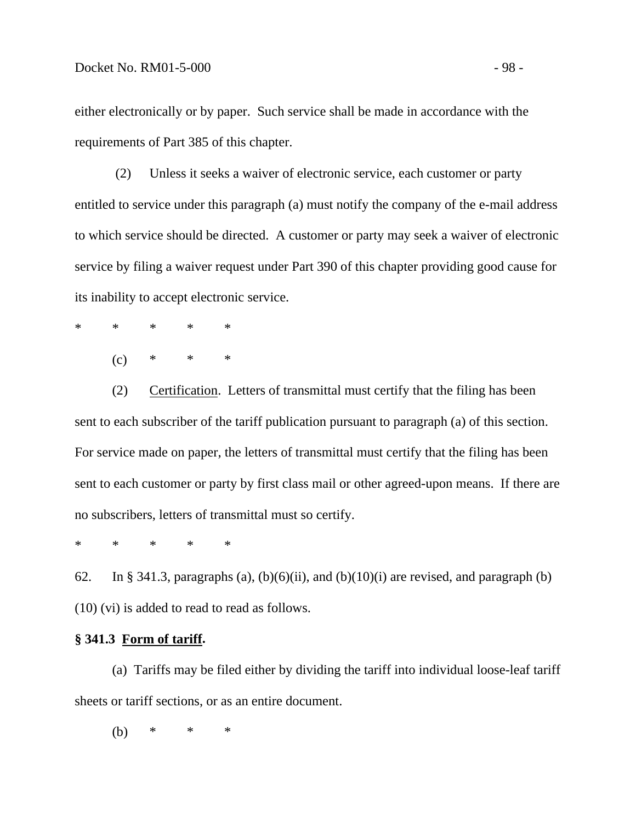either electronically or by paper. Such service shall be made in accordance with the requirements of Part 385 of this chapter.

 (2) Unless it seeks a waiver of electronic service, each customer or party entitled to service under this paragraph (a) must notify the company of the e-mail address to which service should be directed. A customer or party may seek a waiver of electronic service by filing a waiver request under Part 390 of this chapter providing good cause for its inability to accept electronic service.

- \* \* \* \* \*
	- $(c)$  \* \* \*

 (2) Certification. Letters of transmittal must certify that the filing has been sent to each subscriber of the tariff publication pursuant to paragraph (a) of this section. For service made on paper, the letters of transmittal must certify that the filing has been sent to each customer or party by first class mail or other agreed-upon means. If there are no subscribers, letters of transmittal must so certify.

\* \* \* \* \*

62. In § 341.3, paragraphs (a),  $(b)(6)(ii)$ , and  $(b)(10)(i)$  are revised, and paragraph (b) (10) (vi) is added to read to read as follows.

#### **§ 341.3 Form of tariff.**

 (a) Tariffs may be filed either by dividing the tariff into individual loose-leaf tariff sheets or tariff sections, or as an entire document.

(b) \* \* \*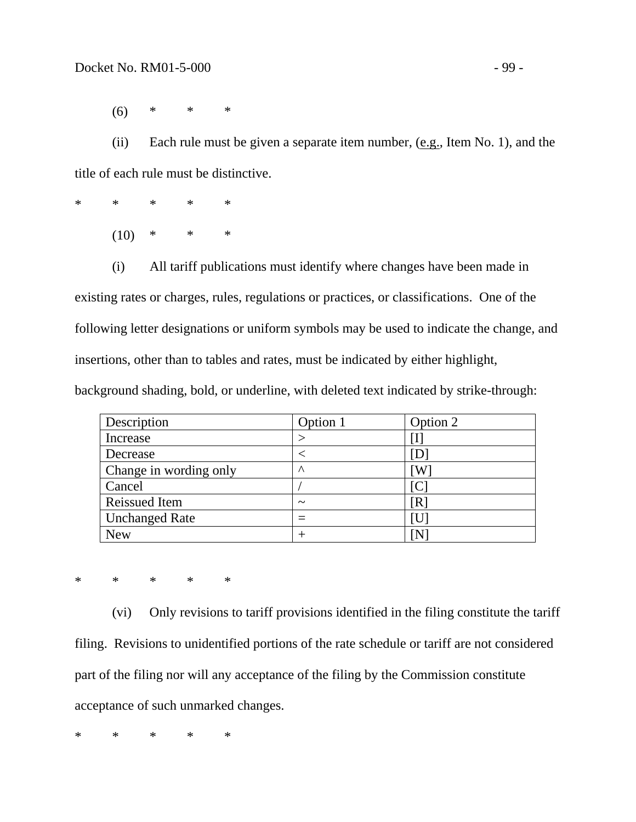(6) \* \* \*

(ii) Each rule must be given a separate item number, (e.g., Item No. 1), and the title of each rule must be distinctive.

\* \* \* \* \*  $(10)$  \* \* \*

(i) All tariff publications must identify where changes have been made in

existing rates or charges, rules, regulations or practices, or classifications. One of the following letter designations or uniform symbols may be used to indicate the change, and insertions, other than to tables and rates, must be indicated by either highlight, background shading, bold, or underline, with deleted text indicated by strike-through:

| Description            | Option 1              | Option 2 |
|------------------------|-----------------------|----------|
| Increase               |                       |          |
| Decrease               |                       |          |
| Change in wording only | $\wedge$              |          |
| Cancel                 |                       |          |
| <b>Reissued Item</b>   | $\tilde{\phantom{a}}$ | R        |
| <b>Unchanged Rate</b>  |                       |          |
| <b>New</b>             |                       |          |

\* \* \* \* \*

(vi) Only revisions to tariff provisions identified in the filing constitute the tariff filing. Revisions to unidentified portions of the rate schedule or tariff are not considered part of the filing nor will any acceptance of the filing by the Commission constitute acceptance of such unmarked changes.

\* \* \* \* \*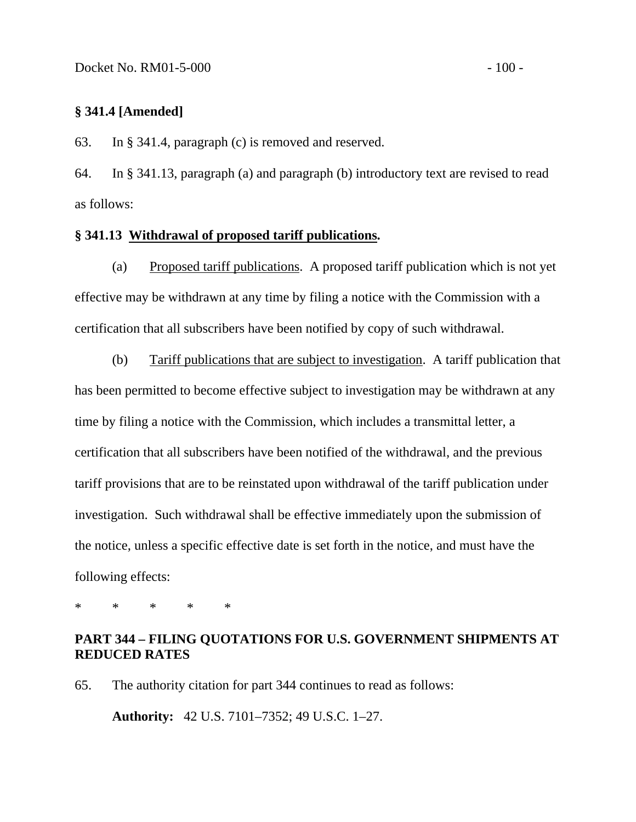## **§ 341.4 [Amended]**

63. In § 341.4, paragraph (c) is removed and reserved.

64. In § 341.13, paragraph (a) and paragraph (b) introductory text are revised to read as follows:

### **§ 341.13 Withdrawal of proposed tariff publications.**

(a) Proposed tariff publications. A proposed tariff publication which is not yet effective may be withdrawn at any time by filing a notice with the Commission with a certification that all subscribers have been notified by copy of such withdrawal.

 (b) Tariff publications that are subject to investigation. A tariff publication that has been permitted to become effective subject to investigation may be withdrawn at any time by filing a notice with the Commission, which includes a transmittal letter, a certification that all subscribers have been notified of the withdrawal, and the previous tariff provisions that are to be reinstated upon withdrawal of the tariff publication under investigation. Such withdrawal shall be effective immediately upon the submission of the notice, unless a specific effective date is set forth in the notice, and must have the following effects:

\* \* \* \* \*

### **PART 344 – FILING QUOTATIONS FOR U.S. GOVERNMENT SHIPMENTS AT REDUCED RATES**

65. The authority citation for part 344 continues to read as follows:

 **Authority:** 42 U.S. 7101–7352; 49 U.S.C. 1–27.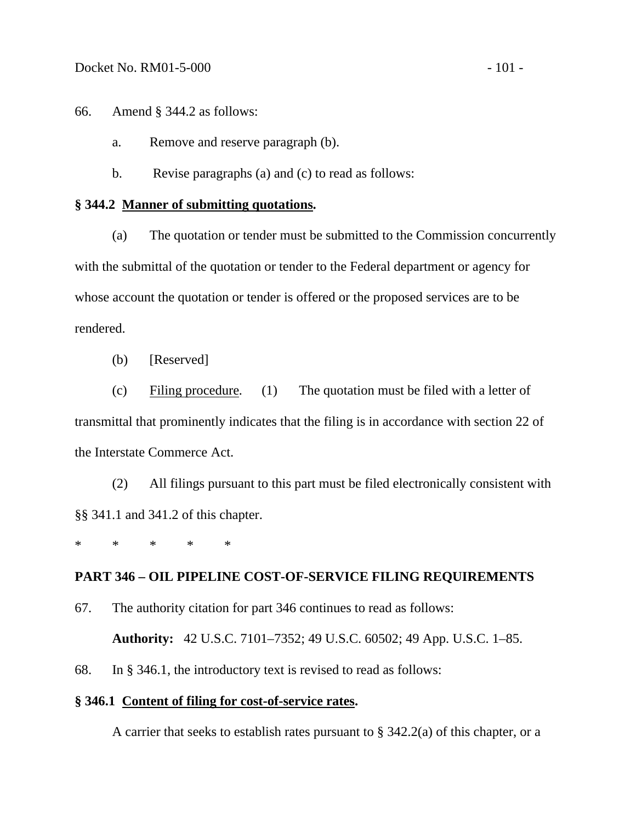66. Amend § 344.2 as follows:

a. Remove and reserve paragraph (b).

b. Revise paragraphs (a) and (c) to read as follows:

### **§ 344.2 Manner of submitting quotations.**

 (a) The quotation or tender must be submitted to the Commission concurrently with the submittal of the quotation or tender to the Federal department or agency for whose account the quotation or tender is offered or the proposed services are to be rendered.

(b) [Reserved]

 (c) Filing procedure*.* (1) The quotation must be filed with a letter of transmittal that prominently indicates that the filing is in accordance with section 22 of the Interstate Commerce Act.

(2) All filings pursuant to this part must be filed electronically consistent with §§ 341.1 and 341.2 of this chapter.

\* \* \* \* \*

### **PART 346 – OIL PIPELINE COST-OF-SERVICE FILING REQUIREMENTS**

67. The authority citation for part 346 continues to read as follows:

 **Authority:** 42 U.S.C. 7101–7352; 49 U.S.C. 60502; 49 App. U.S.C. 1–85.

68. In § 346.1, the introductory text is revised to read as follows:

### **§ 346.1 Content of filing for cost-of-service rates.**

A carrier that seeks to establish rates pursuant to § 342.2(a) of this chapter, or a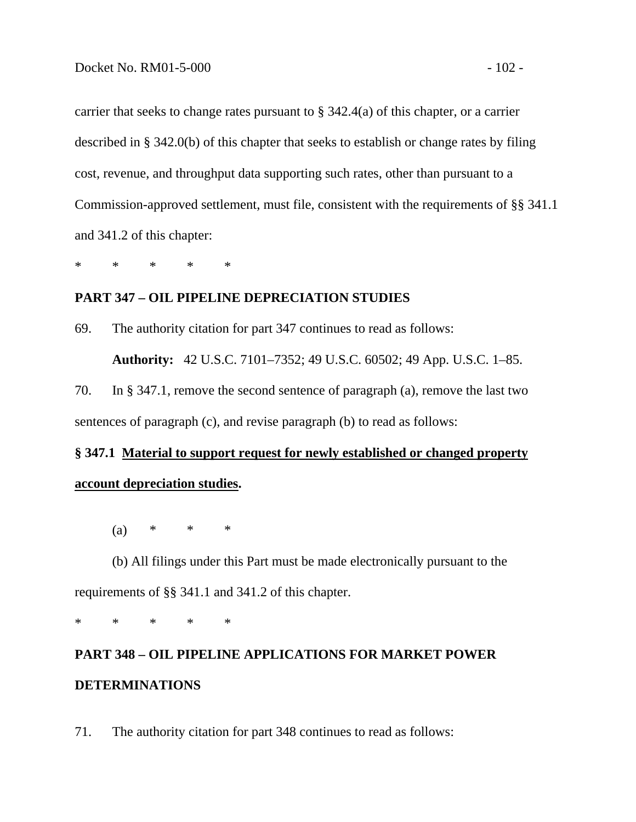carrier that seeks to change rates pursuant to § 342.4(a) of this chapter, or a carrier described in § 342.0(b) of this chapter that seeks to establish or change rates by filing cost, revenue, and throughput data supporting such rates, other than pursuant to a Commission-approved settlement, must file, consistent with the requirements of §§ 341.1 and 341.2 of this chapter:

\* \* \* \* \*

## **PART 347 – OIL PIPELINE DEPRECIATION STUDIES**

69. The authority citation for part 347 continues to read as follows:

 **Authority:** 42 U.S.C. 7101–7352; 49 U.S.C. 60502; 49 App. U.S.C. 1–85.

70. In § 347.1, remove the second sentence of paragraph (a), remove the last two sentences of paragraph (c), and revise paragraph (b) to read as follows:

# **§ 347.1 Material to support request for newly established or changed property account depreciation studies.**

(a) \* \* \*

 (b) All filings under this Part must be made electronically pursuant to the requirements of §§ 341.1 and 341.2 of this chapter.

\* \* \* \* \*

# **PART 348 – OIL PIPELINE APPLICATIONS FOR MARKET POWER DETERMINATIONS**

71. The authority citation for part 348 continues to read as follows: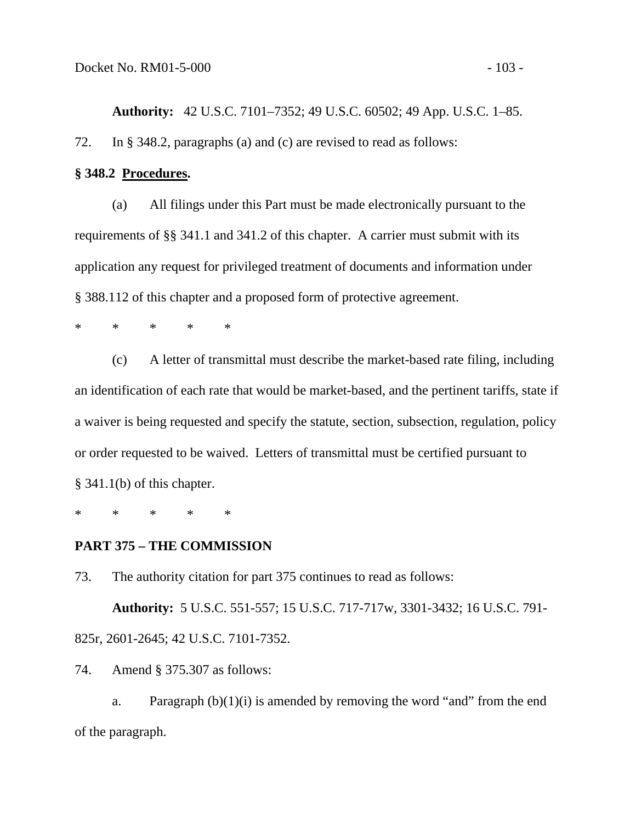**Authority:** 42 U.S.C. 7101–7352; 49 U.S.C. 60502; 49 App. U.S.C. 1–85. 72. In § 348.2, paragraphs (a) and (c) are revised to read as follows:

### **§ 348.2 Procedures.**

 (a) All filings under this Part must be made electronically pursuant to the requirements of §§ 341.1 and 341.2 of this chapter. A carrier must submit with its application any request for privileged treatment of documents and information under § 388.112 of this chapter and a proposed form of protective agreement.

\* \* \* \* \*

 (c) A letter of transmittal must describe the market-based rate filing, including an identification of each rate that would be market-based, and the pertinent tariffs, state if a waiver is being requested and specify the statute, section, subsection, regulation, policy or order requested to be waived. Letters of transmittal must be certified pursuant to § 341.1(b) of this chapter.

\* \* \* \* \*

### **PART 375 – THE COMMISSION**

73. The authority citation for part 375 continues to read as follows:

 **Authority:** 5 U.S.C. 551-557; 15 U.S.C. 717-717w, 3301-3432; 16 U.S.C. 791- 825r, 2601-2645; 42 U.S.C. 7101-7352.

74. Amend § 375.307 as follows:

a. Paragraph  $(b)(1)(i)$  is amended by removing the word "and" from the end of the paragraph.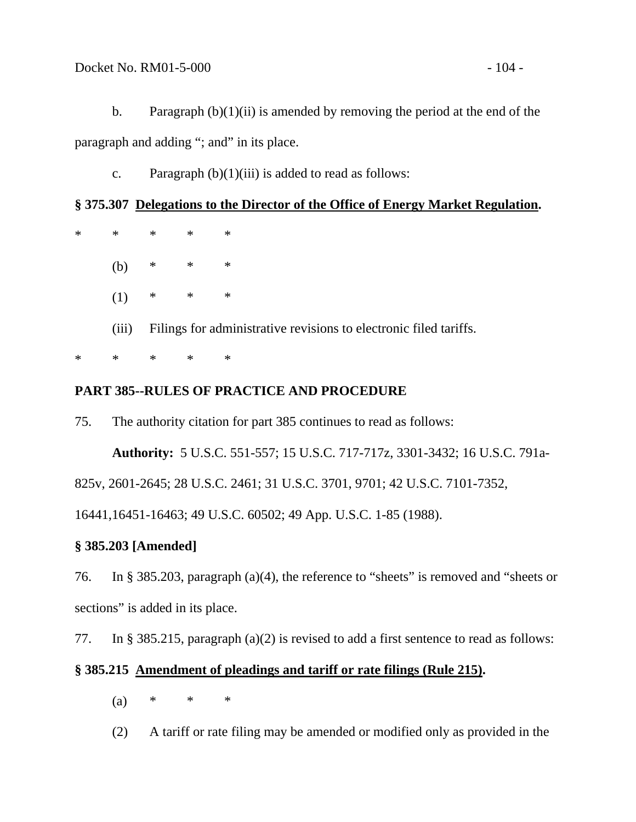b. Paragraph  $(b)(1)(ii)$  is amended by removing the period at the end of the paragraph and adding "; and" in its place.

c. Paragraph  $(b)(1)(iii)$  is added to read as follows:

# **§ 375.307 Delegations to the Director of the Office of Energy Market Regulation.**

| $\ast$ | $\ast$ | $*$ *                                                             |        | $\ast$ |
|--------|--------|-------------------------------------------------------------------|--------|--------|
|        | (b)    | $*$ * *                                                           |        |        |
|        | (1)    | $*$ * *                                                           |        |        |
|        | (iii)  | Filings for administrative revisions to electronic filed tariffs. |        |        |
| $\ast$ | $\ast$ | $\ast$                                                            | $\ast$ | $\ast$ |

# **PART 385--RULES OF PRACTICE AND PROCEDURE**

75. The authority citation for part 385 continues to read as follows:

**Authority:** 5 U.S.C. 551-557; 15 U.S.C. 717-717z, 3301-3432; 16 U.S.C. 791a-

825v, 2601-2645; 28 U.S.C. 2461; 31 U.S.C. 3701, 9701; 42 U.S.C. 7101-7352,

16441,16451-16463; 49 U.S.C. 60502; 49 App. U.S.C. 1-85 (1988).

# **§ 385.203 [Amended]**

76. In § 385.203, paragraph (a)(4), the reference to "sheets" is removed and "sheets or sections" is added in its place.

77. In § 385.215, paragraph (a)(2) is revised to add a first sentence to read as follows:

# **§ 385.215 Amendment of pleadings and tariff or rate filings (Rule 215).**

- (a)  $*$   $*$   $*$
- (2) A tariff or rate filing may be amended or modified only as provided in the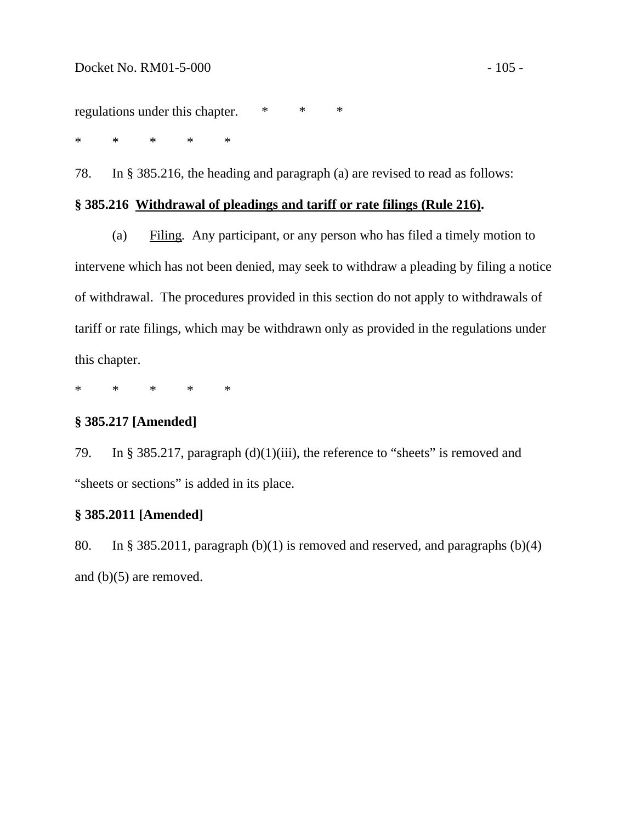regulations under this chapter. \* \* \*

\* \* \* \* \*

78. In § 385.216, the heading and paragraph (a) are revised to read as follows:

#### **§ 385.216 Withdrawal of pleadings and tariff or rate filings (Rule 216).**

 (a) Filing*.* Any participant, or any person who has filed a timely motion to intervene which has not been denied, may seek to withdraw a pleading by filing a notice of withdrawal. The procedures provided in this section do not apply to withdrawals of tariff or rate filings, which may be withdrawn only as provided in the regulations under this chapter.

\* \* \* \* \*

# **§ 385.217 [Amended]**

79. In § 385.217, paragraph (d)(1)(iii), the reference to "sheets" is removed and "sheets or sections" is added in its place.

### **§ 385.2011 [Amended]**

80. In § 385.2011, paragraph (b)(1) is removed and reserved, and paragraphs (b)(4) and (b)(5) are removed.